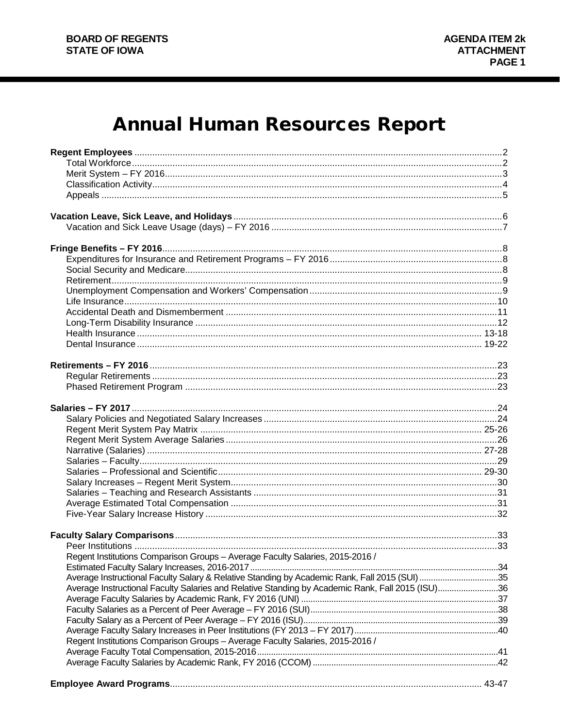# **Annual Human Resources Report**

| Regent Institutions Comparison Groups - Average Faculty Salaries, 2015-2016 /                    |  |
|--------------------------------------------------------------------------------------------------|--|
|                                                                                                  |  |
| Average Instructional Faculty Salary & Relative Standing by Academic Rank, Fall 2015 (SUI) 35    |  |
| Average Instructional Faculty Salaries and Relative Standing by Academic Rank, Fall 2015 (ISU)36 |  |
|                                                                                                  |  |
|                                                                                                  |  |
|                                                                                                  |  |
|                                                                                                  |  |
| Regent Institutions Comparison Groups - Average Faculty Salaries, 2015-2016 /                    |  |
|                                                                                                  |  |
|                                                                                                  |  |
|                                                                                                  |  |
|                                                                                                  |  |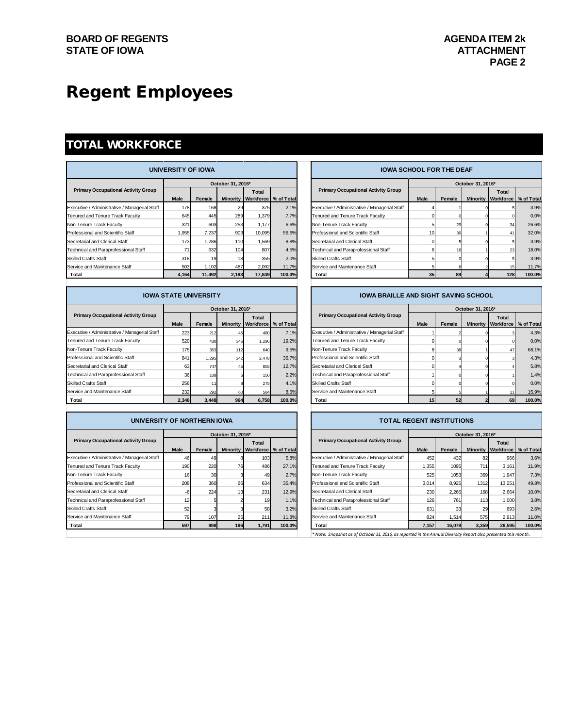# Regent Employees

### TOTAL WORKFORCE

| UNIVERSITY OF IOWA                            |                   |        |       |        |                                 |  | <b>IOWA SCHOOL FOR THE DEAF</b>               |             |        |                   |                                        |        |
|-----------------------------------------------|-------------------|--------|-------|--------|---------------------------------|--|-----------------------------------------------|-------------|--------|-------------------|----------------------------------------|--------|
|                                               | October 31, 2016* |        |       |        |                                 |  |                                               |             |        | October 31, 2016* |                                        |        |
| <b>Primary Occupational Activity Group</b>    | <b>Male</b>       | Female |       | Total  | Minority Workforce   % of Total |  | <b>Primary Occupational Activity Group</b>    | <b>Male</b> | Female |                   | Total<br>Minority Workforce % of Total |        |
| Executive / Administrative / Managerial Staff | 178               | 168    | 29    | 375    | 2.1%                            |  | Executive / Administrative / Managerial Staff |             |        |                   |                                        | 3.9%   |
| Tenured and Tenure Track Faculty              | 645               | 445    | 289   | 1.379  | 7.7%                            |  | Tenured and Tenure Track Faculty              |             |        |                   |                                        | 0.0%   |
| Non-Tenure Track Faculty                      | 321               | 603    | 253   | 1.177  | 6.6%                            |  | Non-Tenure Track Faculty                      |             | 29     |                   | 34                                     | 26.6%  |
| Professional and Scientific Staff             | 1,955             | 7.237  | 903   | 10,095 | 56.6%                           |  | Professional and Scientific Staff             |             | 30     |                   | 41                                     | 32.0%  |
| Secretarial and Clerical Staff                | 173               | 1,286  | 110   | 1,569  | 8.8%                            |  | Secretarial and Clerical Staff                |             |        |                   |                                        | 3.9%   |
| Technical and Paraprofessional Staff          |                   | 632    | 104   | 807    | 4.5%                            |  | Technical and Paraprofessional Staff          |             |        |                   | 23                                     | 18.0%  |
| <b>Skilled Crafts Staff</b>                   | 318               | 19     | 18    | 355    | 2.0%                            |  | <b>Skilled Crafts Staff</b>                   |             |        |                   |                                        | 3.9%   |
| Service and Maintenance Staff                 | 503               | 1,102  | 487   | 2,092  | 11.7%                           |  | Service and Maintenance Staff                 |             |        |                   |                                        | 11.7%  |
| Total                                         | 4,164             | 11,492 | 2,193 | 17,849 | 100.0%                          |  | Total                                         | 35          | 89     |                   | 128                                    | 100.0% |

| <b>IOWA STATE UNIVERSITY</b>                  |             |        |                   |       | IOWA BRAILLE AND SIGHT SAVING SCHOOL |                                               |             |        |                   |                                            |        |
|-----------------------------------------------|-------------|--------|-------------------|-------|--------------------------------------|-----------------------------------------------|-------------|--------|-------------------|--------------------------------------------|--------|
|                                               |             |        | October 31, 2016* |       |                                      |                                               |             |        | October 31, 2016* |                                            |        |
| <b>Primary Occupational Activity Group</b>    | <b>Male</b> | Female |                   | Total | Minority Workforce   % of Total      | <b>Primary Occupational Activity Group</b>    | <b>Male</b> | Female |                   | Total<br>Minority   Workforce   % of Total |        |
| Executive / Administrative / Managerial Staff | 223         | 212    |                   | 480   | 7.1%                                 | Executive / Administrative / Managerial Staff |             |        |                   |                                            | 4.3%   |
| Tenured and Tenure Track Faculty              | 520         | 430    | 346               | 1,296 | 19.2%                                | Tenured and Tenure Track Faculty              |             |        |                   |                                            | 0.0%   |
| Non-Tenure Track Faculty                      | 175         | 353    | 112               | 640   | 9.5%                                 | Non-Tenure Track Faculty                      |             | 38     |                   | 47                                         | 68.1%  |
| Professional and Scientific Staff             | 841         | 1.295  | 342               | 2.478 | 36.7%                                | Professional and Scientific Staff             |             |        |                   |                                            | 4.3%   |
| Secretarial and Clerical Staff                | 63          | 747    |                   | 855   | 12.7%                                | Secretarial and Clerical Staff                |             |        |                   |                                            | 5.8%   |
| Technical and Paraprofessional Staff          | 36          | 108    |                   | 150   | 2.2%                                 | Technical and Paraprofessional Staff          |             |        |                   |                                            | 1.4%   |
| <b>Skilled Crafts Staff</b>                   | 256         |        |                   | 275   | 4.1%                                 | <b>Skilled Crafts Staff</b>                   |             |        |                   |                                            | 0.0%   |
| Service and Maintenance Staff                 | 232         | 292    |                   | 584   | 8.6%                                 | Service and Maintenance Staff                 |             |        |                   |                                            | 15.9%  |
| Total                                         | 2.346       | 3.448  | 964               | 6.758 | 100.0%                               | Total                                         |             | 52     |                   | 69                                         | 100.0% |

| UNIVERSITI UF NURTHERN IUWA         |             |                   |                 |                          |  |  |  |  |  |  |  |
|-------------------------------------|-------------|-------------------|-----------------|--------------------------|--|--|--|--|--|--|--|
|                                     |             | October 31, 2016* |                 |                          |  |  |  |  |  |  |  |
| y Occupational Activity Group       | <b>Male</b> | Female            | <b>Minority</b> | <b>Total</b><br>Workforc |  |  |  |  |  |  |  |
|                                     |             |                   |                 |                          |  |  |  |  |  |  |  |
| / Administrative / Managerial Staff | 46          | 49                |                 | 10                       |  |  |  |  |  |  |  |
| nd Tenure Track Faculty             | 190         | 220               | 76              | 48                       |  |  |  |  |  |  |  |
|                                     |             |                   |                 |                          |  |  |  |  |  |  |  |

| $-1$                                       | $-0$ | oool | $\sqrt{2}$ | 1.704            | 100.001 |
|--------------------------------------------|------|------|------------|------------------|---------|
| vice and Maintenance Staff                 | 79   | 107  | 25         | 211              | 11.8%   |
| led Crafts Staff                           | 52   |      |            | 58               | 3.2%    |
| hnical and Paraprofessional Staff          | 12   |      |            | 19               | 1.1%    |
| retarial and Clerical Staff                | -61  | 224  | 13         | 231              | 12.9%   |
| fessional and Scientific Staff             | 208  | 360  | 66         | 634              | 35.4%   |
| -Tenure Track Faculty                      | 16   | 30   |            | 49               | 2.7%    |
| ured and Tenure Track Faculty              | 190  | 220  | 76         | 486              | 27.1%   |
| cutive / Administrative / Managerial Staff | 46   | 49   |            | 103 <sub>l</sub> | 5.8%    |
|                                            |      |      |            |                  |         |

|                    |            | <b>IOWA SCHOOL FOR THE DEAF</b>               |                 |        |                   |                           |            |
|--------------------|------------|-----------------------------------------------|-----------------|--------|-------------------|---------------------------|------------|
| $6*$               |            |                                               |                 |        | October 31, 2016* |                           |            |
| Total<br>Workforce | % of Total | <b>Primary Occupational Activity Group</b>    | <b>Male</b>     | Female | <b>Minority</b>   | Total<br><b>Workforce</b> | % of Total |
| 375                | 2.1%       | Executive / Administrative / Managerial Staff |                 |        |                   |                           | 3.9%       |
| 1,379              | 7.7%       | Tenured and Tenure Track Faculty              |                 |        |                   |                           | 0.0%       |
| 1.177              | 6.6%       | Non-Tenure Track Faculty                      | 5               | 29     |                   | 34                        | 26.6%      |
| 10.095             | 56.6%      | Professional and Scientific Staff             | 10              | 30     |                   | 41                        | 32.0%      |
| 1.569              | 8.8%       | Secretarial and Clerical Staff                |                 |        |                   |                           | 3.9%       |
| 807                | 4.5%       | Technical and Paraprofessional Staff          | 6               | 16     |                   | 23                        | 18.0%      |
| 355                | 2.0%       | <b>Skilled Crafts Staff</b>                   | 5               |        |                   |                           | 3.9%       |
| 2,092              | 11.7%      | Service and Maintenance Staff                 | 5               |        |                   | 15                        | 11.7%      |
| 17,849             | 100.0%     | Total                                         | 35 <sub>1</sub> | 89     |                   | 128                       | 100.0%     |

#### **IOWA BRAILLE AND SIGHT SAVING SCHOOL**

|                                               |             |        | October 31, 2016* |       |                                 |                                               | October 31, 2016* |        |  |       |                                 |  |
|-----------------------------------------------|-------------|--------|-------------------|-------|---------------------------------|-----------------------------------------------|-------------------|--------|--|-------|---------------------------------|--|
| <b>Primary Occupational Activity Group</b>    |             |        |                   | Total |                                 | <b>Primary Occupational Activity Group</b>    |                   |        |  | Total |                                 |  |
|                                               | <b>Male</b> | Female |                   |       | Minority Workforce   % of Total |                                               | <b>Male</b>       | Female |  |       | Minority Workforce   % of Total |  |
| Executive / Administrative / Managerial Staff | 223         | 212    |                   | 480   | 7.1%                            | Executive / Administrative / Managerial Staff |                   |        |  |       | 4.3%                            |  |
| Tenured and Tenure Track Faculty              | 520         | 430    | 346               | 1.296 | 19.2%                           | Tenured and Tenure Track Faculty              |                   |        |  |       | 0.0%                            |  |
| Non-Tenure Track Faculty                      | 175         | 353    | 112               | 640   | 9.5%                            | Non-Tenure Track Faculty                      |                   | 38     |  | 47    | 68.1%                           |  |
| Professional and Scientific Staff             | 841         | 1.295  | 342               | 2.478 | 36.7%                           | Professional and Scientific Staff             |                   |        |  |       | 4.3%                            |  |
| Secretarial and Clerical Staff                | 63          | 747    |                   | 855   | 12.7%                           | Secretarial and Clerical Staff                |                   |        |  |       | 5.8%                            |  |
| Technical and Paraprofessional Staff          | 36          | 108    |                   | 150   | 2.2%                            | Technical and Paraprofessional Staff          |                   |        |  |       | 1.4%                            |  |
| <b>Skilled Crafts Staff</b>                   | 256         |        |                   | 275   | 4.1%                            | <b>Skilled Crafts Staff</b>                   |                   |        |  |       | 0.0%                            |  |
| Service and Maintenance Staff                 | 232         | 292    |                   | 584   | 8.6%                            | Service and Maintenance Staff                 |                   |        |  |       | 15.9%                           |  |
| Total                                         | 2.346       | 3.448  | 964               | 6.758 | 100.0%                          | Total                                         | 151               | 52     |  | 69    | 100.0%                          |  |

| UNIVERSITY OF NORTHERN IOWA                   |                   |        |     |       |                                 |  | <b>TOTAL REGENT INSTITUTIONS</b>              |             |        |                   |        |                                   |
|-----------------------------------------------|-------------------|--------|-----|-------|---------------------------------|--|-----------------------------------------------|-------------|--------|-------------------|--------|-----------------------------------|
|                                               | October 31, 2016* |        |     |       |                                 |  |                                               |             |        | October 31, 2016* |        |                                   |
| <b>Primary Occupational Activity Group</b>    | <b>Male</b>       | Female |     | Total | Minority Workforce   % of Total |  | <b>Primary Occupational Activity Group</b>    | <b>Male</b> | Female |                   | Total  | Minority   Workforce   % of Total |
| Executive / Administrative / Managerial Staff | 46                | 49     |     | 103   | 5.8%                            |  | Executive / Administrative / Managerial Staff | 452         | 432    | 82                | 966    | 3.6%                              |
| Tenured and Tenure Track Faculty              | 190               | 220    | 76  | 486   | 27.1%                           |  | Tenured and Tenure Track Faculty              | 1,355       | 1095   | 711               | 3.161  | 11.9%                             |
| Non-Tenure Track Faculty                      | 16                | 30     |     | 49    | 2.7%                            |  | Non-Tenure Track Faculty                      | 525         | 1053   | 369               | 1.947  | 7.3%                              |
| Professional and Scientific Staff             | 208               | 360    | 66  | 634   | 35.4%                           |  | Professional and Scientific Staff             | 3,014       | 8.925  | 1312              | 13,251 | 49.8%                             |
| Secretarial and Clerical Staff                |                   | 224    |     | 231   | 12.9%                           |  | Secretarial and Clerical Staff                | 230         | 2.266  | 168               | 2.664  | 10.0%                             |
| Technical and Paraprofessional Staff          | 12                |        |     | 19    | 1.1%                            |  | Technical and Paraprofessional Staff          | 126         | 761    | 113               | 1,000  | 3.8%                              |
| <b>Skilled Crafts Staff</b>                   | 52                |        |     | 58    | 3.2%                            |  | <b>Skilled Crafts Staff</b>                   | 631         |        | 29                | 693    | 2.6%                              |
| Service and Maintenance Staff                 | 79                | 107    | 25  | 211   | 11.8%                           |  | Service and Maintenance Staff                 | 824         | 1,514  | 575               | 2.913  | 11.0%                             |
| Total                                         | 597               | 998    | 196 | 1.791 | 100.0%                          |  | Total                                         | 7,157       | 16.079 | 3,359             | 26,595 | 100.0%                            |

*\* Note: Snapshot as of October 31, 2016, as reported in the Annual Diversity Report also presented this month.*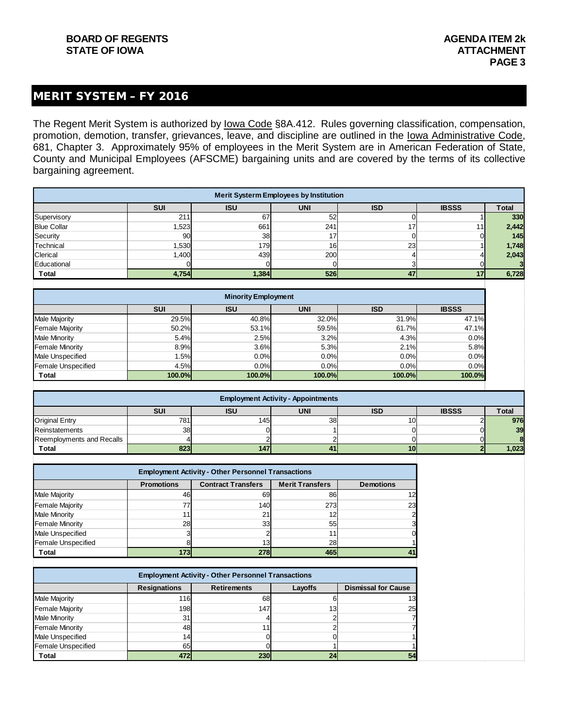#### MERIT SYSTEM – FY 2016

The Regent Merit System is authorized by lowa Code §8A.412. Rules governing classification, compensation, promotion, demotion, transfer, grievances, leave, and discipline are outlined in the Iowa Administrative Code, 681, Chapter 3. Approximately 95% of employees in the Merit System are in American Federation of State, County and Municipal Employees (AFSCME) bargaining units and are covered by the terms of its collective bargaining agreement.

| <b>Merit Systerm Employees by Institution</b> |                                                                      |       |     |    |                 |       |  |  |  |  |  |
|-----------------------------------------------|----------------------------------------------------------------------|-------|-----|----|-----------------|-------|--|--|--|--|--|
|                                               | <b>IBSSS</b><br><b>ISU</b><br><b>UNI</b><br><b>SUI</b><br><b>ISD</b> |       |     |    |                 |       |  |  |  |  |  |
| Supervisory                                   | 211                                                                  | 67    | 52  |    |                 | 330   |  |  |  |  |  |
| <b>Blue Collar</b>                            | 1,523                                                                | 661   | 241 | 17 | 11 <sub>1</sub> | 2,442 |  |  |  |  |  |
| Security                                      | 90 <sub>1</sub>                                                      | 38    | 17  |    | 01              | 145   |  |  |  |  |  |
| Technical                                     | 1,530                                                                | 179   | 16  | 23 |                 | 1,748 |  |  |  |  |  |
| Clerical                                      | 1,400                                                                | 439   | 200 |    |                 | 2,043 |  |  |  |  |  |
| Educational                                   |                                                                      |       |     |    |                 |       |  |  |  |  |  |
| <b>Total</b>                                  | 4,754                                                                | 1,384 | 526 | 47 | 17              | 6,728 |  |  |  |  |  |
|                                               |                                                                      |       |     |    |                 |       |  |  |  |  |  |

| <b>Minority Employment</b> |                                                                      |        |        |        |        |  |  |  |  |  |  |  |
|----------------------------|----------------------------------------------------------------------|--------|--------|--------|--------|--|--|--|--|--|--|--|
|                            | <b>IBSSS</b><br><b>SUI</b><br><b>ISU</b><br><b>UNI</b><br><b>ISD</b> |        |        |        |        |  |  |  |  |  |  |  |
| <b>Male Majority</b>       | 29.5%                                                                | 40.8%  | 32.0%  | 31.9%  | 47.1%  |  |  |  |  |  |  |  |
| <b>Female Majority</b>     | 50.2%                                                                | 53.1%  | 59.5%  | 61.7%  | 47.1%  |  |  |  |  |  |  |  |
| <b>Male Minority</b>       | 5.4%                                                                 | 2.5%   | 3.2%   | 4.3%   | 0.0%   |  |  |  |  |  |  |  |
| <b>Female Minority</b>     | 8.9%                                                                 | 3.6%   | 5.3%   | 2.1%   | 5.8%   |  |  |  |  |  |  |  |
| <b>Male Unspecified</b>    | 1.5%                                                                 | 0.0%   | 0.0%   | 0.0%   | 0.0%   |  |  |  |  |  |  |  |
| <b>Female Unspecified</b>  | 4.5%                                                                 | 0.0%   | 0.0%   | 0.0%   | 0.0%   |  |  |  |  |  |  |  |
| <b>Total</b>               | 100.0%                                                               | 100.0% | 100.0% | 100.0% | 100.0% |  |  |  |  |  |  |  |

| <b>Employment Activity - Appointments</b>                                            |     |     |       |  |  |     |  |  |  |  |  |
|--------------------------------------------------------------------------------------|-----|-----|-------|--|--|-----|--|--|--|--|--|
| <b>UNI</b><br><b>SUI</b><br><b>ISU</b><br><b>IBSSS</b><br><b>ISD</b><br><b>Total</b> |     |     |       |  |  |     |  |  |  |  |  |
| <b>Original Entry</b>                                                                | 781 | 145 | 38    |  |  | 976 |  |  |  |  |  |
| Reinstatements                                                                       | 38  |     |       |  |  | 39  |  |  |  |  |  |
| Reemployments and Recalls                                                            |     |     |       |  |  |     |  |  |  |  |  |
| Total                                                                                |     |     | 1.023 |  |  |     |  |  |  |  |  |
|                                                                                      |     |     |       |  |  |     |  |  |  |  |  |

| <b>Employment Activity - Other Personnel Transactions</b>                                    |      |                 |     |                |  |  |  |  |  |  |  |
|----------------------------------------------------------------------------------------------|------|-----------------|-----|----------------|--|--|--|--|--|--|--|
| <b>Merit Transfers</b><br><b>Contract Transfers</b><br><b>Promotions</b><br><b>Demotions</b> |      |                 |     |                |  |  |  |  |  |  |  |
| <b>Male Majority</b>                                                                         | 46   | 69              | 86  | 12             |  |  |  |  |  |  |  |
| <b>Female Majority</b>                                                                       | 77   | 140             | 273 | 23             |  |  |  |  |  |  |  |
| <b>Male Minority</b>                                                                         |      | 21              | 12  | $\overline{2}$ |  |  |  |  |  |  |  |
| <b>Female Minority</b>                                                                       | 28   | 33              | 55  | 3              |  |  |  |  |  |  |  |
| Male Unspecified                                                                             |      |                 | 11  |                |  |  |  |  |  |  |  |
| <b>Female Unspecified</b>                                                                    |      | 13 <sub>l</sub> | 28  |                |  |  |  |  |  |  |  |
| <b>Total</b>                                                                                 | 1731 | 278             | 465 | 41             |  |  |  |  |  |  |  |

| <b>Employment Activity - Other Personnel Transactions</b> |                     |                    |                 |                            |  |  |  |  |
|-----------------------------------------------------------|---------------------|--------------------|-----------------|----------------------------|--|--|--|--|
|                                                           | <b>Resignations</b> | <b>Retirements</b> | Layoffs         | <b>Dismissal for Cause</b> |  |  |  |  |
| <b>Male Majority</b>                                      | 116                 | 68                 |                 | 13                         |  |  |  |  |
| <b>Female Majority</b>                                    | 198                 | 147                | 13              | 25                         |  |  |  |  |
| <b>Male Minority</b>                                      | 31                  |                    |                 |                            |  |  |  |  |
| <b>Female Minority</b>                                    | 48                  |                    |                 |                            |  |  |  |  |
| Male Unspecified                                          | 14 <sub>1</sub>     |                    |                 |                            |  |  |  |  |
| <b>Female Unspecified</b>                                 | 65                  |                    |                 |                            |  |  |  |  |
| <b>Total</b>                                              | 472                 | 230                | 24 <sub>1</sub> | 54                         |  |  |  |  |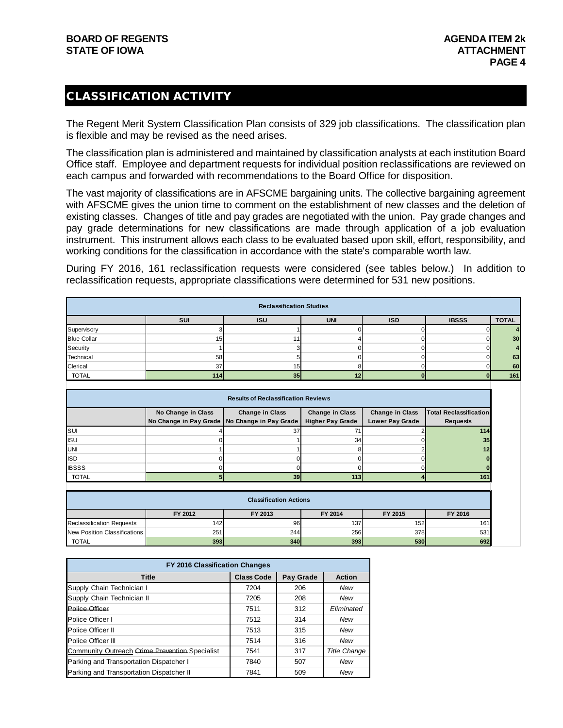#### CLASSIFICATION ACTIVITY

The Regent Merit System Classification Plan consists of 329 job classifications. The classification plan is flexible and may be revised as the need arises.

The classification plan is administered and maintained by classification analysts at each institution Board Office staff. Employee and department requests for individual position reclassifications are reviewed on each campus and forwarded with recommendations to the Board Office for disposition.

The vast majority of classifications are in AFSCME bargaining units. The collective bargaining agreement with AFSCME gives the union time to comment on the establishment of new classes and the deletion of existing classes. Changes of title and pay grades are negotiated with the union. Pay grade changes and pay grade determinations for new classifications are made through application of a job evaluation instrument. This instrument allows each class to be evaluated based upon skill, effort, responsibility, and working conditions for the classification in accordance with the state's comparable worth law.

During FY 2016, 161 reclassification requests were considered (see tables below.) In addition to reclassification requests, appropriate classifications were determined for 531 new positions.

| <b>Reclassification Studies</b> |            |                 |            |            |              |              |  |  |
|---------------------------------|------------|-----------------|------------|------------|--------------|--------------|--|--|
|                                 | <b>SUI</b> | <b>ISU</b>      | <b>UNI</b> | <b>ISD</b> | <b>IBSSS</b> | <b>TOTAL</b> |  |  |
| Supervisory                     |            |                 |            |            |              |              |  |  |
| <b>Blue Collar</b>              | 15         |                 |            |            |              | 30           |  |  |
| Security                        |            |                 |            |            |              |              |  |  |
| Technical                       | 58         |                 |            |            |              | 63           |  |  |
| Clerical                        | 37         | 15 <sub>1</sub> |            |            |              | 60           |  |  |
| <b>TOTAL</b>                    | 114        | 35              | 12         |            |              | 161          |  |  |

| <b>Results of Reclassification Reviews</b> |                    |                                                                                        |                         |                        |                 |  |  |  |
|--------------------------------------------|--------------------|----------------------------------------------------------------------------------------|-------------------------|------------------------|-----------------|--|--|--|
|                                            | No Change in Class | Change in Class<br>Change in Class<br><b>Total Reclassification</b><br>Change in Class |                         |                        |                 |  |  |  |
|                                            |                    | No Change in Pay Grade   No Change in Pay Grade                                        | <b>Higher Pay Grade</b> | <b>Lower Pay Grade</b> | <b>Requests</b> |  |  |  |
| <b>SUI</b>                                 |                    | 37                                                                                     | 71                      |                        | 114             |  |  |  |
| <b>ISU</b>                                 |                    |                                                                                        | 34                      |                        | 35              |  |  |  |
| UNI                                        |                    |                                                                                        |                         |                        | 12              |  |  |  |
| <b>ISD</b>                                 |                    |                                                                                        |                         |                        |                 |  |  |  |
| <b>IBSSS</b>                               |                    |                                                                                        |                         |                        |                 |  |  |  |
| <b>TOTAL</b>                               |                    | 39                                                                                     | 113                     |                        | 161             |  |  |  |

| <b>Classification Actions</b>    |         |            |         |            |         |  |  |
|----------------------------------|---------|------------|---------|------------|---------|--|--|
|                                  | FY 2012 | FY 2013    | FY 2014 | FY 2015    | FY 2016 |  |  |
| <b>Reclassification Requests</b> | 1421    | 96         | 137     | 152        | 161     |  |  |
| New Position Classifications     | 251     | 244        | 256     | 378        | 531     |  |  |
| TOTAL                            | 393     | <b>340</b> | 393     | <b>530</b> | 692     |  |  |

| FY 2016 Classification Changes                 |                   |           |                     |  |  |  |  |
|------------------------------------------------|-------------------|-----------|---------------------|--|--|--|--|
| <b>Title</b>                                   | <b>Class Code</b> | Pay Grade | <b>Action</b>       |  |  |  |  |
| Supply Chain Technician I                      | 7204              | 206       | New                 |  |  |  |  |
| Supply Chain Technician II                     | 7205              | 208       | New                 |  |  |  |  |
| Police Officer                                 | 7511              | 312       | Eliminated          |  |  |  |  |
| Police Officer I                               | 7512              | 314       | New                 |  |  |  |  |
| Police Officer II                              | 7513              | 315       | New                 |  |  |  |  |
| Police Officer III                             | 7514              | 316       | New                 |  |  |  |  |
| Community Outreach Crime Prevention Specialist | 7541              | 317       | <b>Title Change</b> |  |  |  |  |
| Parking and Transportation Dispatcher I        | 7840              | 507       | New                 |  |  |  |  |
| Parking and Transportation Dispatcher II       | 7841              | 509       | New                 |  |  |  |  |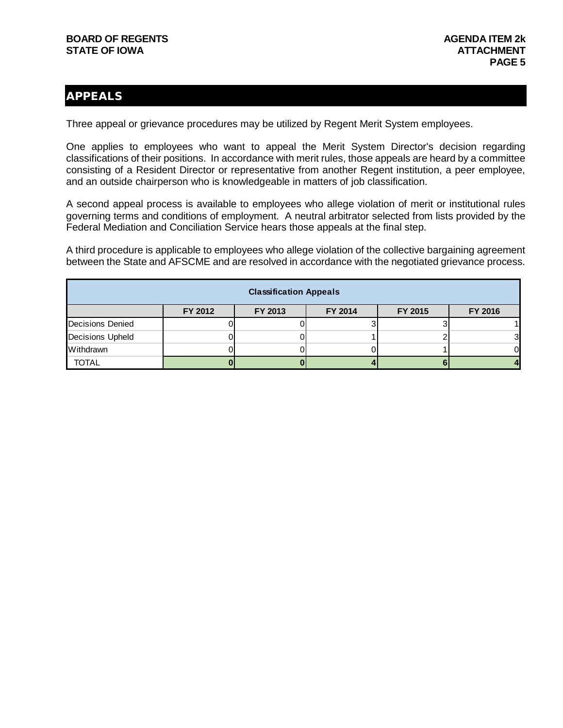#### APPEALS

Three appeal or grievance procedures may be utilized by Regent Merit System employees.

One applies to employees who want to appeal the Merit System Director's decision regarding classifications of their positions. In accordance with merit rules, those appeals are heard by a committee consisting of a Resident Director or representative from another Regent institution, a peer employee, and an outside chairperson who is knowledgeable in matters of job classification.

A second appeal process is available to employees who allege violation of merit or institutional rules governing terms and conditions of employment. A neutral arbitrator selected from lists provided by the Federal Mediation and Conciliation Service hears those appeals at the final step.

A third procedure is applicable to employees who allege violation of the collective bargaining agreement between the State and AFSCME and are resolved in accordance with the negotiated grievance process.

| <b>Classification Appeals</b> |         |         |         |         |         |  |  |  |
|-------------------------------|---------|---------|---------|---------|---------|--|--|--|
|                               | FY 2012 | FY 2013 | FY 2014 | FY 2015 | FY 2016 |  |  |  |
| Decisions Denied              |         |         |         |         |         |  |  |  |
| <b>Decisions Upheld</b>       |         |         |         |         |         |  |  |  |
| Withdrawn                     |         |         |         |         |         |  |  |  |
| <b>TOTAL</b>                  |         |         |         |         |         |  |  |  |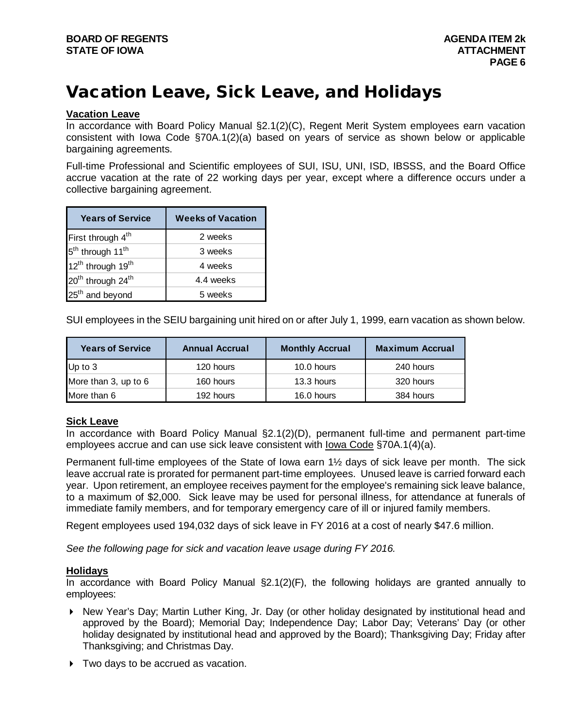# Vacation Leave, Sick Leave, and Holidays

#### **Vacation Leave**

In accordance with Board Policy Manual §2.1(2)(C), Regent Merit System employees earn vacation consistent with Iowa Code §70A.1(2)(a) based on years of service as shown below or applicable bargaining agreements.

Full-time Professional and Scientific employees of SUI, ISU, UNI, ISD, IBSSS, and the Board Office accrue vacation at the rate of 22 working days per year, except where a difference occurs under a collective bargaining agreement.

| <b>Years of Service</b>                   | <b>Weeks of Vacation</b> |
|-------------------------------------------|--------------------------|
| First through 4 <sup>th</sup>             | 2 weeks                  |
| 5 <sup>th</sup> through 11 <sup>th</sup>  | 3 weeks                  |
| 12 <sup>th</sup> through 19 <sup>th</sup> | 4 weeks                  |
| 20 <sup>th</sup> through 24 <sup>th</sup> | 4.4 weeks                |
| 25 <sup>th</sup> and beyond               | 5 weeks                  |

SUI employees in the SEIU bargaining unit hired on or after July 1, 1999, earn vacation as shown below.

| <b>Years of Service</b> | <b>Annual Accrual</b> | <b>Monthly Accrual</b> | <b>Maximum Accrual</b> |
|-------------------------|-----------------------|------------------------|------------------------|
| Up to $3$               | 120 hours             | 10.0 hours             | 240 hours              |
| More than 3, up to 6    | 160 hours             | 13.3 hours             | 320 hours              |
| More than 6             | 192 hours             | 16.0 hours             | 384 hours              |

#### **Sick Leave**

In accordance with Board Policy Manual §2.1(2)(D), permanent full-time and permanent part-time employees accrue and can use sick leave consistent with Iowa Code §70A.1(4)(a).

Permanent full-time employees of the State of Iowa earn 1½ days of sick leave per month. The sick leave accrual rate is prorated for permanent part-time employees. Unused leave is carried forward each year. Upon retirement, an employee receives payment for the employee's remaining sick leave balance, to a maximum of \$2,000. Sick leave may be used for personal illness, for attendance at funerals of immediate family members, and for temporary emergency care of ill or injured family members.

Regent employees used 194,032 days of sick leave in FY 2016 at a cost of nearly \$47.6 million.

*See the following page for sick and vacation leave usage during FY 2016.*

#### **Holidays**

In accordance with Board Policy Manual §2.1(2)(F), the following holidays are granted annually to employees:

- ▶ New Year's Day; Martin Luther King, Jr. Day (or other holiday designated by institutional head and approved by the Board); Memorial Day; Independence Day; Labor Day; Veterans' Day (or other holiday designated by institutional head and approved by the Board); Thanksgiving Day; Friday after Thanksgiving; and Christmas Day.
- Two days to be accrued as vacation.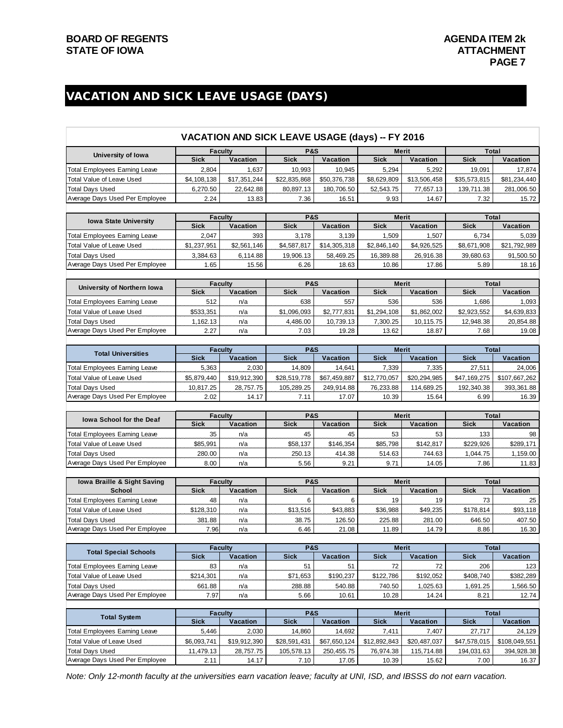### VACATION AND SICK LEAVE USAGE (DAYS)

|                                      |                | VACATION AND SICK LEAVE USAGE (days) -- FY 2016 |                               |                 |                 |                   |                |                                                                                                   |
|--------------------------------------|----------------|-------------------------------------------------|-------------------------------|-----------------|-----------------|-------------------|----------------|---------------------------------------------------------------------------------------------------|
| University of Iowa                   |                | <b>Faculty</b>                                  | <b>P&amp;S</b>                |                 |                 | Merit             | <b>Total</b>   |                                                                                                   |
|                                      | <b>Sick</b>    | Vacation                                        | <b>Sick</b>                   | Vacation        | <b>Sick</b>     | Vacation          | <b>Sick</b>    | Vacation                                                                                          |
| <b>Total Employees Earning Leave</b> | 2,804          | 1,637                                           | 10,993                        | 10,945          | 5,294           | 5,292             | 19,091         | 17,874                                                                                            |
| Total Value of Leave Used            | \$4,108,138    | \$17,351,244                                    | \$22,835,868                  | \$50,376,738    | \$8,629,809     | \$13,506,458      | \$35,573,815   | \$81,234,440                                                                                      |
| <b>Total Days Used</b>               | 6,270.50       | 22,642.88                                       | 80,897.13                     | 180,706.50      | 52,543.75       | 77,657.13         | 139,711.38     | 281,006.50                                                                                        |
| Average Days Used Per Employee       | 2.24           | 13.83                                           | 7.36                          | 16.51           | 9.93            | 14.67             | 7.32           | 15.72                                                                                             |
|                                      |                |                                                 |                               |                 |                 |                   |                |                                                                                                   |
| <b>Iowa State University</b>         |                | <b>Faculty</b>                                  | <b>P&amp;S</b>                |                 |                 | <b>Merit</b>      | <b>Total</b>   |                                                                                                   |
|                                      | <b>Sick</b>    | Vacation                                        | <b>Sick</b>                   | Vacation        | <b>Sick</b>     | Vacation          | <b>Sick</b>    | <b>Vacation</b>                                                                                   |
| <b>Total Employees Earning Leave</b> | 2,047          | 393                                             | 3,178                         | 3,139           | 1,509           | 1,507             | 6,734          | 5,039                                                                                             |
| Total Value of Leave Used            | \$1,237,951    | \$2,561,146                                     | \$4,587,817                   | \$14,305,318    | \$2,846,140     | \$4,926,525       | \$8,671,908    | \$21,792,989                                                                                      |
| <b>Total Days Used</b>               | 3,384.63       | 6,114.88                                        | 19,906.13                     | 58,469.25       | 16,389.88       | 26,916.38         | 39,680.63      | 91,500.50                                                                                         |
| Average Days Used Per Employee       | 1.65           | 15.56                                           | 6.26                          | 18.63           | 10.86           | 17.86             | 5.89           | 18.16                                                                                             |
|                                      |                |                                                 |                               |                 |                 |                   |                |                                                                                                   |
| University of Northern Iowa          | <b>Sick</b>    | <b>Faculty</b><br>Vacation                      | <b>P&amp;S</b><br><b>Sick</b> | Vacation        | <b>Sick</b>     | Merit<br>Vacation | <b>Sick</b>    | Total<br>Vacation                                                                                 |
|                                      | 512            | n/a                                             | 638                           | 557             | 536             | 536               | 1,686          | 1,093                                                                                             |
| Total Employees Earning Leave        |                |                                                 |                               |                 |                 |                   |                |                                                                                                   |
| Total Value of Leave Used            | \$533,351      | n/a                                             | \$1,096,093                   | \$2,777,831     | \$1,294,108     | \$1,862,002       | \$2,923,552    | \$4,639,833                                                                                       |
| <b>Total Days Used</b>               | 1,162.13       | n/a                                             | 4,486.00                      | 10,739.13       | 7,300.25        | 10,115.75         | 12,948.38      | 20,854.88                                                                                         |
| Average Days Used Per Employee       | 2.27           | n/a                                             | 7.03                          | 19.28           | 13.62           | 18.87             | 7.68           | 19.08                                                                                             |
|                                      |                | <b>Faculty</b>                                  | <b>P&amp;S</b>                |                 |                 | <b>Merit</b>      | <b>Total</b>   |                                                                                                   |
| <b>Total Universities</b>            | <b>Sick</b>    | <b>Vacation</b>                                 | <b>Sick</b>                   | <b>Vacation</b> | <b>Sick</b>     | Vacation          | <b>Sick</b>    | Vacation                                                                                          |
| Total Employees Earning Leave        | 5,363          | 2,030                                           | 14,809                        | 14,641          | 7,339           | 7,335             | 27,511         | 24,006                                                                                            |
|                                      |                |                                                 |                               |                 |                 |                   |                |                                                                                                   |
| Total Value of Leave Used            | \$5,879,440    | \$19,912,390                                    | \$28,519,778                  | \$67,459,887    | \$12,770,057    | \$20,294,985      | \$47,169,275   | \$107,667,262                                                                                     |
| <b>Total Days Used</b>               | 10,817.25      | 28,757.75                                       | 105,289.25                    | 249,914.88      | 76,233.88       | 114,689.25        | 192,340.38     | 393,361.88                                                                                        |
| Average Days Used Per Employee       | 2.02           | 14.17                                           | 7.11                          | 17.07           | 10.39           | 15.64             | 6.99           | 16.39                                                                                             |
|                                      |                | <b>Faculty</b>                                  | <b>P&amp;S</b>                |                 |                 | Merit             | <b>Total</b>   |                                                                                                   |
| <b>Iowa School for the Deaf</b>      | <b>Sick</b>    | Vacation                                        | <b>Sick</b>                   | Vacation        | <b>Sick</b>     | Vacation          | <b>Sick</b>    | Vacation                                                                                          |
| Total Employees Earning Leave        | 35             | n/a                                             | 45                            | 45              | 53              | 53                | 133            | 98                                                                                                |
| Total Value of Leave Used            | \$85,991       | n/a                                             | \$58,137                      | \$146,354       | \$85,798        | \$142,817         | \$229,926      | \$289,171                                                                                         |
| <b>Total Days Used</b>               | 280.00         | n/a                                             | 250.13                        | 414.38          | 514.63          | 744.63            | 1,044.75       | 1,159.00                                                                                          |
| Average Days Used Per Employee       | 8.00           | n/a                                             | 5.56                          | 9.21            | 9.71            | 14.05             | 7.86           | 11.83                                                                                             |
|                                      |                |                                                 |                               |                 |                 |                   |                |                                                                                                   |
| lowa Braille & Sight Saving          |                | <b>Faculty</b>                                  | <b>P&amp;S</b>                |                 |                 | Merit             |                | Total                                                                                             |
| School                               | <b>Sick</b>    | Vacation                                        | <b>Sick</b>                   | <b>Vacation</b> | <b>Sick</b>     | Vacation          | <b>Sick</b>    | Vacation                                                                                          |
|                                      |                |                                                 |                               |                 |                 |                   |                |                                                                                                   |
| <b>Total Employees Earning Leave</b> | 48             | n/a                                             | 6                             | 6               | 19              | 19                | 73             |                                                                                                   |
| Total Value of Leave Used            |                | n/a                                             |                               | \$43,883        | \$36,988        |                   |                |                                                                                                   |
|                                      | \$128,310      |                                                 | \$13,516                      |                 |                 | \$49,235          | \$178,814      |                                                                                                   |
| <b>Total Days Used</b>               | 381.88<br>7.96 | n/a<br>n/a                                      | 38.75<br>6.46                 | 126.50<br>21.08 | 225.88<br>11.89 | 281.00<br>14.79   | 646.50<br>8.86 | 407.50                                                                                            |
| Average Days Used Per Employee       |                |                                                 |                               |                 |                 |                   |                |                                                                                                   |
|                                      |                | <b>Faculty</b>                                  | <b>P&amp;S</b>                |                 |                 | <b>Merit</b>      | <b>Total</b>   |                                                                                                   |
| <b>Total Special Schools</b>         | <b>Sick</b>    | Vacation                                        | <b>Sick</b>                   | Vacation        | <b>Sick</b>     | Vacation          | <b>Sick</b>    | Vacation                                                                                          |
| Total Employees Earning Leave        | 83             | n/a                                             | 51                            | 51              | 72              | 72                | 206            |                                                                                                   |
| Total Value of Leave Used            | \$214,301      | n/a                                             | \$71,653                      | \$190,237       | \$122,786       | \$192,052         | \$408,740      |                                                                                                   |
| Total Days Used                      | 661.88         | n/a                                             | 288.88                        | 540.88          | 740.50          | 1,025.63          | 1,691.25       |                                                                                                   |
| Average Days Used Per Employee       | 7.97           | n/a                                             | 5.66                          | 10.61           | 10.28           | 14.24             | 8.21           |                                                                                                   |
|                                      |                |                                                 |                               |                 |                 |                   |                |                                                                                                   |
| <b>Total System</b>                  |                | <b>Faculty</b>                                  | <b>P&amp;S</b>                |                 |                 | <b>Merit</b>      | <b>Total</b>   |                                                                                                   |
|                                      | <b>Sick</b>    | Vacation                                        | <b>Sick</b>                   | <b>Vacation</b> | <b>Sick</b>     | Vacation          | <b>Sick</b>    | Vacation                                                                                          |
| <b>Total Employees Earning Leave</b> | 5,446          | 2,030                                           | 14,860                        | 14,692          | 7,411           | 7,407             | 27,717         |                                                                                                   |
| Total Value of Leave Used            | \$6,093,741    | \$19,912,390                                    | \$28,591,431                  | \$67,650,124    | \$12,892,843    | \$20,487,037      | \$47,578,015   | \$108,049,551                                                                                     |
| <b>Total Days Used</b>               | 11,479.13      | 28,757.75                                       | 105,578.13                    | 250,455.75      | 76,974.38       | 115,714.88        | 194,031.63     |                                                                                                   |
| Average Days Used Per Employee       | 2.11           | 14.17                                           | 7.10                          | 17.05           | 10.39           | 15.62             | 7.00           | 25<br>\$93,118<br>16.30<br>123<br>\$382,289<br>1,566.50<br>12.74<br>24,129<br>394,928.38<br>16.37 |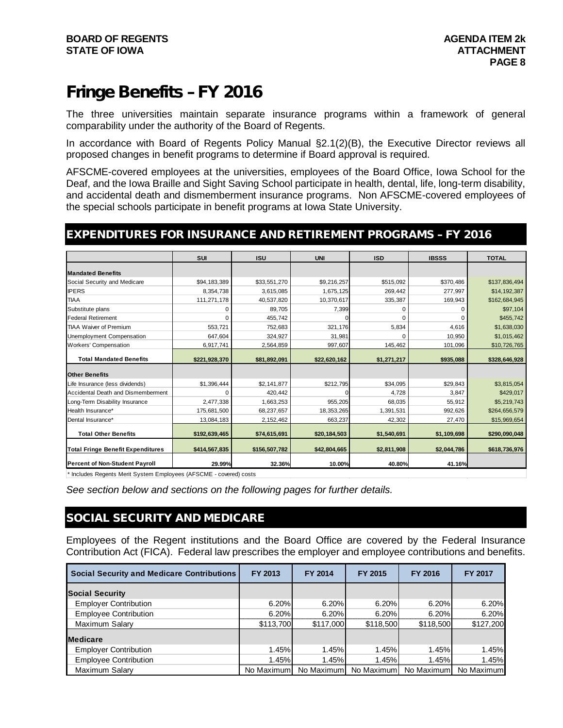## Fringe Benefits – FY 2016

The three universities maintain separate insurance programs within a framework of general comparability under the authority of the Board of Regents.

In accordance with Board of Regents Policy Manual §2.1(2)(B), the Executive Director reviews all proposed changes in benefit programs to determine if Board approval is required.

AFSCME-covered employees at the universities, employees of the Board Office, Iowa School for the Deaf, and the Iowa Braille and Sight Saving School participate in health, dental, life, long-term disability, and accidental death and dismemberment insurance programs. Non AFSCME-covered employees of the special schools participate in benefit programs at Iowa State University.

#### EXPENDITURES FOR INSURANCE AND RETIREMENT PROGRAMS – FY 2016

|                                          | <b>SUI</b>    | <b>ISU</b>    | <b>UNI</b>   | <b>ISD</b>  | <b>IBSSS</b> | <b>TOTAL</b>  |
|------------------------------------------|---------------|---------------|--------------|-------------|--------------|---------------|
|                                          |               |               |              |             |              |               |
| <b>Mandated Benefits</b>                 |               |               |              |             |              |               |
| Social Security and Medicare             | \$94,183,389  | \$33,551,270  | \$9,216,257  | \$515,092   | \$370,486    | \$137,836,494 |
| <b>IPERS</b>                             | 8,354,738     | 3,615,085     | 1,675,125    | 269,442     | 277,997      | \$14,192,387  |
| <b>TIAA</b>                              | 111,271,178   | 40,537,820    | 10,370,617   | 335,387     | 169,943      | \$162,684,945 |
| Substitute plans                         | $\Omega$      | 89,705        | 7,399        | C           | 0            | \$97,104      |
| <b>Federal Retirement</b>                | $\Omega$      | 455.742       |              |             | $\Omega$     | \$455,742     |
| <b>TIAA Waiver of Premium</b>            | 553,721       | 752,683       | 321,176      | 5,834       | 4,616        | \$1,638,030   |
| Unemployment Compensation                | 647,604       | 324,927       | 31,981       |             | 10,950       | \$1,015,462   |
| Workers' Compensation                    | 6,917,741     | 2,564,859     | 997.607      | 145,462     | 101,096      | \$10,726,765  |
|                                          |               |               |              |             |              |               |
| <b>Total Mandated Benefits</b>           | \$221,928,370 | \$81,892,091  | \$22,620,162 | \$1,271,217 | \$935,088    | \$328,646,928 |
| <b>Other Benefits</b>                    |               |               |              |             |              |               |
| Life Insurance (less dividends)          | \$1,396,444   | \$2,141,877   | \$212,795    | \$34,095    | \$29,843     | \$3,815,054   |
| Accidental Death and Dismemberment       | 0             | 420,442       |              | 4,728       | 3,847        | \$429,017     |
| Long-Term Disability Insurance           | 2,477,338     | 1,663,253     | 955,205      | 68,035      | 55,912       | \$5,219,743   |
| Health Insurance*                        | 175,681,500   | 68,237,657    | 18,353,265   | 1,391,531   | 992,626      | \$264,656,579 |
| Dental Insurance*                        | 13,084,183    | 2,152,462     | 663,237      | 42,302      | 27,470       | \$15,969,654  |
| <b>Total Other Benefits</b>              | \$192,639,465 | \$74,615,691  | \$20,184,503 | \$1,540,691 | \$1,109,698  | \$290,090,048 |
|                                          |               |               |              |             |              |               |
| <b>Total Fringe Benefit Expenditures</b> | \$414,567,835 | \$156,507,782 | \$42,804,665 | \$2,811,908 | \$2,044,786  | \$618,736,976 |
| <b>Percent of Non-Student Payroll</b>    | 29.99%        | 32.36%        | 10.00%       | 40.80%      | 41.16%       |               |

\* Includes Regents Merit System Employees (AFSCME - covered) costs

*See section below and sections on the following pages for further details.*

#### SOCIAL SECURITY AND MEDICARE

Employees of the Regent institutions and the Board Office are covered by the Federal Insurance Contribution Act (FICA). Federal law prescribes the employer and employee contributions and benefits.

| <b>Social Security and Medicare Contributions</b> | FY 2013    | FY 2014    | FY 2015    | FY 2016    | FY 2017    |
|---------------------------------------------------|------------|------------|------------|------------|------------|
| <b>Social Security</b>                            |            |            |            |            |            |
| <b>Employer Contribution</b>                      | 6.20%      | 6.20%      | 6.20%      | 6.20%      | 6.20%      |
| <b>Employee Contribution</b>                      | 6.20%      | 6.20%      | 6.20%      | 6.20%      | 6.20%      |
| Maximum Salary                                    | \$113.700  | \$117,000  | \$118,500  | \$118,500  | \$127,200  |
| <b>Medicare</b>                                   |            |            |            |            |            |
| <b>Employer Contribution</b>                      | 1.45%      | 1.45%      | 1.45%      | 1.45%      | 1.45%      |
| <b>Employee Contribution</b>                      | 1.45%      | 1.45%      | 1.45%      | 1.45%      | 1.45%      |
| Maximum Salary                                    | No Maximum | No Maximum | No Maximum | No Maximum | No Maximum |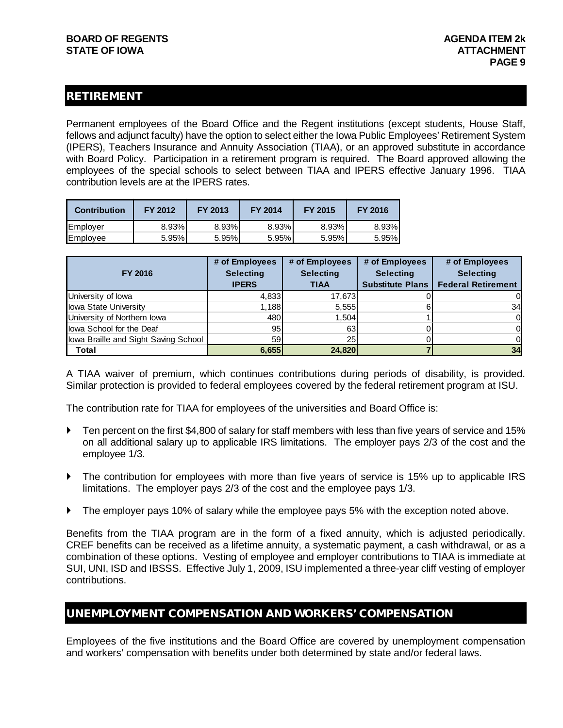#### RETIREMENT

Permanent employees of the Board Office and the Regent institutions (except students, House Staff, fellows and adjunct faculty) have the option to select either the Iowa Public Employees' Retirement System (IPERS), Teachers Insurance and Annuity Association (TIAA), or an approved substitute in accordance with Board Policy. Participation in a retirement program is required. The Board approved allowing the employees of the special schools to select between TIAA and IPERS effective January 1996. TIAA contribution levels are at the IPERS rates.

| <b>Contribution</b> | FY 2012 | FY 2013 | FY 2014 | <b>FY 2015</b> | FY 2016 |
|---------------------|---------|---------|---------|----------------|---------|
| Employer            | 8.93%   | 8.93%   | 8.93%   | 8.93%          | 8.93%   |
| Employee            | 5.95%   | 5.95%   | 5.95%   | 5.95%          | 5.95%   |

| <b>FY 2016</b>                       | # of Employees<br><b>Selecting</b><br><b>IPERS</b> | # of Employees<br><b>Selecting</b><br><b>TIAA</b> | # of Employees<br><b>Selecting</b><br><b>Substitute Plans</b> | # of Employees<br><b>Selecting</b><br><b>Federal Retirement</b> |
|--------------------------------------|----------------------------------------------------|---------------------------------------------------|---------------------------------------------------------------|-----------------------------------------------------------------|
| University of lowa                   | 4,833                                              | 17,673                                            |                                                               |                                                                 |
| Iowa State University                | 1,188                                              | 5,555                                             |                                                               | 34                                                              |
| University of Northern Iowa          | 480                                                | 1,504                                             |                                                               | 0                                                               |
| lowa School for the Deaf             | 95                                                 | 63                                                |                                                               | ΟI                                                              |
| lowa Braille and Sight Saving School | 59                                                 | 25                                                |                                                               |                                                                 |
| <b>Total</b>                         | 6,655                                              | 24,820                                            |                                                               | 34                                                              |

A TIAA waiver of premium, which continues contributions during periods of disability, is provided. Similar protection is provided to federal employees covered by the federal retirement program at ISU.

The contribution rate for TIAA for employees of the universities and Board Office is:

- ▶ Ten percent on the first \$4,800 of salary for staff members with less than five years of service and 15% on all additional salary up to applicable IRS limitations. The employer pays 2/3 of the cost and the employee 1/3.
- The contribution for employees with more than five years of service is 15% up to applicable IRS limitations. The employer pays 2/3 of the cost and the employee pays 1/3.
- The employer pays 10% of salary while the employee pays 5% with the exception noted above.

Benefits from the TIAA program are in the form of a fixed annuity, which is adjusted periodically. CREF benefits can be received as a lifetime annuity, a systematic payment, a cash withdrawal, or as a combination of these options. Vesting of employee and employer contributions to TIAA is immediate at SUI, UNI, ISD and IBSSS. Effective July 1, 2009, ISU implemented a three-year cliff vesting of employer contributions.

#### UNEMPLOYMENT COMPENSATION AND WORKERS' COMPENSATION

Employees of the five institutions and the Board Office are covered by unemployment compensation and workers' compensation with benefits under both determined by state and/or federal laws.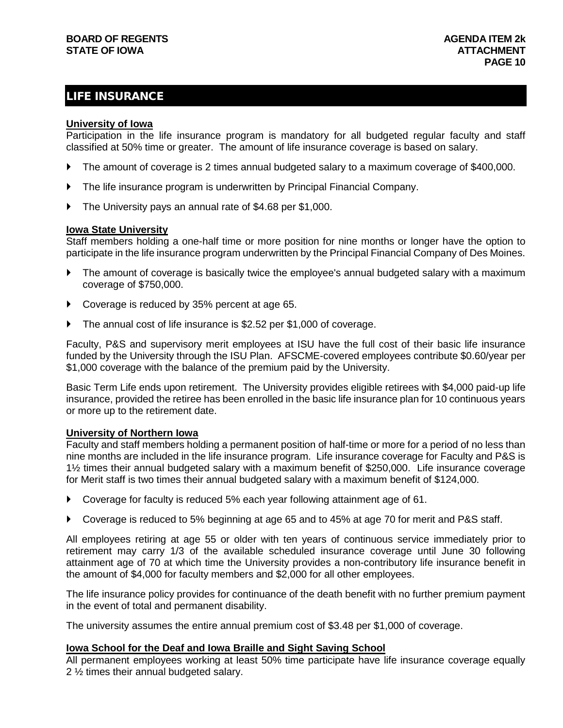#### LIFE INSURANCE

#### **University of Iowa**

Participation in the life insurance program is mandatory for all budgeted regular faculty and staff classified at 50% time or greater. The amount of life insurance coverage is based on salary.

- The amount of coverage is 2 times annual budgeted salary to a maximum coverage of \$400,000.
- The life insurance program is underwritten by Principal Financial Company.
- The University pays an annual rate of \$4.68 per \$1,000.

#### **Iowa State University**

Staff members holding a one-half time or more position for nine months or longer have the option to participate in the life insurance program underwritten by the Principal Financial Company of Des Moines.

- The amount of coverage is basically twice the employee's annual budgeted salary with a maximum coverage of \$750,000.
- ▶ Coverage is reduced by 35% percent at age 65.
- The annual cost of life insurance is \$2.52 per \$1,000 of coverage.

Faculty, P&S and supervisory merit employees at ISU have the full cost of their basic life insurance funded by the University through the ISU Plan. AFSCME-covered employees contribute \$0.60/year per \$1,000 coverage with the balance of the premium paid by the University.

Basic Term Life ends upon retirement. The University provides eligible retirees with \$4,000 paid-up life insurance, provided the retiree has been enrolled in the basic life insurance plan for 10 continuous years or more up to the retirement date.

#### **University of Northern Iowa**

Faculty and staff members holding a permanent position of half-time or more for a period of no less than nine months are included in the life insurance program. Life insurance coverage for Faculty and P&S is 1½ times their annual budgeted salary with a maximum benefit of \$250,000. Life insurance coverage for Merit staff is two times their annual budgeted salary with a maximum benefit of \$124,000.

- ▶ Coverage for faculty is reduced 5% each year following attainment age of 61.
- ▶ Coverage is reduced to 5% beginning at age 65 and to 45% at age 70 for merit and P&S staff.

All employees retiring at age 55 or older with ten years of continuous service immediately prior to retirement may carry 1/3 of the available scheduled insurance coverage until June 30 following attainment age of 70 at which time the University provides a non-contributory life insurance benefit in the amount of \$4,000 for faculty members and \$2,000 for all other employees.

The life insurance policy provides for continuance of the death benefit with no further premium payment in the event of total and permanent disability.

The university assumes the entire annual premium cost of \$3.48 per \$1,000 of coverage.

#### **Iowa School for the Deaf and Iowa Braille and Sight Saving School**

All permanent employees working at least 50% time participate have life insurance coverage equally 2 ½ times their annual budgeted salary.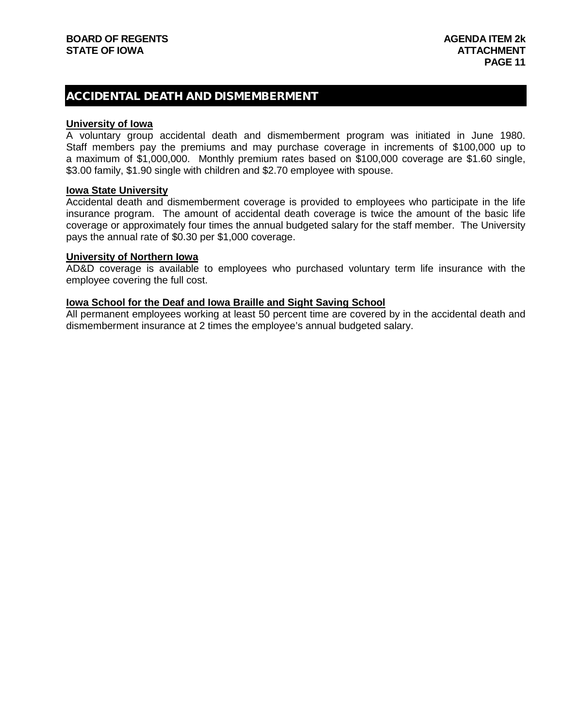#### ACCIDENTAL DEATH AND DISMEMBERMENT

#### **University of Iowa**

A voluntary group accidental death and dismemberment program was initiated in June 1980. Staff members pay the premiums and may purchase coverage in increments of \$100,000 up to a maximum of \$1,000,000. Monthly premium rates based on \$100,000 coverage are \$1.60 single, \$3.00 family, \$1.90 single with children and \$2.70 employee with spouse.

#### **Iowa State University**

Accidental death and dismemberment coverage is provided to employees who participate in the life insurance program. The amount of accidental death coverage is twice the amount of the basic life coverage or approximately four times the annual budgeted salary for the staff member. The University pays the annual rate of \$0.30 per \$1,000 coverage.

#### **University of Northern Iowa**

AD&D coverage is available to employees who purchased voluntary term life insurance with the employee covering the full cost.

#### **Iowa School for the Deaf and Iowa Braille and Sight Saving School**

All permanent employees working at least 50 percent time are covered by in the accidental death and dismemberment insurance at 2 times the employee's annual budgeted salary.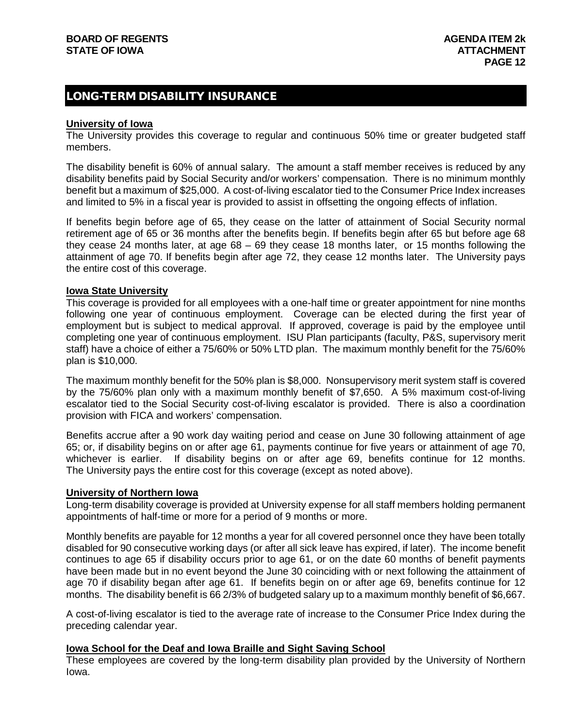#### LONG-TERM DISABILITY INSURANCE

#### **University of Iowa**

The University provides this coverage to regular and continuous 50% time or greater budgeted staff members.

The disability benefit is 60% of annual salary. The amount a staff member receives is reduced by any disability benefits paid by Social Security and/or workers' compensation. There is no minimum monthly benefit but a maximum of \$25,000. A cost-of-living escalator tied to the Consumer Price Index increases and limited to 5% in a fiscal year is provided to assist in offsetting the ongoing effects of inflation.

If benefits begin before age of 65, they cease on the latter of attainment of Social Security normal retirement age of 65 or 36 months after the benefits begin. If benefits begin after 65 but before age 68 they cease 24 months later, at age 68 – 69 they cease 18 months later, or 15 months following the attainment of age 70. If benefits begin after age 72, they cease 12 months later. The University pays the entire cost of this coverage.

#### **Iowa State University**

This coverage is provided for all employees with a one-half time or greater appointment for nine months following one year of continuous employment. Coverage can be elected during the first year of employment but is subject to medical approval. If approved, coverage is paid by the employee until completing one year of continuous employment. ISU Plan participants (faculty, P&S, supervisory merit staff) have a choice of either a 75/60% or 50% LTD plan. The maximum monthly benefit for the 75/60% plan is \$10,000.

The maximum monthly benefit for the 50% plan is \$8,000. Nonsupervisory merit system staff is covered by the 75/60% plan only with a maximum monthly benefit of \$7,650. A 5% maximum cost-of-living escalator tied to the Social Security cost-of-living escalator is provided. There is also a coordination provision with FICA and workers' compensation.

Benefits accrue after a 90 work day waiting period and cease on June 30 following attainment of age 65; or, if disability begins on or after age 61, payments continue for five years or attainment of age 70, whichever is earlier. If disability begins on or after age 69, benefits continue for 12 months. The University pays the entire cost for this coverage (except as noted above).

#### **University of Northern Iowa**

Long-term disability coverage is provided at University expense for all staff members holding permanent appointments of half-time or more for a period of 9 months or more.

Monthly benefits are payable for 12 months a year for all covered personnel once they have been totally disabled for 90 consecutive working days (or after all sick leave has expired, if later). The income benefit continues to age 65 if disability occurs prior to age 61, or on the date 60 months of benefit payments have been made but in no event beyond the June 30 coinciding with or next following the attainment of age 70 if disability began after age 61. If benefits begin on or after age 69, benefits continue for 12 months. The disability benefit is 66 2/3% of budgeted salary up to a maximum monthly benefit of \$6,667.

A cost-of-living escalator is tied to the average rate of increase to the Consumer Price Index during the preceding calendar year.

#### **Iowa School for the Deaf and Iowa Braille and Sight Saving School**

These employees are covered by the long-term disability plan provided by the University of Northern Iowa.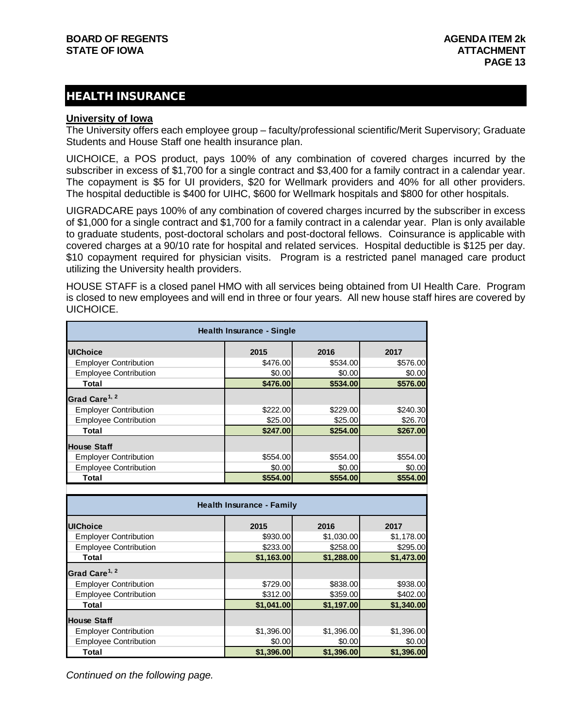#### HEALTH INSURANCE

#### **University of Iowa**

The University offers each employee group – faculty/professional scientific/Merit Supervisory; Graduate Students and House Staff one health insurance plan.

UICHOICE, a POS product, pays 100% of any combination of covered charges incurred by the subscriber in excess of \$1,700 for a single contract and \$3,400 for a family contract in a calendar year. The copayment is \$5 for UI providers, \$20 for Wellmark providers and 40% for all other providers. The hospital deductible is \$400 for UIHC, \$600 for Wellmark hospitals and \$800 for other hospitals.

UIGRADCARE pays 100% of any combination of covered charges incurred by the subscriber in excess of \$1,000 for a single contract and \$1,700 for a family contract in a calendar year. Plan is only available to graduate students, post-doctoral scholars and post-doctoral fellows. Coinsurance is applicable with covered charges at a 90/10 rate for hospital and related services. Hospital deductible is \$125 per day. \$10 copayment required for physician visits. Program is a restricted panel managed care product utilizing the University health providers.

HOUSE STAFF is a closed panel HMO with all services being obtained from UI Health Care. Program is closed to new employees and will end in three or four years. All new house staff hires are covered by UICHOICE.

| <b>Health Insurance - Single</b> |          |          |          |  |  |  |
|----------------------------------|----------|----------|----------|--|--|--|
| <b>UIChoice</b>                  | 2015     | 2016     | 2017     |  |  |  |
| <b>Employer Contribution</b>     | \$476.00 | \$534.00 | \$576.00 |  |  |  |
| <b>Employee Contribution</b>     | \$0.00   | \$0.00   | \$0.00   |  |  |  |
| Total                            | \$476.00 | \$534.00 | \$576.00 |  |  |  |
| Grad Care <sup>1, 2</sup>        |          |          |          |  |  |  |
| <b>Employer Contribution</b>     | \$222.00 | \$229.00 | \$240.30 |  |  |  |
| <b>Employee Contribution</b>     | \$25.00  | \$25.00  | \$26.70  |  |  |  |
| Total                            | \$247.00 | \$254.00 | \$267.00 |  |  |  |
| <b>House Staff</b>               |          |          |          |  |  |  |
| <b>Employer Contribution</b>     | \$554.00 | \$554,00 | \$554.00 |  |  |  |
| <b>Employee Contribution</b>     | \$0.00   | \$0.00   | \$0.00   |  |  |  |
| Total                            | \$554.00 | \$554.00 | \$554.00 |  |  |  |

| Health Insurance - Family    |            |            |            |  |  |  |
|------------------------------|------------|------------|------------|--|--|--|
| <b>UIChoice</b>              | 2015       | 2016       | 2017       |  |  |  |
| <b>Employer Contribution</b> | \$930,00   | \$1,030.00 | \$1,178.00 |  |  |  |
| <b>Employee Contribution</b> | \$233.00   | \$258.00   | \$295.00   |  |  |  |
| Total                        | \$1,163.00 | \$1,288.00 | \$1,473.00 |  |  |  |
| Grad Care <sup>1, 2</sup>    |            |            |            |  |  |  |
| <b>Employer Contribution</b> | \$729.00   | \$838.00   | \$938.00   |  |  |  |
| <b>Employee Contribution</b> | \$312,00   | \$359.00   | \$402.00   |  |  |  |
| Total                        | \$1,041.00 | \$1,197.00 | \$1,340.00 |  |  |  |
| <b>House Staff</b>           |            |            |            |  |  |  |
| <b>Employer Contribution</b> | \$1,396.00 | \$1,396.00 | \$1,396.00 |  |  |  |
| <b>Employee Contribution</b> | \$0.00     | \$0.00     | \$0.00     |  |  |  |
| Total                        | \$1,396.00 | \$1,396.00 | \$1,396.00 |  |  |  |

*Continued on the following page.*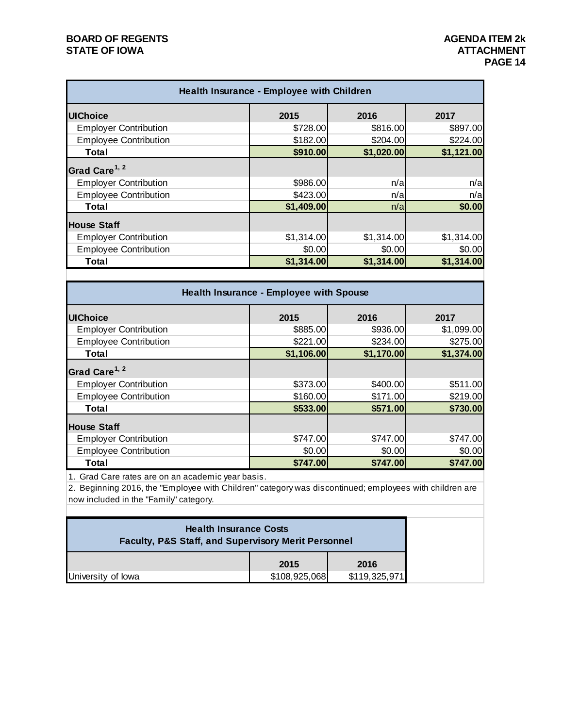#### **BOARD OF REGENTS**<br> **BOARD OF REGENTS**<br> **BOARD OF IOWA**<br> **ATTACHMENT STATE OF IOWA**

| Health Insurance - Employee with Children |            |            |            |  |  |
|-------------------------------------------|------------|------------|------------|--|--|
| <b>UIChoice</b>                           | 2015       | 2016       | 2017       |  |  |
| <b>Employer Contribution</b>              | \$728.00   | \$816.00   | \$897.00   |  |  |
| <b>Employee Contribution</b>              | \$182.00   | \$204.00   | \$224.00   |  |  |
| Total                                     | \$910.00   | \$1,020.00 | \$1,121.00 |  |  |
| Grad Care <sup>1, 2</sup>                 |            |            |            |  |  |
| <b>Employer Contribution</b>              | \$986.00   | n/a        | n/a        |  |  |
| <b>Employee Contribution</b>              | \$423.00   | n/a        | n/a        |  |  |
| Total                                     | \$1,409.00 | n/a        | \$0.00     |  |  |
| <b>House Staff</b>                        |            |            |            |  |  |
| <b>Employer Contribution</b>              | \$1,314.00 | \$1,314.00 | \$1,314.00 |  |  |
| <b>Employee Contribution</b>              | \$0.00     | \$0.00     | \$0.00     |  |  |
| Total                                     | \$1,314.00 | \$1,314.00 | \$1,314.00 |  |  |

| Health Insurance - Employee with Spouse |            |            |            |  |  |
|-----------------------------------------|------------|------------|------------|--|--|
| <b>UIChoice</b>                         | 2015       | 2016       | 2017       |  |  |
| <b>Employer Contribution</b>            | \$885.00   | \$936.00   | \$1,099.00 |  |  |
| <b>Employee Contribution</b>            | \$221.00   | \$234.00   | \$275.00   |  |  |
| Total                                   | \$1,106.00 | \$1,170.00 | \$1,374.00 |  |  |
| Grad Care <sup>1, 2</sup>               |            |            |            |  |  |
| <b>Employer Contribution</b>            | \$373.00   | \$400.00   | \$511.00   |  |  |
| <b>Employee Contribution</b>            | \$160.00   | \$171.00   | \$219.00   |  |  |
| <b>Total</b>                            | \$533.00   | \$571.00   | \$730.00   |  |  |
| <b>House Staff</b>                      |            |            |            |  |  |
| <b>Employer Contribution</b>            | \$747.00   | \$747.00   | \$747.00   |  |  |
| <b>Employee Contribution</b>            | \$0.00     | \$0.00     | \$0.00     |  |  |
| Total                                   | \$747.00   | \$747.00   | \$747.00   |  |  |

1. Grad Care rates are on an academic year basis.

2. Beginning 2016, the "Employee with Children" category was discontinued; employees with children are now included in the "Family" category.

| <b>Health Insurance Costs</b><br><b>Faculty, P&amp;S Staff, and Supervisory Merit Personnel</b> |               |               |  |  |  |
|-------------------------------------------------------------------------------------------------|---------------|---------------|--|--|--|
|                                                                                                 | 2015<br>2016  |               |  |  |  |
| University of lowa                                                                              | \$108,925,068 | \$119,325,971 |  |  |  |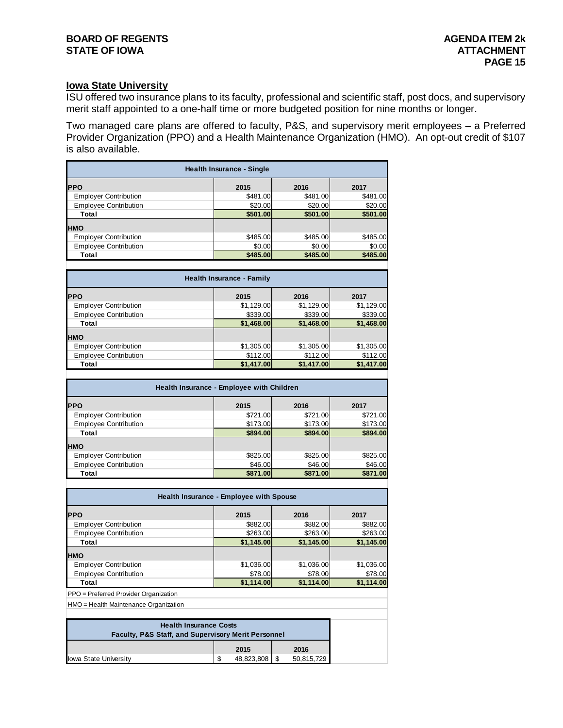#### **BOARD OF REGENTS AGENDA ITEM 2k STATE OF IOWA**

#### **Iowa State University**

ISU offered two insurance plans to its faculty, professional and scientific staff, post docs, and supervisory merit staff appointed to a one-half time or more budgeted position for nine months or longer.

Two managed care plans are offered to faculty, P&S, and supervisory merit employees – a Preferred Provider Organization (PPO) and a Health Maintenance Organization (HMO). An opt-out credit of \$107 is also available.

| <b>Health Insurance - Single</b>   |          |          |          |  |  |  |  |  |  |
|------------------------------------|----------|----------|----------|--|--|--|--|--|--|
| <b>PPO</b><br>2015<br>2016<br>2017 |          |          |          |  |  |  |  |  |  |
| <b>Employer Contribution</b>       | \$481.00 | \$481.00 | \$481.00 |  |  |  |  |  |  |
| <b>Employee Contribution</b>       | \$20.00  | \$20.00  | \$20.00  |  |  |  |  |  |  |
| Total                              | \$501.00 | \$501.00 | \$501.00 |  |  |  |  |  |  |
| <b>HMO</b>                         |          |          |          |  |  |  |  |  |  |
| <b>Employer Contribution</b>       | \$485.00 | \$485.00 | \$485.00 |  |  |  |  |  |  |
| <b>Employee Contribution</b>       | \$0.00   | \$0.00   | \$0.00   |  |  |  |  |  |  |
| Total                              | \$485.00 | \$485.00 | \$485.00 |  |  |  |  |  |  |
|                                    |          |          |          |  |  |  |  |  |  |

| <b>Health Insurance - Family</b> |            |            |            |  |  |
|----------------------------------|------------|------------|------------|--|--|
| <b>PPO</b>                       | 2015       | 2016       | 2017       |  |  |
| <b>Employer Contribution</b>     | \$1,129.00 | \$1,129.00 | \$1,129.00 |  |  |
| <b>Employee Contribution</b>     | \$339.00   | \$339.00   | \$339.00   |  |  |
| Total                            | \$1,468.00 | \$1,468.00 | \$1,468.00 |  |  |
| <b>HMO</b>                       |            |            |            |  |  |
| <b>Employer Contribution</b>     | \$1,305.00 | \$1,305.00 | \$1,305.00 |  |  |
| <b>Employee Contribution</b>     | \$112.00   | \$112.00   | \$112.00   |  |  |
| Total                            | \$1,417.00 | \$1,417.00 | \$1,417.00 |  |  |
|                                  |            |            |            |  |  |

| Health Insurance - Employee with Children |          |          |          |  |  |
|-------------------------------------------|----------|----------|----------|--|--|
| <b>PPO</b>                                | 2015     | 2016     | 2017     |  |  |
| <b>Employer Contribution</b>              | \$721.00 | \$721.00 | \$721.00 |  |  |
| <b>Employee Contribution</b>              | \$173.00 | \$173.00 | \$173.00 |  |  |
| Total                                     | \$894.00 | \$894,00 | \$894.00 |  |  |
| <b>HMO</b>                                |          |          |          |  |  |
| <b>Employer Contribution</b>              | \$825.00 | \$825.00 | \$825.00 |  |  |
| <b>Employee Contribution</b>              | \$46.00  | \$46.00  | \$46.00  |  |  |
| Total                                     | \$871.00 | \$871,00 | \$871.00 |  |  |

| <b>Health Insurance - Employee with Spouse</b> |            |            |            |  |  |  |
|------------------------------------------------|------------|------------|------------|--|--|--|
| <b>IPPO</b>                                    | 2015       | 2016       | 2017       |  |  |  |
| <b>Employer Contribution</b>                   | \$882.00   | \$882.00   | \$882.00   |  |  |  |
| <b>Employee Contribution</b>                   | \$263.00   | \$263.00   | \$263.00   |  |  |  |
| Total                                          | \$1,145.00 | \$1,145.00 | \$1,145.00 |  |  |  |
| <b>HMO</b>                                     |            |            |            |  |  |  |
| <b>Employer Contribution</b>                   | \$1,036.00 | \$1,036.00 | \$1,036.00 |  |  |  |
| <b>Employee Contribution</b>                   | \$78.00    | \$78.00    | \$78.00    |  |  |  |
| Total                                          | \$1,114.00 | \$1,114.00 | \$1,114.00 |  |  |  |

PPO = Preferred Provider Organization

HMO = Health Maintenance Organization

| <b>Health Insurance Costs</b><br><b>Faculty, P&amp;S Staff, and Supervisory Merit Personnel</b> |     |                 |  |            |  |  |
|-------------------------------------------------------------------------------------------------|-----|-----------------|--|------------|--|--|
| 2015<br>2016                                                                                    |     |                 |  |            |  |  |
| lowa State University                                                                           | -\$ | 48,823,808   \$ |  | 50,815,729 |  |  |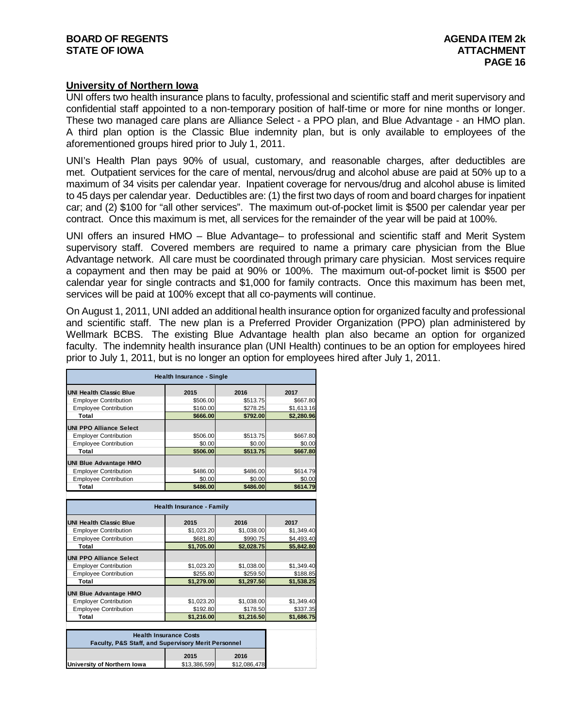#### **University of Northern Iowa**

UNI offers two health insurance plans to faculty, professional and scientific staff and merit supervisory and confidential staff appointed to a non-temporary position of half-time or more for nine months or longer. These two managed care plans are Alliance Select - a PPO plan, and Blue Advantage - an HMO plan. A third plan option is the Classic Blue indemnity plan, but is only available to employees of the aforementioned groups hired prior to July 1, 2011.

UNI's Health Plan pays 90% of usual, customary, and reasonable charges, after deductibles are met. Outpatient services for the care of mental, nervous/drug and alcohol abuse are paid at 50% up to a maximum of 34 visits per calendar year. Inpatient coverage for nervous/drug and alcohol abuse is limited to 45 days per calendar year. Deductibles are: (1) the first two days of room and board charges for inpatient car; and (2) \$100 for "all other services". The maximum out-of-pocket limit is \$500 per calendar year per contract. Once this maximum is met, all services for the remainder of the year will be paid at 100%.

UNI offers an insured HMO – Blue Advantage– to professional and scientific staff and Merit System supervisory staff. Covered members are required to name a primary care physician from the Blue Advantage network. All care must be coordinated through primary care physician. Most services require a copayment and then may be paid at 90% or 100%. The maximum out-of-pocket limit is \$500 per calendar year for single contracts and \$1,000 for family contracts. Once this maximum has been met, services will be paid at 100% except that all co-payments will continue.

On August 1, 2011, UNI added an additional health insurance option for organized faculty and professional and scientific staff. The new plan is a Preferred Provider Organization (PPO) plan administered by Wellmark BCBS. The existing Blue Advantage health plan also became an option for organized faculty. The indemnity health insurance plan (UNI Health) continues to be an option for employees hired prior to July 1, 2011, but is no longer an option for employees hired after July 1, 2011.

| <b>Health Insurance - Single</b> |          |          |            |  |  |
|----------------------------------|----------|----------|------------|--|--|
| <b>UNI Health Classic Blue</b>   | 2015     | 2016     | 2017       |  |  |
| <b>Employer Contribution</b>     | \$506.00 | \$513.75 | \$667.80   |  |  |
| <b>Employee Contribution</b>     | \$160.00 | \$278.25 | \$1,613.16 |  |  |
| Total                            | \$666.00 | \$792.00 | \$2,280.96 |  |  |
| <b>UNI PPO Alliance Select</b>   |          |          |            |  |  |
| <b>Employer Contribution</b>     | \$506.00 | \$513.75 | \$667.80   |  |  |
| <b>Employee Contribution</b>     | \$0.00   | \$0.00   | \$0.00     |  |  |
| Total                            | \$506.00 | \$513.75 | \$667.80   |  |  |
| <b>UNI Blue Advantage HMO</b>    |          |          |            |  |  |
| <b>Employer Contribution</b>     | \$486.00 | \$486.00 | \$614.79   |  |  |
| <b>Employee Contribution</b>     | \$0.00   | \$0.00   | \$0.00     |  |  |
| Total                            | \$486.00 | \$486.00 | \$614.79   |  |  |

| <b>Health Insurance - Family</b> |            |            |            |
|----------------------------------|------------|------------|------------|
| <b>UNI Health Classic Blue</b>   | 2015       | 2016       | 2017       |
| <b>Employer Contribution</b>     | \$1.023.20 | \$1,038.00 | \$1,349.40 |
| <b>Employee Contribution</b>     | \$681.80   | \$990.75   | \$4,493.40 |
| Total                            | \$1,705.00 | \$2,028.75 | \$5,842.80 |
| <b>UNI PPO Alliance Select</b>   |            |            |            |
| <b>Employer Contribution</b>     | \$1.023.20 | \$1.038.00 | \$1.349.40 |
| <b>Employee Contribution</b>     | \$255.80   | \$259.50   | \$188.85   |
| Total                            | \$1.279.00 | \$1,297.50 | \$1,538.25 |
| <b>UNI Blue Advantage HMO</b>    |            |            |            |
| <b>Employer Contribution</b>     | \$1.023.20 | \$1.038.00 | \$1.349.40 |
| <b>Employee Contribution</b>     | \$192.80   | \$178.50   | \$337.35   |
| Total                            | \$1.216.00 | \$1.216.50 | \$1.686.75 |

| <b>Health Insurance Costs</b><br><b>Faculty, P&amp;S Staff, and Supervisory Merit Personnel</b> |  |  |  |
|-------------------------------------------------------------------------------------------------|--|--|--|
| 2015<br>2016                                                                                    |  |  |  |
| \$13,386,599<br>\$12,086,478<br>University of Northern Iowa                                     |  |  |  |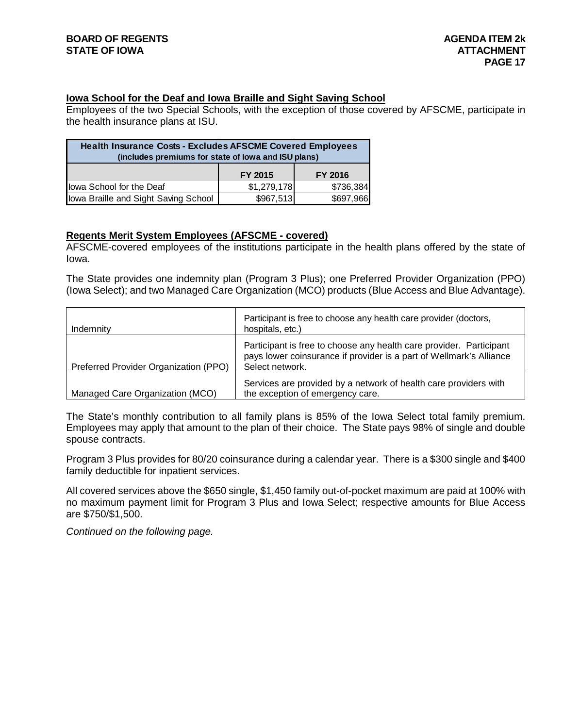#### **Iowa School for the Deaf and Iowa Braille and Sight Saving School**

Employees of the two Special Schools, with the exception of those covered by AFSCME, participate in the health insurance plans at ISU.

| <b>Health Insurance Costs - Excludes AFSCME Covered Employees</b><br>(includes premiums for state of lowa and ISU plans) |                           |           |  |  |
|--------------------------------------------------------------------------------------------------------------------------|---------------------------|-----------|--|--|
|                                                                                                                          | FY 2015<br><b>FY 2016</b> |           |  |  |
| lowa School for the Deaf                                                                                                 | \$1,279,178               | \$736,384 |  |  |
| lowa Braille and Sight Saving School                                                                                     | \$967,513                 | \$697,966 |  |  |

#### **Regents Merit System Employees (AFSCME - covered)**

AFSCME-covered employees of the institutions participate in the health plans offered by the state of Iowa.

The State provides one indemnity plan (Program 3 Plus); one Preferred Provider Organization (PPO) (Iowa Select); and two Managed Care Organization (MCO) products (Blue Access and Blue Advantage).

| Indemnity                             | Participant is free to choose any health care provider (doctors,<br>hospitals, etc.)                                                                          |
|---------------------------------------|---------------------------------------------------------------------------------------------------------------------------------------------------------------|
| Preferred Provider Organization (PPO) | Participant is free to choose any health care provider. Participant<br>pays lower coinsurance if provider is a part of Wellmark's Alliance<br>Select network. |
| Managed Care Organization (MCO)       | Services are provided by a network of health care providers with<br>the exception of emergency care.                                                          |

The State's monthly contribution to all family plans is 85% of the Iowa Select total family premium. Employees may apply that amount to the plan of their choice. The State pays 98% of single and double spouse contracts.

Program 3 Plus provides for 80/20 coinsurance during a calendar year. There is a \$300 single and \$400 family deductible for inpatient services.

All covered services above the \$650 single, \$1,450 family out-of-pocket maximum are paid at 100% with no maximum payment limit for Program 3 Plus and Iowa Select; respective amounts for Blue Access are \$750/\$1,500.

*Continued on the following page.*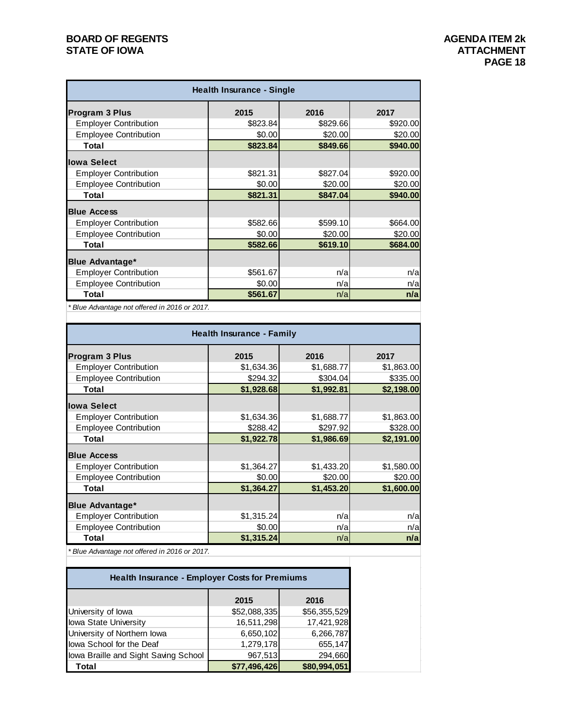#### **BOARD OF REGENTS**<br> **BOARD OF REGENTS**<br> **BOARD OF IOWA**<br> **ATTACHMENT STATE OF IOWA**

| <b>Health Insurance - Single</b> |          |          |          |
|----------------------------------|----------|----------|----------|
| <b>Program 3 Plus</b>            | 2015     | 2016     | 2017     |
| <b>Employer Contribution</b>     | \$823.84 | \$829.66 | \$920.00 |
| <b>Employee Contribution</b>     | \$0.00   | \$20.00  | \$20.00  |
| Total                            | \$823.84 | \$849.66 | \$940.00 |
| lowa Select                      |          |          |          |
| <b>Employer Contribution</b>     | \$821.31 | \$827.04 | \$920.00 |
| <b>Employee Contribution</b>     | \$0.00   | \$20.00  | \$20.00  |
| Total                            | \$821.31 | \$847.04 | \$940.00 |
| <b>Blue Access</b>               |          |          |          |
| <b>Employer Contribution</b>     | \$582.66 | \$599.10 | \$664.00 |
| <b>Employee Contribution</b>     | \$0.00   | \$20.00  | \$20.00  |
| Total                            | \$582.66 | \$619.10 | \$684.00 |
| <b>Blue Advantage*</b>           |          |          |          |
| <b>Employer Contribution</b>     | \$561.67 | n/a      | n/a      |
| <b>Employee Contribution</b>     | \$0.00   | n/a      | n/a      |
| Total                            | \$561.67 | n/a      | n/a      |

*\* Blue Advantage not offered in 2016 or 2017.*

| <b>Health Insurance - Family</b> |            |            |            |
|----------------------------------|------------|------------|------------|
| Program 3 Plus                   | 2015       | 2016       | 2017       |
| <b>Employer Contribution</b>     | \$1,634.36 | \$1,688.77 | \$1,863.00 |
| <b>Employee Contribution</b>     | \$294.32   | \$304.04   | \$335.00   |
| Total                            | \$1,928.68 | \$1,992.81 | \$2,198.00 |
| lowa Select                      |            |            |            |
| <b>Employer Contribution</b>     | \$1,634.36 | \$1,688.77 | \$1,863.00 |
| <b>Employee Contribution</b>     | \$288.42   | \$297.92   | \$328.00   |
| Total                            | \$1,922.78 | \$1,986.69 | \$2,191.00 |
| <b>Blue Access</b>               |            |            |            |
| <b>Employer Contribution</b>     | \$1,364.27 | \$1,433.20 | \$1,580.00 |
| <b>Employee Contribution</b>     | \$0.00     | \$20.00    | \$20.00    |
| Total                            | \$1,364.27 | \$1,453.20 | \$1,600.00 |
| <b>Blue Advantage*</b>           |            |            |            |
| <b>Employer Contribution</b>     | \$1,315.24 | n/a        | n/a        |
| <b>Employee Contribution</b>     | \$0.00     | n/a        | n/a        |
| Total                            | \$1,315.24 | n/a        | n/a        |

*\* Blue Advantage not offered in 2016 or 2017.*

| <b>Health Insurance - Employer Costs for Premiums</b> |              |              |  |
|-------------------------------------------------------|--------------|--------------|--|
|                                                       | 2015         | 2016         |  |
| University of lowa                                    | \$52,088,335 | \$56,355,529 |  |
| <b>Iowa State University</b>                          | 16,511,298   | 17,421,928   |  |
| University of Northern lowa                           | 6,650,102    | 6,266,787    |  |
| lowa School for the Deaf                              | 1,279,178    | 655,147      |  |
| lowa Braille and Sight Saving School                  | 967,513      | 294,660      |  |
| Total                                                 | \$77,496,426 | \$80,994,051 |  |

т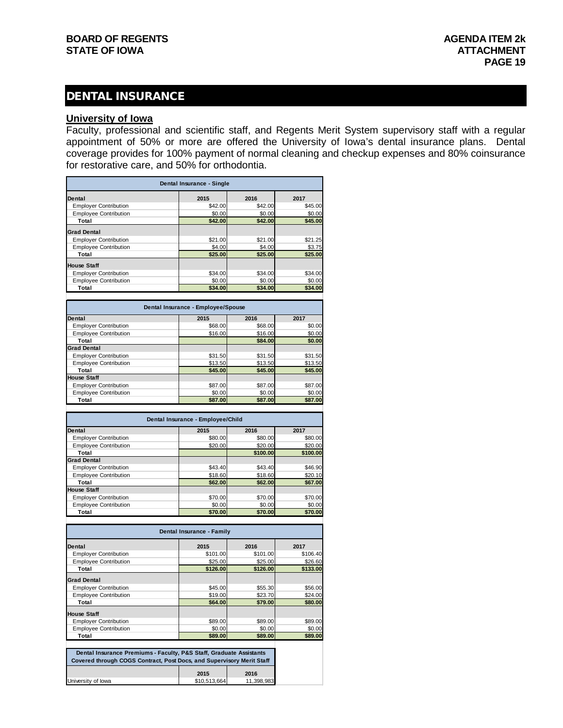#### DENTAL INSURANCE

#### **University of Iowa**

Faculty, professional and scientific staff, and Regents Merit System supervisory staff with a regular appointment of 50% or more are offered the University of Iowa's dental insurance plans. Dental coverage provides for 100% payment of normal cleaning and checkup expenses and 80% coinsurance for restorative care, and 50% for orthodontia.

|                              | Dental Insurance - Single |         |         |
|------------------------------|---------------------------|---------|---------|
| <b>Dental</b>                | 2015                      | 2016    | 2017    |
| <b>Employer Contribution</b> | \$42.00                   | \$42.00 | \$45.00 |
| <b>Employee Contribution</b> | \$0.00                    | \$0.00  | \$0.00  |
| Total                        | \$42.00                   | \$42.00 | \$45.00 |
| <b>Grad Dental</b>           |                           |         |         |
| <b>Employer Contribution</b> | \$21.00                   | \$21.00 | \$21.25 |
| <b>Employee Contribution</b> | \$4.00                    | \$4.00  | \$3.75  |
| Total                        | \$25.00                   | \$25.00 | \$25.00 |
| <b>House Staff</b>           |                           |         |         |
| <b>Employer Contribution</b> | \$34.00                   | \$34.00 | \$34.00 |
| <b>Employee Contribution</b> | \$0.00                    | \$0.00  | \$0.00  |
| Total                        | \$34.00                   | \$34.00 | \$34.00 |

| Dental Insurance - Employee/Spouse |         |         |         |
|------------------------------------|---------|---------|---------|
| Dental                             | 2015    | 2016    | 2017    |
| <b>Employer Contribution</b>       | \$68.00 | \$68,00 | \$0.00  |
| <b>Employee Contribution</b>       | \$16.00 | \$16.00 | \$0.00  |
| Total                              |         | \$84.00 | \$0.00  |
| <b>Grad Dental</b>                 |         |         |         |
| <b>Employer Contribution</b>       | \$31.50 | \$31.50 | \$31.50 |
| <b>Employee Contribution</b>       | \$13.50 | \$13.50 | \$13.50 |
| Total                              | \$45.00 | \$45.00 | \$45.00 |
| <b>House Staff</b>                 |         |         |         |
| <b>Employer Contribution</b>       | \$87.00 | \$87.00 | \$87.00 |
| <b>Employee Contribution</b>       | \$0.00  | \$0.00  | \$0.00  |
| Total                              | \$87.00 | \$87.00 | \$87.00 |

| Dental Insurance - Employee/Child |         |          |          |
|-----------------------------------|---------|----------|----------|
| Dental                            | 2015    | 2016     | 2017     |
| <b>Employer Contribution</b>      | \$80.00 | \$80.00  | \$80.00  |
| <b>Employee Contribution</b>      | \$20.00 | \$20.00  | \$20.00  |
| Total                             |         | \$100.00 | \$100.00 |
| <b>Grad Dental</b>                |         |          |          |
| <b>Employer Contribution</b>      | \$43.40 | \$43.40  | \$46.90  |
| <b>Employee Contribution</b>      | \$18.60 | \$18.60  | \$20.10  |
| Total                             | \$62.00 | \$62.00  | \$67.00  |
| <b>House Staff</b>                |         |          |          |
| <b>Employer Contribution</b>      | \$70.00 | \$70.00  | \$70.00  |
| <b>Employee Contribution</b>      | \$0.00  | \$0.00   | \$0.00   |
| Total                             | \$70.00 | \$70.00  | \$70.00  |
|                                   |         |          |          |

| Dental Insurance - Family    |          |          |          |
|------------------------------|----------|----------|----------|
| Dental                       | 2015     | 2016     | 2017     |
| <b>Employer Contribution</b> | \$101.00 | \$101.00 | \$106.40 |
| <b>Employee Contribution</b> | \$25.00  | \$25.00  | \$26.60  |
| Total                        | \$126.00 | \$126.00 | \$133.00 |
| <b>Grad Dental</b>           |          |          |          |
| <b>Employer Contribution</b> | \$45.00  | \$55.30  | \$56.00  |
| <b>Employee Contribution</b> | \$19.00  | \$23.70  | \$24.00  |
| Total                        | \$64.00  | \$79.00  | \$80.00  |
| <b>House Staff</b>           |          |          |          |
| <b>Employer Contribution</b> | \$89.00  | \$89.00  | \$89.00  |
| <b>Employee Contribution</b> | \$0.00   | \$0.00   | \$0.00   |
| Total                        | \$89.00  | \$89.00  | \$89.00  |

| Dental Insurance Premiums - Faculty, P&S Staff, Graduate Assistants<br>Covered through COGS Contract, Post Docs, and Supervisory Merit Staff |              |            |  |  |
|----------------------------------------------------------------------------------------------------------------------------------------------|--------------|------------|--|--|
| 2015<br>2016                                                                                                                                 |              |            |  |  |
| University of lowa                                                                                                                           | \$10.513.664 | 11,398,983 |  |  |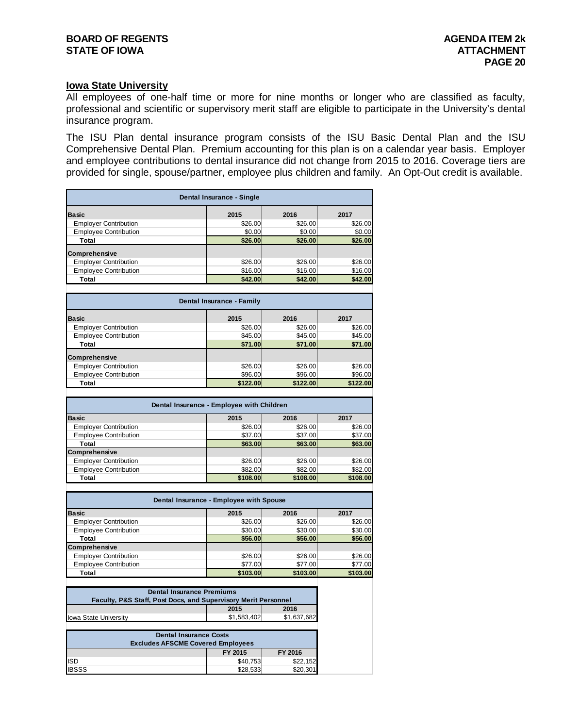#### **Iowa State University**

All employees of one-half time or more for nine months or longer who are classified as faculty, professional and scientific or supervisory merit staff are eligible to participate in the University's dental insurance program.

The ISU Plan dental insurance program consists of the ISU Basic Dental Plan and the ISU Comprehensive Dental Plan. Premium accounting for this plan is on a calendar year basis. Employer and employee contributions to dental insurance did not change from 2015 to 2016. Coverage tiers are provided for single, spouse/partner, employee plus children and family. An Opt-Out credit is available.

| Dental Insurance - Single    |                                           |          |          |  |  |
|------------------------------|-------------------------------------------|----------|----------|--|--|
| <b>Basic</b>                 | 2015                                      | 2016     | 2017     |  |  |
| <b>Employer Contribution</b> | \$26.00                                   | \$26.00  | \$26.00  |  |  |
| <b>Employee Contribution</b> | \$0.00                                    | \$0.00   | \$0.00   |  |  |
| Total                        | \$26.00                                   | \$26.00  | \$26.00  |  |  |
| Comprehensive                |                                           |          |          |  |  |
| <b>Employer Contribution</b> | \$26.00                                   | \$26.00  | \$26.00  |  |  |
| <b>Employee Contribution</b> | \$16.00                                   | \$16.00  | \$16.00  |  |  |
| Total                        | \$42.00                                   | \$42.00  | \$42.00  |  |  |
|                              |                                           |          |          |  |  |
|                              | Dental Insurance - Family                 |          |          |  |  |
| <b>Basic</b>                 | 2015                                      | 2016     | 2017     |  |  |
| <b>Employer Contribution</b> | \$26.00                                   | \$26.00  | \$26.00  |  |  |
| <b>Employee Contribution</b> | \$45.00                                   | \$45.00  | \$45.00  |  |  |
| Total                        | \$71.00                                   | \$71.00  | \$71.00  |  |  |
| Comprehensive                |                                           |          |          |  |  |
| <b>Employer Contribution</b> | \$26.00                                   | \$26.00  | \$26.00  |  |  |
| <b>Employee Contribution</b> | \$96.00                                   | \$96.00  | \$96.00  |  |  |
| Total                        | \$122.00                                  | \$122.00 | \$122.00 |  |  |
|                              |                                           |          |          |  |  |
|                              | Dental Insurance - Employee with Children |          |          |  |  |
| <b>Basic</b>                 | 2015                                      | 2016     | 2017     |  |  |
| <b>Employer Contribution</b> | \$26.00                                   | \$26.00  | \$26.00  |  |  |

| <b>Employee Contribution</b> | \$37.00  | \$37.00  | \$37.00  |
|------------------------------|----------|----------|----------|
| Total                        | \$63,00  | \$63,00  | \$63.00  |
| <b>Comprehensive</b>         |          |          |          |
| <b>Employer Contribution</b> | \$26.00  | \$26.00  | \$26.00  |
| <b>Employee Contribution</b> | \$82.00  | \$82.00  | \$82.00  |
| Total                        | \$108.00 | \$108,00 | \$108.00 |

| Dental Insurance - Employee with Spouse |                               |          |          |  |  |  |
|-----------------------------------------|-------------------------------|----------|----------|--|--|--|
| <b>Basic</b>                            | 2015                          | 2016     | 2017     |  |  |  |
| <b>Employer Contribution</b>            | \$26.00                       | \$26.00  | \$26.00  |  |  |  |
| <b>Employee Contribution</b>            | \$30.00                       | \$30.00  | \$30.00  |  |  |  |
| Total                                   | \$56.00<br>\$56.00<br>\$56.00 |          |          |  |  |  |
| Comprehensive                           |                               |          |          |  |  |  |
| <b>Employer Contribution</b>            | \$26.00                       | \$26.00  | \$26.00  |  |  |  |
| <b>Employee Contribution</b>            | \$77.00                       | \$77.00  | \$77.00  |  |  |  |
| Total                                   | \$103.00                      | \$103.00 | \$103.00 |  |  |  |

| <b>Dental Insurance Premiums</b>                                          |  |  |  |  |
|---------------------------------------------------------------------------|--|--|--|--|
| <b>Faculty, P&amp;S Staff, Post Docs, and Supervisory Merit Personnel</b> |  |  |  |  |
| 2016<br>2015                                                              |  |  |  |  |
| \$1.583.402<br>\$1.637.682                                                |  |  |  |  |
| <b>Iowa State University</b>                                              |  |  |  |  |

| <b>Dental Insurance Costs</b><br><b>Excludes AFSCME Covered Employees</b> |          |          |  |  |  |
|---------------------------------------------------------------------------|----------|----------|--|--|--|
| FY 2015<br>FY 2016                                                        |          |          |  |  |  |
| <b>ISD</b>                                                                | \$40,753 | \$22,152 |  |  |  |
| <b>IBSSS</b>                                                              | \$28,533 | \$20.301 |  |  |  |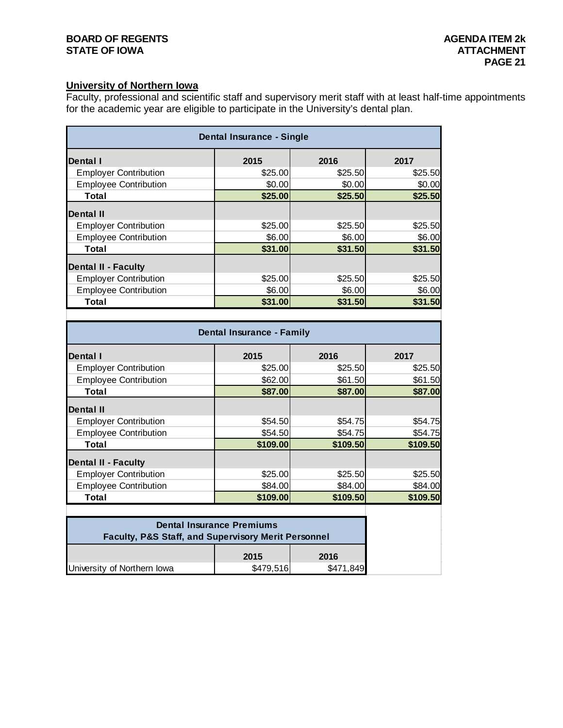#### **BOARD OF REGENTS**<br> **BOARD OF REGENTS**<br> **BOARD OF IOWA**<br> **ATTACHMENT STATE OF IOWA**

#### **University of Northern Iowa**

Faculty, professional and scientific staff and supervisory merit staff with at least half-time appointments for the academic year are eligible to participate in the University's dental plan.

| Dental Insurance - Single    |         |         |         |  |
|------------------------------|---------|---------|---------|--|
| <b>Dental</b> I              | 2015    | 2016    | 2017    |  |
| <b>Employer Contribution</b> | \$25.00 | \$25.50 | \$25.50 |  |
| <b>Employee Contribution</b> | \$0.00  | \$0.00  | \$0.00  |  |
| Total                        | \$25.00 | \$25.50 | \$25.50 |  |
| Dental II                    |         |         |         |  |
| <b>Employer Contribution</b> | \$25.00 | \$25.50 | \$25.50 |  |
| <b>Employee Contribution</b> | \$6.00  | \$6.00  | \$6.00  |  |
| Total                        | \$31.00 | \$31.50 | \$31.50 |  |
| <b>Dental II - Faculty</b>   |         |         |         |  |
| <b>Employer Contribution</b> | \$25.00 | \$25.50 | \$25.50 |  |
| <b>Employee Contribution</b> | \$6.00  | \$6.00  | \$6.00  |  |
| Total                        | \$31.00 | \$31.50 | \$31.50 |  |
|                              |         |         |         |  |

| <b>Dental Insurance - Family</b> |          |          |          |  |
|----------------------------------|----------|----------|----------|--|
| Dental I                         | 2015     | 2016     | 2017     |  |
| <b>Employer Contribution</b>     | \$25.00  | \$25.50  | \$25.50  |  |
| <b>Employee Contribution</b>     | \$62.00  | \$61.50  | \$61.50  |  |
| Total                            | \$87.00  | \$87.00  | \$87.00  |  |
| <b>Dental II</b>                 |          |          |          |  |
| <b>Employer Contribution</b>     | \$54.50  | \$54.75  | \$54.75  |  |
| <b>Employee Contribution</b>     | \$54.50  | \$54.75  | \$54.75  |  |
| Total                            | \$109.00 | \$109.50 | \$109.50 |  |
| <b>Dental II - Faculty</b>       |          |          |          |  |
| <b>Employer Contribution</b>     | \$25.00  | \$25.50  | \$25.50  |  |
| <b>Employee Contribution</b>     | \$84.00  | \$84.00  | \$84.00  |  |
| Total                            | \$109.00 | \$109.50 | \$109.50 |  |
|                                  |          |          |          |  |

| <b>Dental Insurance Premiums</b><br><b>Faculty, P&amp;S Staff, and Supervisory Merit Personnel</b> |              |           |  |
|----------------------------------------------------------------------------------------------------|--------------|-----------|--|
|                                                                                                    | 2016<br>2015 |           |  |
| University of Northern Iowa                                                                        | \$479,516    | \$471,849 |  |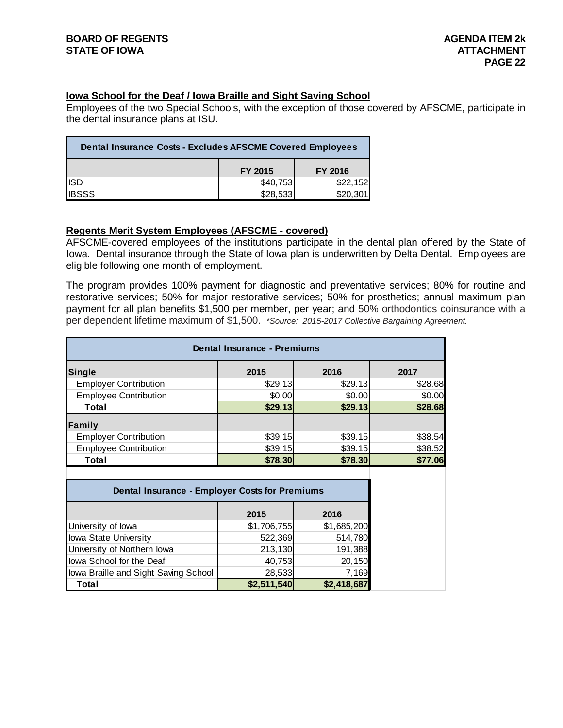#### **Iowa School for the Deaf / Iowa Braille and Sight Saving School**

Employees of the two Special Schools, with the exception of those covered by AFSCME, participate in the dental insurance plans at ISU.

| <b>Dental Insurance Costs - Excludes AFSCME Covered Employees</b> |          |          |  |  |
|-------------------------------------------------------------------|----------|----------|--|--|
| FY 2015<br>FY 2016                                                |          |          |  |  |
| <b>ISD</b>                                                        | \$40,753 | \$22,152 |  |  |
| <b>I</b> IBSSS                                                    | \$28,533 | \$20,301 |  |  |

#### **Regents Merit System Employees (AFSCME - covered)**

AFSCME-covered employees of the institutions participate in the dental plan offered by the State of Iowa. Dental insurance through the State of Iowa plan is underwritten by Delta Dental. Employees are eligible following one month of employment.

The program provides 100% payment for diagnostic and preventative services; 80% for routine and restorative services; 50% for major restorative services; 50% for prosthetics; annual maximum plan payment for all plan benefits \$1,500 per member, per year; and 50% orthodontics coinsurance with a per dependent lifetime maximum of \$1,500. *\*Source: 2015-2017 Collective Bargaining Agreement.*

| <b>Dental Insurance - Premiums</b> |         |         |         |
|------------------------------------|---------|---------|---------|
| Single                             | 2015    | 2016    | 2017    |
| <b>Employer Contribution</b>       | \$29.13 | \$29.13 | \$28.68 |
| <b>Employee Contribution</b>       | \$0.00  | \$0.00  | \$0.00  |
| Total                              | \$29.13 | \$29.13 | \$28.68 |
| Family                             |         |         |         |
| <b>Employer Contribution</b>       | \$39.15 | \$39.15 | \$38.54 |
| <b>Employee Contribution</b>       | \$39.15 | \$39.15 | \$38.52 |
| Total                              | \$78.30 | \$78.30 | \$77.06 |
|                                    |         |         |         |

| <b>Dental Insurance - Employer Costs for Premiums</b> |             |             |
|-------------------------------------------------------|-------------|-------------|
|                                                       | 2015        | 2016        |
| University of lowa                                    | \$1,706,755 | \$1,685,200 |
| Iowa State University                                 | 522,369     | 514,780     |
| University of Northern Iowa                           | 213,130     | 191,388     |
| lowa School for the Deaf                              | 40,753      | 20,150      |
| lowa Braille and Sight Saving School                  | 28,533      | 7,169       |
| Total                                                 | \$2,511,540 | \$2,418,687 |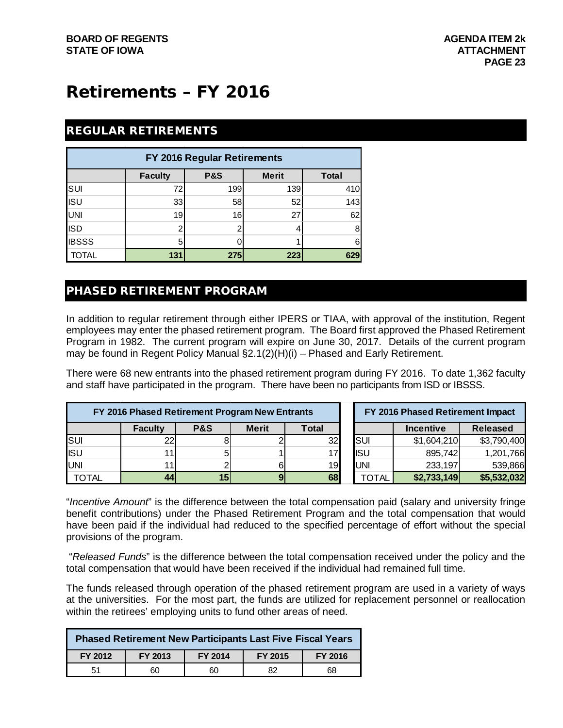# Retirements – FY 2016

#### REGULAR RETIREMENTS

| FY 2016 Regular Retirements |                |                |              |              |
|-----------------------------|----------------|----------------|--------------|--------------|
|                             | <b>Faculty</b> | <b>P&amp;S</b> | <b>Merit</b> | <b>Total</b> |
| SUI                         | 72             | 199            | 139          | 410          |
| <b>ISU</b>                  | 33             | 58             | 52           | 143          |
| UNI                         | 19             | 16             | 27           | 62           |
| <b>ISD</b>                  |                |                |              | 8            |
| <b>IBSSS</b>                | 5              |                |              | 6            |
| <b>TOTAL</b>                | 131            | 275            | 223          | 629          |

#### PHASED RETIREMENT PROGRAM

In addition to regular retirement through either IPERS or TIAA, with approval of the institution, Regent employees may enter the phased retirement program. The Board first approved the Phased Retirement Program in 1982. The current program will expire on June 30, 2017. Details of the current program may be found in Regent Policy Manual §2.1(2)(H)(i) – Phased and Early Retirement.

There were 68 new entrants into the phased retirement program during FY 2016. To date 1,362 faculty and staff have participated in the program. There have been no participants from ISD or IBSSS.

|              |                | FY 2016 Phased Retirement Program New Entrants |              |       |            | FY 2016 Phased Retirement Impact |                 |
|--------------|----------------|------------------------------------------------|--------------|-------|------------|----------------------------------|-----------------|
|              | <b>Faculty</b> | <b>P&amp;S</b>                                 | <b>Merit</b> | Total |            | <b>Incentive</b>                 | <b>Released</b> |
| <b>SUI</b>   | 22             |                                                |              | 32    | <b>SUI</b> | \$1,604,210                      | \$3,790,400     |
| <b>I</b> ISU |                |                                                |              | 17I   | <b>ISU</b> | 895,742                          | 1,201,766       |
| <b>UNI</b>   |                |                                                |              | 19    | UNI        | 233,197                          | 539,866         |
| TOTAL        | 44             | 15                                             |              | 68    | TOTAL      | \$2,733,149                      | \$5,532,032     |

"*Incentive Amount*" is the difference between the total compensation paid (salary and university fringe benefit contributions) under the Phased Retirement Program and the total compensation that would have been paid if the individual had reduced to the specified percentage of effort without the special provisions of the program.

"*Released Funds*" is the difference between the total compensation received under the policy and the total compensation that would have been received if the individual had remained full time.

The funds released through operation of the phased retirement program are used in a variety of ways at the universities. For the most part, the funds are utilized for replacement personnel or reallocation within the retirees' employing units to fund other areas of need.

|         | <b>Phased Retirement New Participants Last Five Fiscal Years</b> |         |         |         |  |  |  |  |  |  |
|---------|------------------------------------------------------------------|---------|---------|---------|--|--|--|--|--|--|
| FY 2012 | FY 2013                                                          | FY 2014 | FY 2015 | FY 2016 |  |  |  |  |  |  |
| 51      | 60                                                               | 60      | 82      | 68      |  |  |  |  |  |  |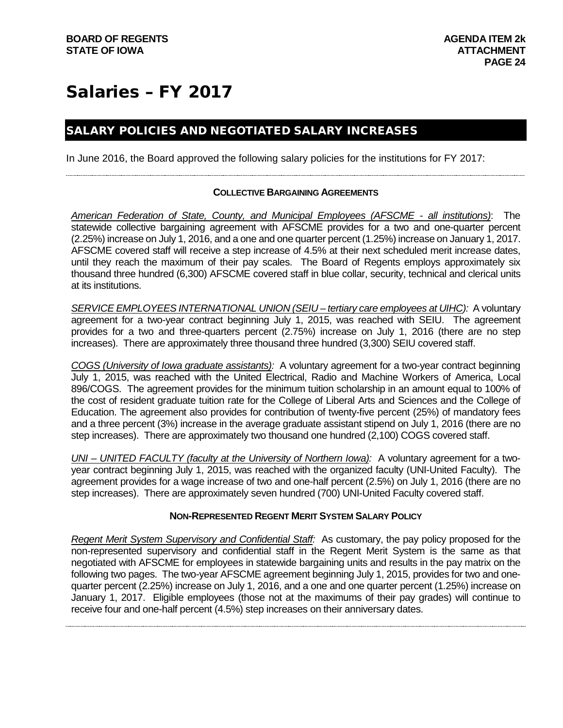# Salaries – FY 2017

#### SALARY POLICIES AND NEGOTIATED SALARY INCREASES

In June 2016, the Board approved the following salary policies for the institutions for FY 2017:

#### **COLLECTIVE BARGAINING AGREEMENTS**

*American Federation of State, County, and Municipal Employees (AFSCME - all institutions)*: The statewide collective bargaining agreement with AFSCME provides for a two and one-quarter percent (2.25%) increase on July 1, 2016, and a one and one quarter percent (1.25%) increase on January 1, 2017. AFSCME covered staff will receive a step increase of 4.5% at their next scheduled merit increase dates, until they reach the maximum of their pay scales. The Board of Regents employs approximately six thousand three hundred (6,300) AFSCME covered staff in blue collar, security, technical and clerical units at its institutions.

*SERVICE EMPLOYEES INTERNATIONAL UNION (SEIU – tertiary care employees at UIHC):* A voluntary agreement for a two-year contract beginning July 1, 2015, was reached with SEIU. The agreement provides for a two and three-quarters percent (2.75%) increase on July 1, 2016 (there are no step increases). There are approximately three thousand three hundred (3,300) SEIU covered staff.

*COGS (University of Iowa graduate assistants):* A voluntary agreement for a two-year contract beginning July 1, 2015, was reached with the United Electrical, Radio and Machine Workers of America, Local 896/COGS. The agreement provides for the minimum tuition scholarship in an amount equal to 100% of the cost of resident graduate tuition rate for the College of Liberal Arts and Sciences and the College of Education. The agreement also provides for contribution of twenty-five percent (25%) of mandatory fees and a three percent (3%) increase in the average graduate assistant stipend on July 1, 2016 (there are no step increases). There are approximately two thousand one hundred (2,100) COGS covered staff.

*UNI – UNITED FACULTY (faculty at the University of Northern Iowa):* A voluntary agreement for a twoyear contract beginning July 1, 2015, was reached with the organized faculty (UNI-United Faculty). The agreement provides for a wage increase of two and one-half percent (2.5%) on July 1, 2016 (there are no step increases). There are approximately seven hundred (700) UNI-United Faculty covered staff.

#### **NON-REPRESENTED REGENT MERIT SYSTEM SALARY POLICY**

*Regent Merit System Supervisory and Confidential Staff:* As customary, the pay policy proposed for the non-represented supervisory and confidential staff in the Regent Merit System is the same as that negotiated with AFSCME for employees in statewide bargaining units and results in the pay matrix on the following two pages. The two-year AFSCME agreement beginning July 1, 2015, provides for two and onequarter percent (2.25%) increase on July 1, 2016, and a one and one quarter percent (1.25%) increase on January 1, 2017. Eligible employees (those not at the maximums of their pay grades) will continue to receive four and one-half percent (4.5%) step increases on their anniversary dates.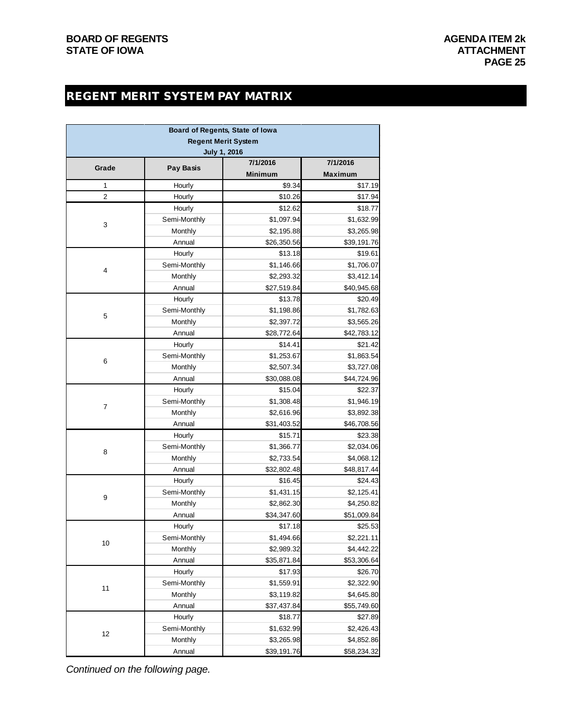### REGENT MERIT SYSTEM PAY MATRIX

|       |                   | Board of Regents, State of Iowa |                        |
|-------|-------------------|---------------------------------|------------------------|
|       |                   | <b>Regent Merit System</b>      |                        |
|       |                   | <b>July 1, 2016</b>             |                        |
| Grade | <b>Pay Basis</b>  | 7/1/2016                        | 7/1/2016               |
|       |                   | <b>Minimum</b>                  | <b>Maximum</b>         |
| 1     | Hourly            | \$9.34                          | \$17.19                |
| 2     | Hourly            | \$10.26                         | \$17.94                |
|       | Hourly            | \$12.62                         | \$18.77                |
| 3     | Semi-Monthly      | \$1,097.94                      | \$1,632.99             |
|       | Monthly           | \$2,195.88                      | \$3,265.98             |
|       | Annual            | \$26,350.56                     | \$39,191.76            |
|       | Hourly            | \$13.18                         | \$19.61                |
| 4     | Semi-Monthly      | \$1,146.66                      | \$1,706.07             |
|       | Monthly<br>Annual | \$2,293.32                      | \$3,412.14             |
|       | Hourly            | \$27,519.84<br>\$13.78          | \$40,945.68<br>\$20.49 |
|       | Semi-Monthly      | \$1,198.86                      | \$1,782.63             |
| 5     | Monthly           | \$2,397.72                      | \$3,565.26             |
|       | Annual            | \$28,772.64                     | \$42,783.12            |
|       | Hourly            | \$14.41                         | \$21.42                |
|       | Semi-Monthly      | \$1,253.67                      | \$1,863.54             |
| 6     | Monthly           | \$2,507.34                      | \$3,727.08             |
|       | Annual            | \$30,088.08                     | \$44,724.96            |
|       | Hourly            | \$15.04                         | \$22.37                |
|       | Semi-Monthly      | \$1,308.48                      | \$1,946.19             |
| 7     | Monthly           | \$2,616.96                      | \$3,892.38             |
|       | Annual            | \$31,403.52                     | \$46,708.56            |
|       | Hourly            | \$15.71                         | \$23.38                |
|       | Semi-Monthly      | \$1,366.77                      | \$2,034.06             |
| 8     | Monthly           | \$2,733.54                      | \$4,068.12             |
|       | Annual            | \$32,802.48                     | \$48,817.44            |
|       | Hourly            | \$16.45                         | \$24.43                |
|       | Semi-Monthly      | \$1,431.15                      | \$2,125.41             |
| 9     | Monthly           | \$2,862.30                      | \$4,250.82             |
|       | Annual            | \$34,347.60                     | \$51,009.84            |
|       | Hourly            | \$17.18                         | \$25.53                |
|       | Semi-Monthly      | \$1,494.66                      | \$2,221.11             |
| 10    | Monthly           | \$2,989.32                      | \$4,442.22             |
|       | Annual            | \$35,871.84                     | \$53,306.64            |
|       | Hourly            | \$17.93                         | \$26.70                |
|       | Semi-Monthly      | \$1,559.91                      | \$2,322.90             |
| 11    | Monthly           | \$3,119.82                      | \$4,645.80             |
|       | Annual            | \$37,437.84                     | \$55,749.60            |
|       | Hourly            | \$18.77                         | \$27.89                |
|       | Semi-Monthly      | \$1,632.99                      | \$2,426.43             |
| 12    | Monthly           | \$3,265.98                      | \$4,852.86             |
|       | Annual            | \$39,191.76                     | \$58,234.32            |

*Continued on the following page.*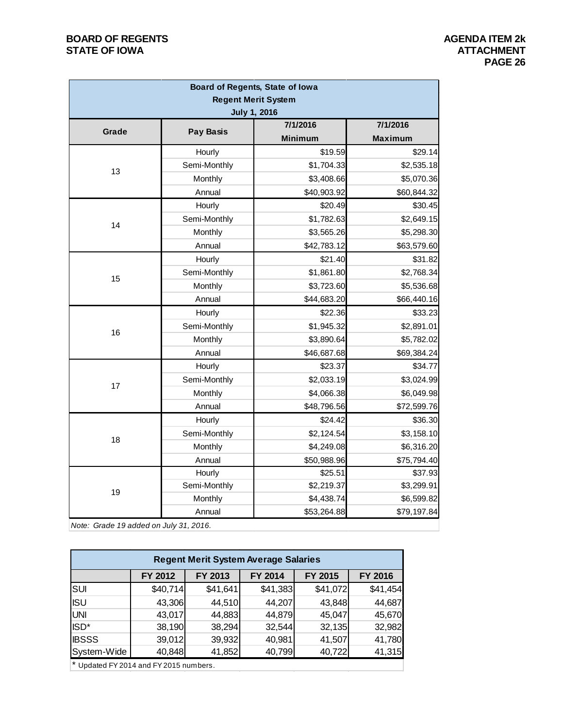#### **BOARD OF REGENTS**<br> **BOARD OF REGENTS**<br> **BOARD OF IOWA**<br> **ATTACHMENT STATE OF IOWA**

| Board of Regents, State of Iowa        |                  |                                 |                |  |  |  |  |  |
|----------------------------------------|------------------|---------------------------------|----------------|--|--|--|--|--|
|                                        |                  | <b>Regent Merit System</b>      |                |  |  |  |  |  |
|                                        |                  | <b>July 1, 2016</b><br>7/1/2016 | 7/1/2016       |  |  |  |  |  |
| Grade                                  | <b>Pay Basis</b> | <b>Minimum</b>                  | <b>Maximum</b> |  |  |  |  |  |
|                                        | Hourly           | \$19.59                         | \$29.14        |  |  |  |  |  |
|                                        | Semi-Monthly     | \$1,704.33                      | \$2,535.18     |  |  |  |  |  |
| 13                                     | Monthly          | \$3,408.66                      | \$5,070.36     |  |  |  |  |  |
|                                        | Annual           | \$40,903.92                     | \$60,844.32    |  |  |  |  |  |
|                                        | Hourly           | \$20.49                         | \$30.45        |  |  |  |  |  |
|                                        | Semi-Monthly     | \$1,782.63                      | \$2,649.15     |  |  |  |  |  |
| 14                                     | Monthly          | \$3,565.26                      | \$5,298.30     |  |  |  |  |  |
|                                        | Annual           | \$42,783.12                     | \$63,579.60    |  |  |  |  |  |
|                                        | Hourly           | \$21.40                         | \$31.82        |  |  |  |  |  |
|                                        | Semi-Monthly     | \$1,861.80                      | \$2,768.34     |  |  |  |  |  |
| 15                                     | Monthly          | \$3,723.60                      | \$5,536.68     |  |  |  |  |  |
|                                        | Annual           | \$44,683.20                     | \$66,440.16    |  |  |  |  |  |
|                                        | Hourly           | \$22.36                         | \$33.23        |  |  |  |  |  |
| 16                                     | Semi-Monthly     | \$1,945.32                      | \$2,891.01     |  |  |  |  |  |
|                                        | Monthly          | \$3,890.64                      | \$5,782.02     |  |  |  |  |  |
|                                        | Annual           | \$46,687.68                     | \$69,384.24    |  |  |  |  |  |
|                                        | Hourly           | \$23.37                         | \$34.77        |  |  |  |  |  |
| 17                                     | Semi-Monthly     | \$2,033.19                      | \$3,024.99     |  |  |  |  |  |
|                                        | Monthly          | \$4,066.38                      | \$6,049.98     |  |  |  |  |  |
|                                        | Annual           | \$48,796.56                     | \$72,599.76    |  |  |  |  |  |
|                                        | Hourly           | \$24.42                         | \$36.30        |  |  |  |  |  |
| 18                                     | Semi-Monthly     | \$2,124.54                      | \$3,158.10     |  |  |  |  |  |
|                                        | Monthly          | \$4,249.08                      | \$6,316.20     |  |  |  |  |  |
|                                        | Annual           | \$50,988.96                     | \$75,794.40    |  |  |  |  |  |
|                                        | Hourly           | \$25.51                         | \$37.93        |  |  |  |  |  |
| 19                                     | Semi-Monthly     | \$2,219.37                      | \$3,299.91     |  |  |  |  |  |
|                                        | Monthly          | \$4,438.74                      | \$6,599.82     |  |  |  |  |  |
|                                        | Annual           | \$53,264.88                     | \$79,197.84    |  |  |  |  |  |
| Note: Grade 19 added on July 31, 2016. |                  |                                 |                |  |  |  |  |  |

| <b>Regent Merit System Average Salaries</b> |          |          |          |          |          |  |  |  |  |  |  |
|---------------------------------------------|----------|----------|----------|----------|----------|--|--|--|--|--|--|
|                                             | FY 2012  | FY 2013  | FY 2014  | FY 2015  | FY 2016  |  |  |  |  |  |  |
| <b>SUI</b>                                  | \$40,714 | \$41,641 | \$41,383 | \$41,072 | \$41,454 |  |  |  |  |  |  |
| <b>ISU</b>                                  | 43,306   | 44,510   | 44,207   | 43,848   | 44,687   |  |  |  |  |  |  |
| <b>UNI</b>                                  | 43,017   | 44,883   | 44,879   | 45,047   | 45,670   |  |  |  |  |  |  |
| ISD <sup>*</sup>                            | 38,190   | 38,294   | 32,544   | 32,135   | 32,982   |  |  |  |  |  |  |
| <b>IBSSS</b>                                | 39,012   | 39,932   | 40,981   | 41,507   | 41,780   |  |  |  |  |  |  |
| System-Wide                                 | 40,848   | 41,852   | 40,799   | 40,722   | 41,315   |  |  |  |  |  |  |

\* Updated FY 2014 and FY 2015 numbers.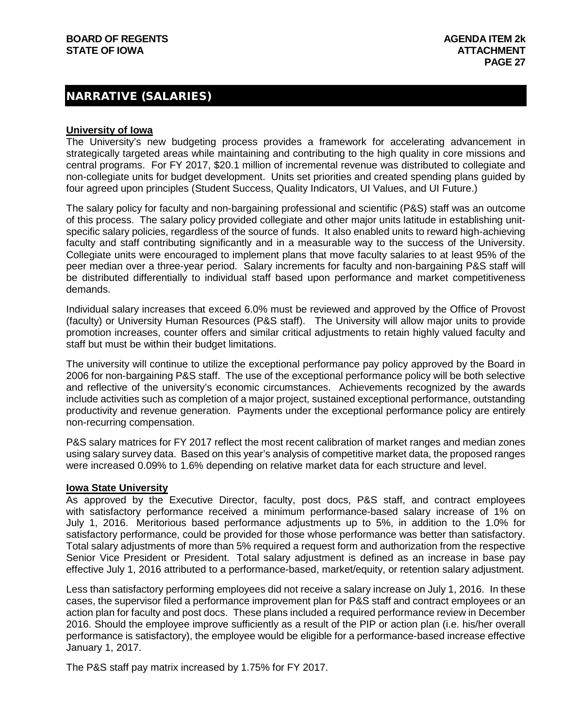#### NARRATIVE (SALARIES)

#### **University of Iowa**

The University's new budgeting process provides a framework for accelerating advancement in strategically targeted areas while maintaining and contributing to the high quality in core missions and central programs. For FY 2017, \$20.1 million of incremental revenue was distributed to collegiate and non-collegiate units for budget development. Units set priorities and created spending plans guided by four agreed upon principles (Student Success, Quality Indicators, UI Values, and UI Future.)

The salary policy for faculty and non-bargaining professional and scientific (P&S) staff was an outcome of this process. The salary policy provided collegiate and other major units latitude in establishing unitspecific salary policies, regardless of the source of funds. It also enabled units to reward high-achieving faculty and staff contributing significantly and in a measurable way to the success of the University. Collegiate units were encouraged to implement plans that move faculty salaries to at least 95% of the peer median over a three-year period. Salary increments for faculty and non-bargaining P&S staff will be distributed differentially to individual staff based upon performance and market competitiveness demands.

Individual salary increases that exceed 6.0% must be reviewed and approved by the Office of Provost (faculty) or University Human Resources (P&S staff). The University will allow major units to provide promotion increases, counter offers and similar critical adjustments to retain highly valued faculty and staff but must be within their budget limitations.

The university will continue to utilize the exceptional performance pay policy approved by the Board in 2006 for non-bargaining P&S staff. The use of the exceptional performance policy will be both selective and reflective of the university's economic circumstances. Achievements recognized by the awards include activities such as completion of a major project, sustained exceptional performance, outstanding productivity and revenue generation. Payments under the exceptional performance policy are entirely non-recurring compensation.

P&S salary matrices for FY 2017 reflect the most recent calibration of market ranges and median zones using salary survey data. Based on this year's analysis of competitive market data, the proposed ranges were increased 0.09% to 1.6% depending on relative market data for each structure and level.

#### **Iowa State University**

As approved by the Executive Director, faculty, post docs, P&S staff, and contract employees with satisfactory performance received a minimum performance-based salary increase of 1% on July 1, 2016. Meritorious based performance adjustments up to 5%, in addition to the 1.0% for satisfactory performance, could be provided for those whose performance was better than satisfactory. Total salary adjustments of more than 5% required a request form and authorization from the respective Senior Vice President or President. Total salary adjustment is defined as an increase in base pay effective July 1, 2016 attributed to a performance-based, market/equity, or retention salary adjustment.

Less than satisfactory performing employees did not receive a salary increase on July 1, 2016. In these cases, the supervisor filed a performance improvement plan for P&S staff and contract employees or an action plan for faculty and post docs. These plans included a required performance review in December 2016. Should the employee improve sufficiently as a result of the PIP or action plan (i.e. his/her overall performance is satisfactory), the employee would be eligible for a performance-based increase effective January 1, 2017.

The P&S staff pay matrix increased by 1.75% for FY 2017.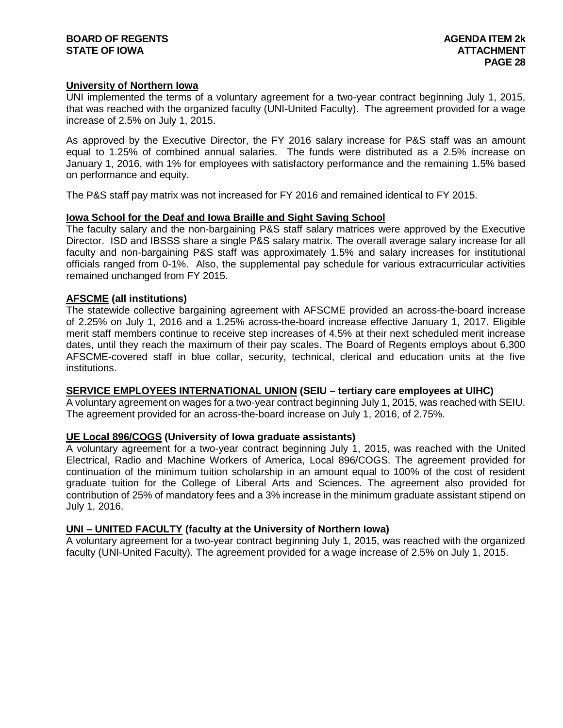#### **BOARD OF REGENTS AGENDA ITEM 2k STATE OF IOWA**

#### **University of Northern Iowa**

UNI implemented the terms of a voluntary agreement for a two-year contract beginning July 1, 2015, that was reached with the organized faculty (UNI-United Faculty). The agreement provided for a wage increase of 2.5% on July 1, 2015.

As approved by the Executive Director, the FY 2016 salary increase for P&S staff was an amount equal to 1.25% of combined annual salaries. The funds were distributed as a 2.5% increase on January 1, 2016, with 1% for employees with satisfactory performance and the remaining 1.5% based on performance and equity.

The P&S staff pay matrix was not increased for FY 2016 and remained identical to FY 2015.

#### **Iowa School for the Deaf and Iowa Braille and Sight Saving School**

The faculty salary and the non-bargaining P&S staff salary matrices were approved by the Executive Director. ISD and IBSSS share a single P&S salary matrix. The overall average salary increase for all faculty and non-bargaining P&S staff was approximately 1.5% and salary increases for institutional officials ranged from 0-1%. Also, the supplemental pay schedule for various extracurricular activities remained unchanged from FY 2015.

#### **AFSCME (all institutions)**

The statewide collective bargaining agreement with AFSCME provided an across-the-board increase of 2.25% on July 1, 2016 and a 1.25% across-the-board increase effective January 1, 2017. Eligible merit staff members continue to receive step increases of 4.5% at their next scheduled merit increase dates, until they reach the maximum of their pay scales. The Board of Regents employs about 6,300 AFSCME-covered staff in blue collar, security, technical, clerical and education units at the five institutions.

#### **SERVICE EMPLOYEES INTERNATIONAL UNION (SEIU – tertiary care employees at UIHC)**

A voluntary agreement on wages for a two-year contract beginning July 1, 2015, was reached with SEIU. The agreement provided for an across-the-board increase on July 1, 2016, of 2.75%.

#### **UE Local 896/COGS (University of Iowa graduate assistants)**

A voluntary agreement for a two-year contract beginning July 1, 2015, was reached with the United Electrical, Radio and Machine Workers of America, Local 896/COGS. The agreement provided for continuation of the minimum tuition scholarship in an amount equal to 100% of the cost of resident graduate tuition for the College of Liberal Arts and Sciences. The agreement also provided for contribution of 25% of mandatory fees and a 3% increase in the minimum graduate assistant stipend on July 1, 2016.

#### **UNI – UNITED FACULTY (faculty at the University of Northern Iowa)**

A voluntary agreement for a two-year contract beginning July 1, 2015, was reached with the organized faculty (UNI-United Faculty). The agreement provided for a wage increase of 2.5% on July 1, 2015.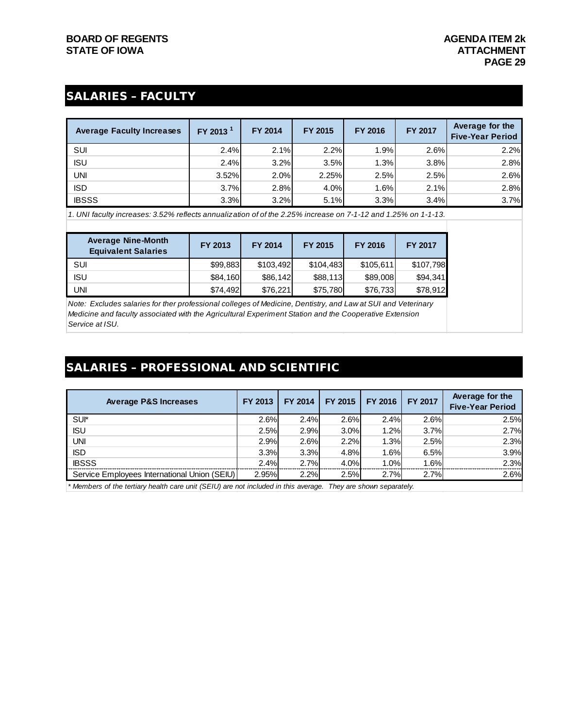### SALARIES – FACULTY

| <b>Average Faculty Increases</b> | FY 2013 <sup>1</sup> | FY 2014 | FY 2015 | <b>FY 2016</b> | <b>FY 2017</b> | Average for the<br><b>Five-Year Period</b> |
|----------------------------------|----------------------|---------|---------|----------------|----------------|--------------------------------------------|
| SUI                              | 2.4%                 | 2.1%    | 2.2%    | 1.9%           | 2.6%           | 2.2%                                       |
| <b>ISU</b>                       | 2.4%                 | 3.2%    | 3.5%    | 1.3%           | 3.8%           | 2.8%                                       |
| UNI                              | 3.52%                | 2.0%    | 2.25%   | 2.5%           | 2.5%           | 2.6%                                       |
| <b>ISD</b>                       | 3.7%                 | 2.8%    | 4.0%    | 1.6%           | 2.1%           | 2.8%                                       |
| <b>IBSSS</b>                     | 3.3%                 | 3.2%    | 5.1%    | 3.3%           | 3.4%           | 3.7%                                       |

*1. UNI faculty increases: 3.52% reflects annualization of of the 2.25% increase on 7-1-12 and 1.25% on 1-1-13.*

| <b>Average Nine-Month</b><br><b>Equivalent Salaries</b> | FY 2013  | <b>FY 2014</b> | FY 2015   | <b>FY 2016</b> | <b>FY 2017</b> |
|---------------------------------------------------------|----------|----------------|-----------|----------------|----------------|
| SUI                                                     | \$99,883 | \$103.492      | \$104.483 | \$105,611      | \$107,798      |
| <b>ISU</b>                                              | \$84.160 | \$86,142       | \$88,113  | \$89,008       | \$94,341       |
| UNI                                                     | \$74,492 | \$76,221       | \$75,780  | \$76,733       | \$78,912       |

*Note: Excludes salaries for ther professional colleges of Medicine, Dentistry, and Law at SUI and Veterinary Medicine and faculty associated with the Agricultural Experiment Station and the Cooperative Extension Service at ISU.*

### SALARIES – PROFESSIONAL AND SCIENTIFIC

| <b>Average P&amp;S Increases</b>             | FY 2013 | FY 2014 | FY 2015 | FY 2016 | FY 2017 | Average for the<br><b>Five-Year Period</b> |
|----------------------------------------------|---------|---------|---------|---------|---------|--------------------------------------------|
| SUI*                                         | 2.6%    | 2.4%    | 2.6%    | 2.4%    | 2.6%    | 2.5%                                       |
| <b>ISU</b>                                   | 2.5%    | 2.9%    | 3.0%    | 1.2%    | 3.7%    | 2.7%                                       |
| <b>UNI</b>                                   | 2.9%    | 2.6%    | 2.2%    | 1.3%    | 2.5%    | 2.3%                                       |
| <b>ISD</b>                                   | 3.3%    | 3.3%    | 4.8%    | 1.6%    | 6.5%    | 3.9%                                       |
| <b>IBSSS</b>                                 | 2.4%    | 2.7%    | 4.0%    | 1.0%    | 1.6%    | 2.3%                                       |
| Service Employees International Union (SEIU) | 2.95%   | 2.2%    | 2.5%    | 2.7%    | 2.7%    | 2.6%                                       |

*\* Members of the tertiary health care unit (SEIU) are not included in this average. They are shown separately.*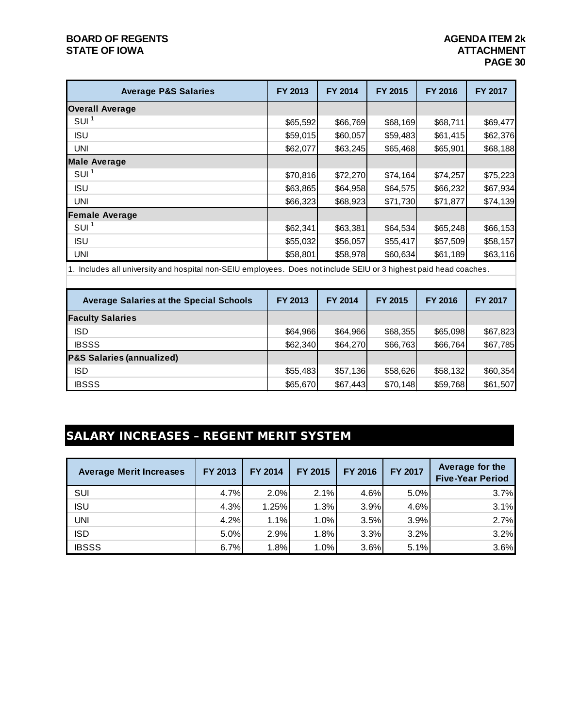#### **BOARD OF REGENTS AGENDA ITEM 2k STATE OF IOWA**

| <b>Average P&amp;S Salaries</b> | FY 2013  | FY 2014  | <b>FY 2015</b> | <b>FY 2016</b> | <b>FY 2017</b> |
|---------------------------------|----------|----------|----------------|----------------|----------------|
| <b>Overall Average</b>          |          |          |                |                |                |
| SUI <sup>1</sup>                | \$65,592 | \$66,769 | \$68,169       | \$68,711       | \$69,477       |
| <b>ISU</b>                      | \$59,015 | \$60,057 | \$59,483       | \$61,415       | \$62,376       |
| <b>UNI</b>                      | \$62,077 | \$63,245 | \$65,468       | \$65,901       | \$68,188       |
| <b>Male Average</b>             |          |          |                |                |                |
| SUI <sup>1</sup>                | \$70,816 | \$72,270 | \$74,164       | \$74,257       | \$75,223       |
| <b>ISU</b>                      | \$63,865 | \$64,958 | \$64,575       | \$66,232       | \$67,934       |
| <b>UNI</b>                      | \$66,323 | \$68,923 | \$71,730       | \$71,877       | \$74,139       |
| <b>Female Average</b>           |          |          |                |                |                |
| SUI <sup>1</sup>                | \$62,341 | \$63,381 | \$64,534       | \$65,248       | \$66,153       |
| <b>ISU</b>                      | \$55,032 | \$56,057 | \$55,417       | \$57,509       | \$58,157       |
| <b>UNI</b>                      | \$58,801 | \$58,978 | \$60,634       | \$61,189       | \$63,116       |

1. Includes all university and hospital non-SEIU employees. Does not include SEIU or 3 highest paid head coaches.

| <b>Average Salaries at the Special Schools</b> | FY 2013  | FY 2014  | FY 2015  | <b>FY 2016</b> | <b>FY 2017</b> |
|------------------------------------------------|----------|----------|----------|----------------|----------------|
| <b>Faculty Salaries</b>                        |          |          |          |                |                |
| <b>ISD</b>                                     | \$64,966 | \$64,966 | \$68,355 | \$65,098       | \$67,823       |
| <b>IBSSS</b>                                   | \$62,340 | \$64,270 | \$66,763 | \$66,764       | \$67,785       |
| <b>P&amp;S Salaries (annualized)</b>           |          |          |          |                |                |
| <b>ISD</b>                                     | \$55,483 | \$57,136 | \$58,626 | \$58,132       | \$60,354       |
| <b>IBSSS</b>                                   | \$65,670 | \$67,443 | \$70,148 | \$59,768       | \$61,507       |

## SALARY INCREASES – REGENT MERIT SYSTEM

| <b>Average Merit Increases</b> | FY 2013 | FY 2014 | FY 2015 | FY 2016 | FY 2017 | Average for the<br><b>Five-Year Period</b> |
|--------------------------------|---------|---------|---------|---------|---------|--------------------------------------------|
| SUI                            | 4.7%    | 2.0%    | 2.1%    | 4.6%    | 5.0%    | 3.7%                                       |
| <b>ISU</b>                     | 4.3%    | 1.25%   | 1.3%    | 3.9%    | 4.6%    | 3.1%                                       |
| UNI                            | 4.2%    | 1.1%    | 1.0%    | 3.5%    | 3.9%    | 2.7%                                       |
| <b>ISD</b>                     | 5.0%    | 2.9%    | 1.8%    | 3.3%    | 3.2%    | 3.2%                                       |
| <b>IBSSS</b>                   | 6.7%    | 1.8%    | 1.0%    | 3.6%    | 5.1%    | 3.6%                                       |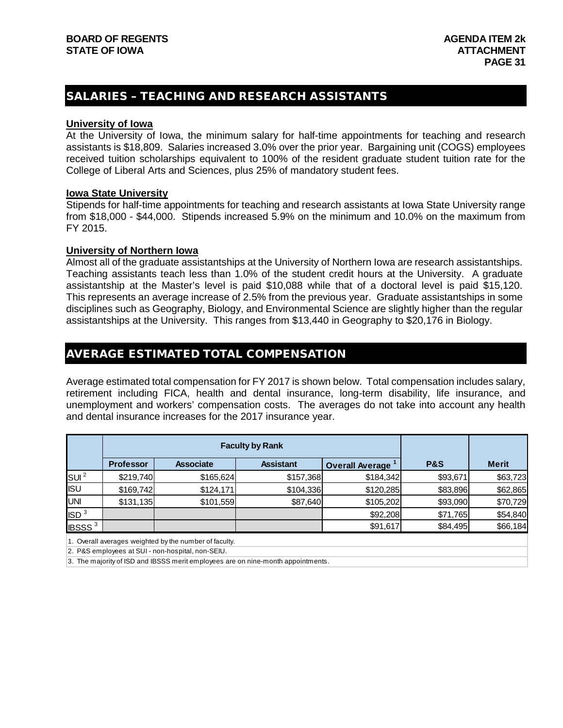#### SALARIES – TEACHING AND RESEARCH ASSISTANTS

#### **University of Iowa**

At the University of Iowa, the minimum salary for half-time appointments for teaching and research assistants is \$18,809. Salaries increased 3.0% over the prior year. Bargaining unit (COGS) employees received tuition scholarships equivalent to 100% of the resident graduate student tuition rate for the College of Liberal Arts and Sciences, plus 25% of mandatory student fees.

#### **Iowa State University**

Stipends for half-time appointments for teaching and research assistants at Iowa State University range from \$18,000 - \$44,000. Stipends increased 5.9% on the minimum and 10.0% on the maximum from FY 2015.

#### **University of Northern Iowa**

Almost all of the graduate assistantships at the University of Northern Iowa are research assistantships. Teaching assistants teach less than 1.0% of the student credit hours at the University. A graduate assistantship at the Master's level is paid \$10,088 while that of a doctoral level is paid \$15,120. This represents an average increase of 2.5% from the previous year. Graduate assistantships in some disciplines such as Geography, Biology, and Environmental Science are slightly higher than the regular assistantships at the University. This ranges from \$13,440 in Geography to \$20,176 in Biology.

#### AVERAGE ESTIMATED TOTAL COMPENSATION

Average estimated total compensation for FY 2017 is shown below. Total compensation includes salary, retirement including FICA, health and dental insurance, long-term disability, life insurance, and unemployment and workers' compensation costs. The averages do not take into account any health and dental insurance increases for the 2017 insurance year.

|                          |                  |                  | <b>Faculty by Rank</b> |                        |                |              |
|--------------------------|------------------|------------------|------------------------|------------------------|----------------|--------------|
|                          | <b>Professor</b> | <b>Associate</b> | <b>Assistant</b>       | <b>Overall Average</b> | <b>P&amp;S</b> | <b>Merit</b> |
| SUI <sup>2</sup>         | \$219,740        | \$165,624        | \$157,368              | \$184,342              | \$93,671       | \$63,723     |
| <b>ISU</b>               | \$169,742        | \$124,171        | \$104,336              | \$120,285              | \$83,896       | \$62,865     |
| <b>UNI</b>               | \$131,135        | \$101,559        | \$87,640               | \$105,202              | \$93,090       | \$70,729     |
| ISD <sup>3</sup>         |                  |                  |                        | \$92,208               | \$71,765       | \$54,840     |
| <b>IBSSS<sup>3</sup></b> |                  |                  |                        | \$91,617               | \$84,495       | \$66,184     |

1. Overall averages weighted by the number of faculty.

2. P&S employees at SUI - non-hospital, non-SEIU.

3. The majority of ISD and IBSSS merit employees are on nine-month appointments.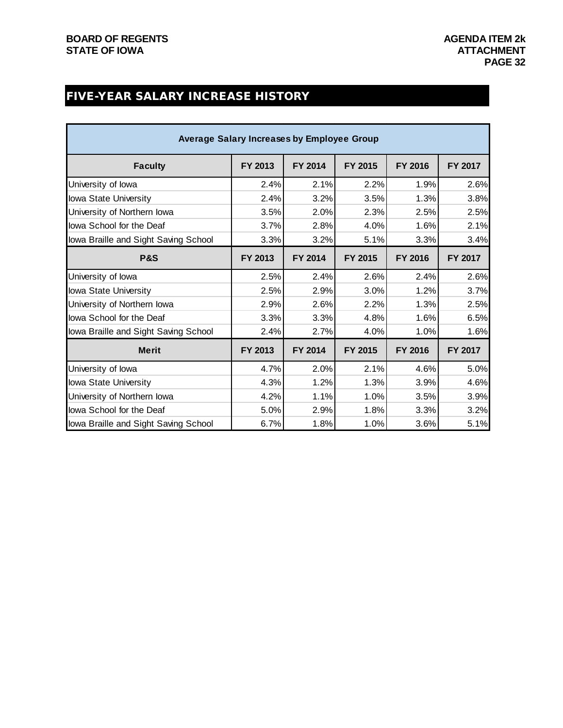### FIVE-YEAR SALARY INCREASE HISTORY

| <b>Average Salary Increases by Employee Group</b> |         |         |         |         |         |  |  |  |  |  |
|---------------------------------------------------|---------|---------|---------|---------|---------|--|--|--|--|--|
| <b>Faculty</b>                                    | FY 2013 | FY 2014 | FY 2015 | FY 2016 | FY 2017 |  |  |  |  |  |
| University of lowa                                | 2.4%    | 2.1%    | 2.2%    | 1.9%    | 2.6%    |  |  |  |  |  |
| lowa State University                             | 2.4%    | 3.2%    | 3.5%    | 1.3%    | 3.8%    |  |  |  |  |  |
| University of Northern Iowa                       | 3.5%    | 2.0%    | 2.3%    | 2.5%    | 2.5%    |  |  |  |  |  |
| lowa School for the Deaf                          | 3.7%    | 2.8%    | 4.0%    | 1.6%    | 2.1%    |  |  |  |  |  |
| lowa Braille and Sight Saving School              | 3.3%    | 3.2%    | 5.1%    | 3.3%    | 3.4%    |  |  |  |  |  |
| <b>P&amp;S</b>                                    | FY 2013 | FY 2014 | FY 2015 | FY 2016 | FY 2017 |  |  |  |  |  |
| University of lowa                                | 2.5%    | 2.4%    | 2.6%    | 2.4%    | 2.6%    |  |  |  |  |  |
| lowa State University                             | 2.5%    | 2.9%    | 3.0%    | 1.2%    | 3.7%    |  |  |  |  |  |
| University of Northern Iowa                       | 2.9%    | 2.6%    | 2.2%    | 1.3%    | 2.5%    |  |  |  |  |  |
| lowa School for the Deaf                          | 3.3%    | 3.3%    | 4.8%    | 1.6%    | 6.5%    |  |  |  |  |  |
| lowa Braille and Sight Saving School              | 2.4%    | 2.7%    | 4.0%    | 1.0%    | 1.6%    |  |  |  |  |  |
| <b>Merit</b>                                      | FY 2013 | FY 2014 | FY 2015 | FY 2016 | FY 2017 |  |  |  |  |  |
| University of lowa                                | 4.7%    | 2.0%    | 2.1%    | 4.6%    | 5.0%    |  |  |  |  |  |
| lowa State University                             | 4.3%    | 1.2%    | 1.3%    | 3.9%    | 4.6%    |  |  |  |  |  |
| University of Northern Iowa                       | 4.2%    | 1.1%    | 1.0%    | 3.5%    | 3.9%    |  |  |  |  |  |
| lowa School for the Deaf                          | 5.0%    | 2.9%    | 1.8%    | 3.3%    | 3.2%    |  |  |  |  |  |
| lowa Braille and Sight Saving School              | 6.7%    | 1.8%    | 1.0%    | 3.6%    | 5.1%    |  |  |  |  |  |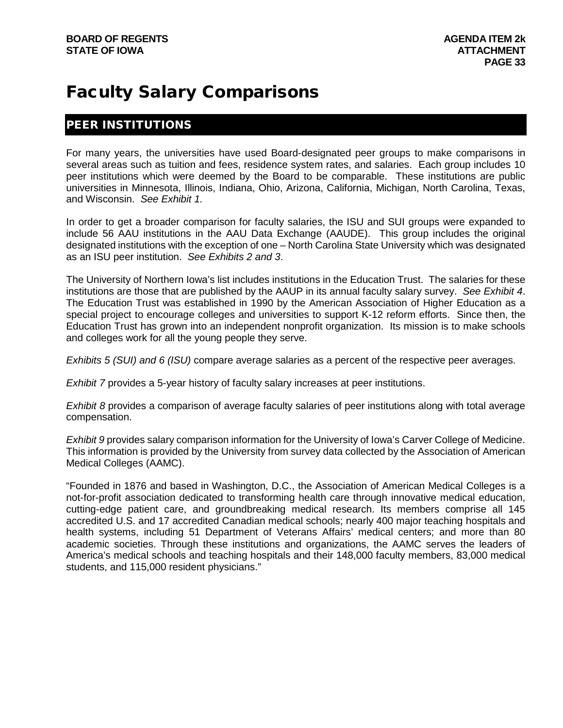## Faculty Salary Comparisons

#### PEER INSTITUTIONS

For many years, the universities have used Board-designated peer groups to make comparisons in several areas such as tuition and fees, residence system rates, and salaries. Each group includes 10 peer institutions which were deemed by the Board to be comparable. These institutions are public universities in Minnesota, Illinois, Indiana, Ohio, Arizona, California, Michigan, North Carolina, Texas, and Wisconsin. *See Exhibit 1.*

In order to get a broader comparison for faculty salaries, the ISU and SUI groups were expanded to include 56 AAU institutions in the AAU Data Exchange (AAUDE). This group includes the original designated institutions with the exception of one – North Carolina State University which was designated as an ISU peer institution. *See Exhibits 2 and 3*.

The University of Northern Iowa's list includes institutions in the Education Trust. The salaries for these institutions are those that are published by the AAUP in its annual faculty salary survey. *See Exhibit 4*. The Education Trust was established in 1990 by the American Association of Higher Education as a special project to encourage colleges and universities to support K-12 reform efforts. Since then, the Education Trust has grown into an independent nonprofit organization. Its mission is to make schools and colleges work for all the young people they serve.

*Exhibits 5 (SUI) and 6 (ISU)* compare average salaries as a percent of the respective peer averages.

*Exhibit 7* provides a 5-year history of faculty salary increases at peer institutions.

*Exhibit 8* provides a comparison of average faculty salaries of peer institutions along with total average compensation.

*Exhibit 9* provides salary comparison information for the University of Iowa's Carver College of Medicine. This information is provided by the University from survey data collected by the Association of American Medical Colleges (AAMC).

"Founded in 1876 and based in Washington, D.C., the Association of American Medical Colleges is a not-for-profit association dedicated to transforming health care through innovative medical education, cutting-edge patient care, and groundbreaking medical research. Its members comprise all 145 accredited U.S. and 17 accredited Canadian medical schools; nearly 400 major teaching hospitals and health systems, including 51 Department of Veterans Affairs' medical centers; and more than 80 academic societies. Through these institutions and organizations, the AAMC serves the leaders of America's medical schools and teaching hospitals and their 148,000 faculty members, 83,000 medical students, and 115,000 resident physicians."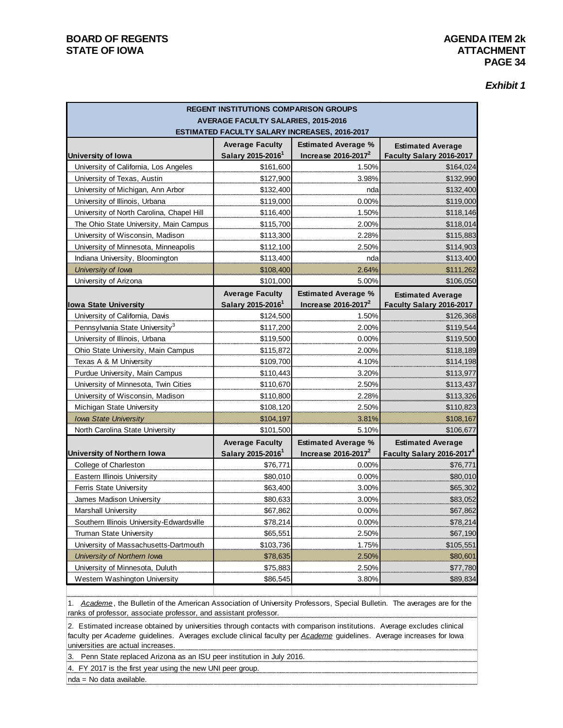| <b>Exhibit 1</b> |  |  |
|------------------|--|--|
|------------------|--|--|

| <b>REGENT INSTITUTIONS COMPARISON GROUPS</b> |                                                                                             |                            |                                                      |  |  |  |  |  |  |
|----------------------------------------------|---------------------------------------------------------------------------------------------|----------------------------|------------------------------------------------------|--|--|--|--|--|--|
|                                              | <b>AVERAGE FACULTY SALARIES, 2015-2016</b><br>ESTIMATED FACULTY SALARY INCREASES, 2016-2017 |                            |                                                      |  |  |  |  |  |  |
|                                              |                                                                                             | <b>Estimated Average %</b> |                                                      |  |  |  |  |  |  |
| <b>University of lowa</b>                    | <b>Average Faculty</b><br>Salary 2015-2016 <sup>1</sup>                                     | Increase $2016 - 2017^2$   | <b>Estimated Average</b><br>Faculty Salary 2016-2017 |  |  |  |  |  |  |
| University of California, Los Angeles        | \$161,600                                                                                   | 1.50%                      | \$164,024                                            |  |  |  |  |  |  |
| University of Texas, Austin                  | \$127,900                                                                                   | 3.98%                      | \$132,990                                            |  |  |  |  |  |  |
| University of Michigan, Ann Arbor            | \$132,400                                                                                   | nda                        | \$132,400                                            |  |  |  |  |  |  |
| University of Illinois, Urbana               | \$119,000                                                                                   | 0.00%                      | \$119,000                                            |  |  |  |  |  |  |
| University of North Carolina, Chapel Hill    | \$116,400                                                                                   | 1.50%                      | \$118,146                                            |  |  |  |  |  |  |
| The Ohio State University, Main Campus       | \$115,700                                                                                   | 2.00%                      | \$118,014                                            |  |  |  |  |  |  |
| University of Wisconsin, Madison             | \$113,300                                                                                   | 2.28%                      | \$115,883                                            |  |  |  |  |  |  |
| University of Minnesota, Minneapolis         | \$112,100                                                                                   | 2.50%                      | \$114,903                                            |  |  |  |  |  |  |
| Indiana University, Bloomington              | \$113,400                                                                                   | nda                        | \$113,400                                            |  |  |  |  |  |  |
| University of Iowa                           | \$108,400                                                                                   | 2.64%                      | \$111,262                                            |  |  |  |  |  |  |
| University of Arizona                        | \$101,000                                                                                   | 5.00%                      | \$106,050                                            |  |  |  |  |  |  |
|                                              | <b>Average Faculty</b>                                                                      | <b>Estimated Average %</b> | <b>Estimated Average</b>                             |  |  |  |  |  |  |
| <b>Iowa State University</b>                 | Salary 2015-2016 <sup>1</sup>                                                               | Increase $2016 - 2017^2$   | Faculty Salary 2016-2017                             |  |  |  |  |  |  |
| University of California, Davis              | \$124,500                                                                                   | 1.50%                      | \$126,368                                            |  |  |  |  |  |  |
| Pennsylvania State University <sup>3</sup>   | \$117,200                                                                                   | 2.00%                      | \$119,544                                            |  |  |  |  |  |  |
| University of Illinois, Urbana               | \$119,500                                                                                   | 0.00%                      | \$119,500                                            |  |  |  |  |  |  |
| Ohio State University, Main Campus           | \$115,872                                                                                   | 2.00%                      | \$118,189                                            |  |  |  |  |  |  |
| Texas A & M University                       | \$109,700                                                                                   | 4.10%                      | \$114,198                                            |  |  |  |  |  |  |
| Purdue University, Main Campus               | \$110,443                                                                                   | 3.20%                      | \$113,977                                            |  |  |  |  |  |  |
| University of Minnesota, Twin Cities         | \$110,670                                                                                   | 2.50%                      | \$113,437                                            |  |  |  |  |  |  |
| University of Wisconsin, Madison             | \$110,800                                                                                   | 2.28%                      | \$113,326                                            |  |  |  |  |  |  |
| Michigan State University                    | \$108,120                                                                                   | 2.50%                      | \$110,823                                            |  |  |  |  |  |  |
| <b>Iowa State University</b>                 | \$104,197                                                                                   | 3.81%                      | \$108,167                                            |  |  |  |  |  |  |
| North Carolina State University              | \$101,500                                                                                   | 5.10%                      | \$106,677                                            |  |  |  |  |  |  |
|                                              | <b>Average Faculty</b>                                                                      | <b>Estimated Average %</b> | <b>Estimated Average</b>                             |  |  |  |  |  |  |
| University of Northern Iowa                  | Salary 2015-2016 <sup>1</sup>                                                               | Increase $2016 - 2017^2$   | Faculty Salary 2016-2017 <sup>4</sup>                |  |  |  |  |  |  |
| College of Charleston                        | \$76,771                                                                                    | 0.00%                      | \$76,771                                             |  |  |  |  |  |  |
| Eastern Illinois University                  | \$80,010                                                                                    | 0.00%                      | \$80,010                                             |  |  |  |  |  |  |
| Ferris State University                      | \$63,400                                                                                    | 3.00%                      | \$65,302                                             |  |  |  |  |  |  |
| James Madison University                     | \$80,633                                                                                    | 3.00%                      | \$83,052                                             |  |  |  |  |  |  |
| <b>Marshall University</b>                   | \$67,862                                                                                    | 0.00%                      | \$67,862                                             |  |  |  |  |  |  |
| Southern Illinois University-Edwardsville    | \$78,214                                                                                    | 0.00%                      | \$78,214                                             |  |  |  |  |  |  |
| Truman State University                      | \$65,551                                                                                    | 2.50%                      | \$67,190                                             |  |  |  |  |  |  |
| University of Massachusetts-Dartmouth        | \$103,736                                                                                   | 1.75%                      | \$105,551                                            |  |  |  |  |  |  |
| University of Northern Iowa                  | \$78,635                                                                                    | 2.50%                      | \$80,601                                             |  |  |  |  |  |  |
| University of Minnesota, Duluth              | \$75,883                                                                                    | 2.50%                      | \$77,780                                             |  |  |  |  |  |  |
| Western Washington University                | \$86,545                                                                                    | 3.80%                      | \$89,834                                             |  |  |  |  |  |  |

1. *Academe*, the Bulletin of the American Association of University Professors, Special Bulletin. The averages are for the ranks of professor, associate professor, and assistant professor.

2. Estimated increase obtained by universities through contacts with comparison institutions. Average excludes clinical faculty per *Academe* guidelines. Averages exclude clinical faculty per *Academe* guidelines. Average increases for Iowa universities are actual increases.

3. Penn State replaced Arizona as an ISU peer institution in July 2016.

4. FY 2017 is the first year using the new UNI peer group.

nda = No data available.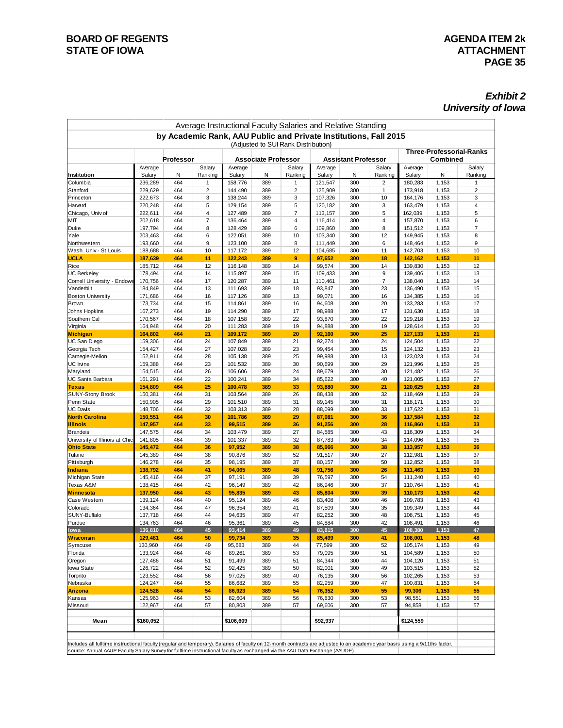#### *Exhibit 2 University of Iowa*

| Institution<br>Columbia<br>Stanford<br>Princeton<br>Harvard<br>Chicago, Univ of<br>міт<br>Duke<br>Yale<br>Northwestern<br>Wash. Univ - St Louis<br>UCLA<br>Rice<br>UC Berkeley | Average<br>Salary<br>236,289<br>229,629<br>222,673<br>220,248<br>222,611<br>202,618<br>197,794<br>203.463<br>193,660<br>188,688<br>187,639<br>185,712 | <b>Professor</b><br>Ν<br>464<br>464<br>464<br>464<br>464<br>464<br>464<br>464<br>464 | Salary<br>Ranking<br>$\mathbf{1}$<br>$\overline{2}$<br>3<br>5<br>4<br>$\overline{7}$<br>8 | Average<br>Salary<br>158,776<br>144,490<br>138,244<br>129,154<br>127,489<br>136,464 | <b>Associate Professor</b><br>N<br>389<br>389<br>389<br>389 | (Adjusted to SUI Rank Distribution)<br>Salary<br>Ranking<br>1<br>$\overline{2}$ | Average<br>Salary<br>121,547 | <b>Assistant Professor</b><br>N<br>300 | Salary<br>Ranking | Average<br>Salary  | <b>Combined</b><br>N | <b>Three-Professorial-Ranks</b><br>Salary<br>Ranking |
|--------------------------------------------------------------------------------------------------------------------------------------------------------------------------------|-------------------------------------------------------------------------------------------------------------------------------------------------------|--------------------------------------------------------------------------------------|-------------------------------------------------------------------------------------------|-------------------------------------------------------------------------------------|-------------------------------------------------------------|---------------------------------------------------------------------------------|------------------------------|----------------------------------------|-------------------|--------------------|----------------------|------------------------------------------------------|
|                                                                                                                                                                                |                                                                                                                                                       |                                                                                      |                                                                                           |                                                                                     |                                                             |                                                                                 |                              |                                        |                   |                    |                      |                                                      |
|                                                                                                                                                                                |                                                                                                                                                       |                                                                                      |                                                                                           |                                                                                     |                                                             |                                                                                 |                              |                                        |                   |                    |                      |                                                      |
|                                                                                                                                                                                |                                                                                                                                                       |                                                                                      |                                                                                           |                                                                                     |                                                             |                                                                                 |                              |                                        |                   |                    |                      |                                                      |
|                                                                                                                                                                                |                                                                                                                                                       |                                                                                      |                                                                                           |                                                                                     |                                                             |                                                                                 |                              |                                        | 2                 | 180,283            | 1,153                | 1                                                    |
|                                                                                                                                                                                |                                                                                                                                                       |                                                                                      |                                                                                           |                                                                                     |                                                             |                                                                                 | 125,909                      | 300                                    | 1                 | 173,918            | 1,153                | $\overline{2}$                                       |
|                                                                                                                                                                                |                                                                                                                                                       |                                                                                      |                                                                                           |                                                                                     |                                                             | 3<br>5                                                                          | 107,326<br>120,182           | 300<br>300                             | 10<br>3           | 164,176<br>163,479 | 1,153                | 3<br>4                                               |
|                                                                                                                                                                                |                                                                                                                                                       |                                                                                      |                                                                                           |                                                                                     | 389                                                         | 7                                                                               | 113,157                      | 300                                    | 5                 | 162,039            | 1,153<br>1,153       | 5                                                    |
|                                                                                                                                                                                |                                                                                                                                                       |                                                                                      |                                                                                           |                                                                                     | 389                                                         | 4                                                                               | 116,414                      | 300                                    | 4                 | 157,870            | 1,153                | 6                                                    |
|                                                                                                                                                                                |                                                                                                                                                       |                                                                                      |                                                                                           | 128,429                                                                             | 389                                                         | 6                                                                               | 109.860                      | 300                                    | 8                 | 151,512            | 1,153                | 7                                                    |
|                                                                                                                                                                                |                                                                                                                                                       |                                                                                      | 6                                                                                         | 122,051                                                                             | 389                                                         | 10                                                                              | 103,340                      | 300                                    | 12                | 149,945            | 1,153                | 8                                                    |
|                                                                                                                                                                                |                                                                                                                                                       |                                                                                      | 9                                                                                         | 123,100                                                                             | 389                                                         | 8                                                                               | 111,449                      | 300                                    | 6                 | 148,464            | 1,153                | 9                                                    |
|                                                                                                                                                                                |                                                                                                                                                       | 464                                                                                  | 10                                                                                        | 117,172                                                                             | 389                                                         | 12                                                                              | 104,685                      | 300                                    | 11                | 142,703            | 1,153                | 10                                                   |
|                                                                                                                                                                                |                                                                                                                                                       | 464                                                                                  | 11                                                                                        | 122,243                                                                             | 389                                                         | 9                                                                               | 97,652                       | 300                                    | 18                | 142,162            | 1,153                | 11                                                   |
|                                                                                                                                                                                |                                                                                                                                                       | 464                                                                                  | 12                                                                                        | 116,148                                                                             | 389                                                         | 14                                                                              | 99,574                       | 300                                    | 14                | 139,830            | 1,153                | 12                                                   |
|                                                                                                                                                                                | 178,494                                                                                                                                               | 464                                                                                  | 14                                                                                        | 115,897                                                                             | 389                                                         | 15                                                                              | 109,433                      | 300                                    | 9                 | 139,406            | 1,153                | 13                                                   |
| Cornell University - Endowe                                                                                                                                                    | 170,756                                                                                                                                               | 464                                                                                  | 17                                                                                        | 120,287                                                                             | 389                                                         | 11                                                                              | 110,461                      | 300                                    | $\overline{7}$    | 138,040            | 1,153                | 14                                                   |
| Vanderbilt                                                                                                                                                                     | 184,849                                                                                                                                               | 464                                                                                  | 13                                                                                        | 111,693                                                                             | 389                                                         | 18                                                                              | 93,847                       | 300                                    | 23                | 136,490            | 1,153                | 15                                                   |
| <b>Boston University</b>                                                                                                                                                       | 171,686                                                                                                                                               | 464                                                                                  | 16                                                                                        | 117,126                                                                             | 389                                                         | 13                                                                              | 99,071                       | 300                                    | 16                | 134,385            | 1,153                | 16                                                   |
| Brown                                                                                                                                                                          | 173,734                                                                                                                                               | 464                                                                                  | 15                                                                                        | 114,861                                                                             | 389                                                         | 16                                                                              | 94,608                       | 300                                    | 20                | 133,283            | 1,153                | 17                                                   |
| Johns Hopkins                                                                                                                                                                  | 167,273                                                                                                                                               | 464                                                                                  | 19                                                                                        | 114,290                                                                             | 389                                                         | 17                                                                              | 98,988                       | 300                                    | 17                | 131,630            | 1,153                | 18                                                   |
| Southern Cal                                                                                                                                                                   | 170,567                                                                                                                                               | 464                                                                                  | 18                                                                                        | 107,158                                                                             | 389                                                         | 22                                                                              | 93,870                       | 300                                    | 22                | 129,218            | 1,153                | 19                                                   |
| Virginia                                                                                                                                                                       | 164,948                                                                                                                                               | 464                                                                                  | 20                                                                                        | 111,283                                                                             | 389                                                         | 19                                                                              | 94,888                       | 300                                    | 19                | 128,614            | 1,153                | 20                                                   |
| <b>Michigan</b>                                                                                                                                                                | 164,802                                                                                                                                               | 464                                                                                  | 21                                                                                        | 109,172                                                                             | 389                                                         | 20                                                                              | 92,160                       | 300                                    | 25                | 127,133            | 1,153                | 21                                                   |
| UC San Diego                                                                                                                                                                   | 159,306                                                                                                                                               | 464                                                                                  | 24                                                                                        | 107,849                                                                             | 389                                                         | 21                                                                              | 92,274                       | 300                                    | 24                | 124,504            | 1,153                | 22                                                   |
| Georgia Tech                                                                                                                                                                   | 154,427                                                                                                                                               | 464                                                                                  | 27                                                                                        | 107,028                                                                             | 389                                                         | 23                                                                              | 99,454                       | 300                                    | 15                | 124,132            | 1,153                | 23                                                   |
| Carnegie-Mellon                                                                                                                                                                | 152,911                                                                                                                                               | 464                                                                                  | 28                                                                                        | 105,138                                                                             | 389                                                         | 25                                                                              | 99,988                       | 300                                    | 13                | 123,023            | 1,153                | 24                                                   |
| UC Irvine                                                                                                                                                                      | 159,388                                                                                                                                               | 464                                                                                  | 23                                                                                        | 101,532                                                                             | 389                                                         | 30                                                                              | 90,699                       | 300                                    | 29                | 121,996            | 1,153                | 25                                                   |
| Maryland                                                                                                                                                                       | 154,515                                                                                                                                               | 464                                                                                  | 26                                                                                        | 106,606                                                                             | 389                                                         | 24                                                                              | 89,679                       | 300                                    | 30                | 121,482            | 1,153                | 26                                                   |
| UC Santa Barbara                                                                                                                                                               | 161,291                                                                                                                                               | 464                                                                                  | 22                                                                                        | 100,241                                                                             | 389                                                         | 34                                                                              | 85,622                       | 300                                    | 40                | 121,005            | 1,153                | 27                                                   |
| <b>Texas</b>                                                                                                                                                                   | 154,809                                                                                                                                               | 464                                                                                  | 25                                                                                        | 100,478                                                                             | 389                                                         | 33                                                                              | 93,880                       | 300                                    | 21                | 120,625            | 1,153                | 28                                                   |
| <b>SUNY-Stony Brook</b>                                                                                                                                                        | 150,381                                                                                                                                               | 464                                                                                  | 31                                                                                        | 103,564                                                                             | 389                                                         | 26                                                                              | 88,438                       | 300                                    | 32                | 118,469            | 1,153                | 29                                                   |
| Penn State                                                                                                                                                                     | 150,905                                                                                                                                               | 464                                                                                  | 29                                                                                        | 101,510                                                                             | 389                                                         | 31                                                                              | 89,145                       | 300                                    | 31                | 118,171            | 1,153                | 30                                                   |
| UC Davis                                                                                                                                                                       | 148,706                                                                                                                                               | 464                                                                                  | 32                                                                                        | 103,313                                                                             | 389                                                         | 28                                                                              | 88,099                       | 300                                    | 33                | 117,622            | 1,153                | 31                                                   |
| <b>North Carolina</b>                                                                                                                                                          | 150,551                                                                                                                                               | 464                                                                                  | 30                                                                                        | 101,786                                                                             | 389                                                         | 29                                                                              | 87,081                       | 300                                    | 36                | 117,584            | 1,153                | 32                                                   |
| <b>Illinois</b>                                                                                                                                                                | 147,957                                                                                                                                               | 464                                                                                  | 33                                                                                        | 99,515                                                                              | 389                                                         | 36                                                                              | 91,256                       | 300                                    | 28                | 116,860            | 1,153                | 33                                                   |
| <b>Brandeis</b>                                                                                                                                                                | 147,575                                                                                                                                               | 464                                                                                  | 34<br>39                                                                                  | 103,479                                                                             | 389                                                         | 27<br>32                                                                        | 84,585                       | 300                                    | 43<br>34          | 116,309            | 1,153                | 34<br>35                                             |
| University of Illinois at Chic<br><b>Ohio State</b>                                                                                                                            | 141,805<br>145,472                                                                                                                                    | 464<br>464                                                                           | 36                                                                                        | 101,337<br>97,952                                                                   | 389<br>389                                                  | 38                                                                              | 87,783<br>85,966             | 300<br>300                             | 38                | 114,096<br>113,957 | 1,153<br>1,153       | 36                                                   |
| Tulane                                                                                                                                                                         | 145,389                                                                                                                                               | 464                                                                                  | 38                                                                                        | 90,876                                                                              | 389                                                         | 52                                                                              | 91,517                       | 300                                    | 27                | 112,981            | 1,153                | 37                                                   |
| Pittsburgh                                                                                                                                                                     | 146,278                                                                                                                                               | 464                                                                                  | 35                                                                                        | 98,195                                                                              | 389                                                         | 37                                                                              | 80,157                       | 300                                    | 50                | 112,852            | 1,153                | 38                                                   |
| Indiana                                                                                                                                                                        | 138,792                                                                                                                                               | 464                                                                                  | 41                                                                                        | 94,065                                                                              | 389                                                         | 48                                                                              | 91,756                       | 300                                    | 26                | 111,463            | 1,153                | 39                                                   |
| Michigan State                                                                                                                                                                 | 145,416                                                                                                                                               | 464                                                                                  | 37                                                                                        | 97,191                                                                              | 389                                                         | 39                                                                              | 76,597                       | 300                                    | 54                | 111,240            | 1,153                | 40                                                   |
| Texas A&M                                                                                                                                                                      | 138,415                                                                                                                                               | 464                                                                                  | 42                                                                                        | 96,149                                                                              | 389                                                         | 42                                                                              | 86,946                       | 300                                    | 37                | 110,764            | 1,153                | 41                                                   |
| <u>Minne sota</u>                                                                                                                                                              | 137,950                                                                                                                                               | 464                                                                                  | 43                                                                                        | 95,835                                                                              | 389                                                         | 43                                                                              | 85,804                       | 300                                    | 39                | 110,173            | 1,153                | 42                                                   |
| Case Western                                                                                                                                                                   | 139,124                                                                                                                                               | 464                                                                                  | 40                                                                                        | 95,124                                                                              | 389                                                         | 46                                                                              | 83,408                       | 300                                    | 46                | 109,783            | 1,153                | 43                                                   |
| Colorado                                                                                                                                                                       | 134,364                                                                                                                                               | 464                                                                                  | 47                                                                                        | 96,354                                                                              | 389                                                         | 41                                                                              | 87,509                       | 300                                    | 35                | 109,349            | 1,153                | 44                                                   |
| SUNY-Buffalo                                                                                                                                                                   | 137,718                                                                                                                                               | 464                                                                                  | 44                                                                                        | 94,635                                                                              | 389                                                         | 47                                                                              | 82,252                       | 300                                    | 48                | 108,751            | 1,153                | 45                                                   |
| Purdue                                                                                                                                                                         | 134,763                                                                                                                                               | 464                                                                                  | 46                                                                                        | 95,361                                                                              | 389                                                         | 45                                                                              | 84,884                       | 300                                    | 42                | 108.491            | 1,153                | 46                                                   |
| w <sub>a</sub>                                                                                                                                                                 | 136.810                                                                                                                                               | 464                                                                                  | 15                                                                                        | 93.414                                                                              | 389                                                         | ΤC                                                                              | 83.815                       | 300                                    | 45                | 108 380            | 1,153                | 17                                                   |
| <b>Wisconsin</b>                                                                                                                                                               | 129,481                                                                                                                                               | 464                                                                                  | 50                                                                                        | 99,734                                                                              | 389                                                         | 35                                                                              | 85,499                       | 300                                    | 41                | 108,001            | 1,153                | 48                                                   |
| Syracuse                                                                                                                                                                       | 130,960                                                                                                                                               | 464                                                                                  | 49                                                                                        | 95,683                                                                              | 389                                                         | 44                                                                              | 77,599                       | 300                                    | 52                | 105,174            | 1,153                | 49                                                   |
| Florida                                                                                                                                                                        | 133,924                                                                                                                                               | 464                                                                                  | 48                                                                                        | 89,261                                                                              | 389                                                         | 53                                                                              | 79,095                       | 300                                    | 51                | 104,589            | 1,153                | 50                                                   |
| Oregon                                                                                                                                                                         | 127,486                                                                                                                                               | 464                                                                                  | 51                                                                                        | 91,499                                                                              | 389                                                         | 51                                                                              | 84,344                       | 300                                    | 44                | 104,120            | 1,153                | 51                                                   |
| lowa State                                                                                                                                                                     | 126,722                                                                                                                                               | 464                                                                                  | 52                                                                                        | 92,425                                                                              | 389                                                         | 50                                                                              | 82,001                       | 300                                    | 49                | 103,515            | 1,153                | 52                                                   |
| Toronto                                                                                                                                                                        | 123,552                                                                                                                                               | 464                                                                                  | 56                                                                                        | 97,025                                                                              | 389                                                         | 40                                                                              | 76,135                       | 300                                    | 56                | 102,265            | 1,153                | 53                                                   |
| Nebraska                                                                                                                                                                       | 124,247                                                                                                                                               | 464                                                                                  | 55                                                                                        | 86,682                                                                              | 389                                                         | 55                                                                              | 82,959                       | 300                                    | 47                | 100,831            | 1,153                | 54                                                   |
| <b>Arizona</b>                                                                                                                                                                 | 124,528                                                                                                                                               | 464                                                                                  | 54                                                                                        | 86,923                                                                              | 389                                                         | 54                                                                              | 76,352                       | 300                                    | 55                | 99,306             | 1,153                | 55                                                   |
| Kansas                                                                                                                                                                         | 125,963                                                                                                                                               | 464                                                                                  | 53                                                                                        | 82,604                                                                              | 389                                                         | 56                                                                              | 76,830                       | 300                                    | 53                | 98,551             | 1,153                | 56                                                   |
| Missouri                                                                                                                                                                       | 122,967                                                                                                                                               | 464                                                                                  | 57                                                                                        | 80,803                                                                              | 389                                                         | 57                                                                              | 69,606                       | 300                                    | 57                | 94,858             | 1,153                | 57                                                   |
| Mean                                                                                                                                                                           | \$160,052                                                                                                                                             |                                                                                      |                                                                                           | \$106,609                                                                           |                                                             |                                                                                 | \$92,937                     |                                        |                   | \$124,559          |                      |                                                      |
|                                                                                                                                                                                |                                                                                                                                                       |                                                                                      |                                                                                           |                                                                                     |                                                             |                                                                                 |                              |                                        |                   |                    |                      |                                                      |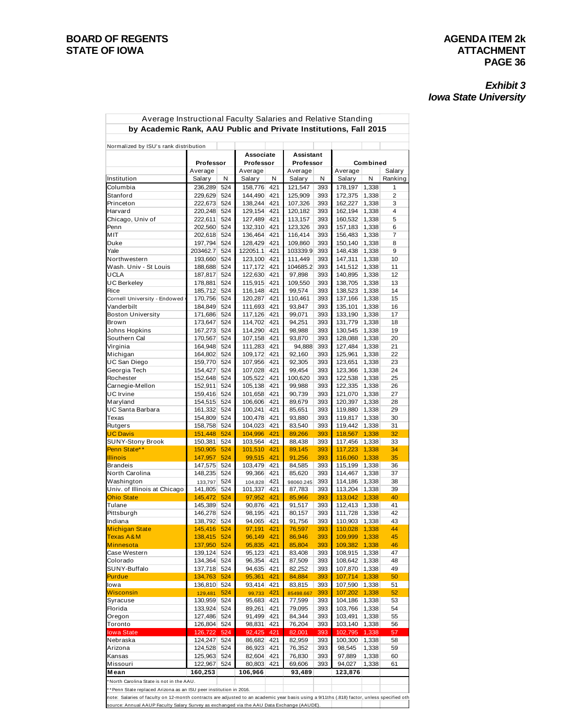#### **BOARD OF REGENTS**<br> **BOARD OF REGENTS**<br> **BOARD OF IOWA**<br> **ATTACHMENT STATE OF IOWA**

# **PAGE 36**

#### *Exhibit 3 Iowa State University*

| Normalized by ISU's rank distribution |                            |     |                        |     |                        |     |                 |          |         |
|---------------------------------------|----------------------------|-----|------------------------|-----|------------------------|-----|-----------------|----------|---------|
|                                       | Professor                  |     | Associate<br>Professor |     | Assistant<br>Professor |     |                 | Combined |         |
|                                       | Average                    |     | Average                |     | Average                |     | Average         |          | Salary  |
| Institution                           | Salary                     | N   | Salary                 | N   | Salary                 | N   | Salary          | N        | Ranking |
| Columbia                              | 236,289                    | 524 | 158,776 421            |     | 121,547                | 393 | 178,197 1,338   |          | 1       |
| Stanford                              | 229,629                    | 524 | 144,490 421            |     | 125,909                | 393 | 172,375         | 1,338    | 2       |
| Princeton                             | 222,673 524                |     | 138,244 421            |     | 107,326                | 393 | 162,227         | 1,338    | 3       |
| Harvard                               | 220,248 524                |     | 129,154 421            |     | 120,182                | 393 | 162,194 1,338   |          | 4       |
| Chicago, Univ of                      | 222,611                    | 524 | 127,489 421            |     | 113,157                | 393 | 160,532 1,338   |          | 5       |
| Penn                                  | 202,560 524                |     | 132,310 421            |     | 123,326                | 393 | 157,183         | 1,338    | 6       |
| MIT                                   | 202,618 524                |     | 136,464 421            |     | 116,414                | 393 | 156,483         | 1,338    | 7       |
| Duke                                  | 197,794 524                |     | 128,429 421            |     | 109,860                | 393 | 150,140         | 1,338    | 8       |
| Yale                                  | 203462.7                   | 524 | 122051.1               | 421 | 103339.9               | 393 | 148,438 1,338   |          | 9       |
| Northwestern                          | 193,660 524                |     | 123,100 421            |     | 111,449                | 393 | 147,311         | 1,338    | 10      |
| Wash. Univ - St Louis                 | 188,688 524                |     | 117,172 421            |     | 104685.2               | 393 | 141,512         | 1,338    | 11      |
| UCLA                                  | 187,817 524                |     | 122,630 421            |     | 97,898                 | 393 | 140,895 1,338   |          | 12      |
| UC Berkeley                           | 178,881                    | 524 | 115,915 421            |     | 109,550                | 393 | 138,705 1,338   |          | 13      |
| Rice                                  | 185,712 524                |     | 116,148 421            |     | 99,574                 | 393 | 138,523 1,338   |          | 14      |
| Cornell University - Endowed          | 170,756 524                |     | 120,287 421            |     | 110,461                | 393 | 137,166         | 1,338    | 15      |
| Vanderbilt                            | 184,849 524                |     | 111,693 421            |     | 93,847                 | 393 | 135,101         | 1,338    | 16      |
| <b>Boston University</b>              | 171,686 524                |     | 117,126 421            |     | 99,071                 | 393 | 133,190         | 1,338    | 17      |
| Brown                                 | 173,647                    | 524 | 114,702 421            |     | 94,251                 | 393 | 131,779         | 1,338    | 18      |
| Johns Hopkins                         | 167,273 524                |     | 114,290 421            |     | 98,988                 | 393 | 130,545         | 1,338    | 19      |
| Southern Cal                          | 170,567 524                |     | 107,158 421            |     | 93,870                 | 393 | 128,088         | 1,338    | 20      |
| Virginia                              | 164,948 524                |     | 111,283 421            |     | 94,888                 | 393 | 127,484 1,338   |          | 21      |
| Michigan                              | 164,802 524                |     | 109,172 421            |     | 92,160                 | 393 | 125,961         | 1,338    | 22      |
| UC San Diego                          | 159,770 524                |     | 107,956 421            |     | 92,305                 | 393 | 123,651         | 1,338    | 23      |
| Georgia Tech                          | 154,427 524                |     | 107,028 421            |     | 99,454                 | 393 | 123,366         | 1,338    | 24      |
| Rochester                             | 152,648 524                |     | 105,522 421            |     | 100,620                | 393 | 122,538 1,338   |          | 25      |
| Carnegie-Mellon                       | 152,911 524                |     | 105,138 421            |     | 99,988                 | 393 | 122,335 1,338   |          | 26      |
| UC Irvine                             | 159,416 524                |     | 101,658 421            |     | 90,739                 | 393 | 121,070 1,338   |          | 27      |
| Maryland                              | 154,515 524                |     | 106,606 421            |     | 89,679                 | 393 | 120,397 1,338   |          | 28      |
| UC Santa Barbara                      | 161,332 524                |     | 100,241                | 421 | 85,651                 | 393 | 119,880 1,338   |          | 29      |
| Texas                                 | 154,809 524                |     | 100,478 421            |     | 93,880                 | 393 | 119,817   1,338 |          | 30      |
| Rutgers                               | 158,758 524                |     | 104,023 421            |     | 83,540                 | 393 | 119,442 1,338   |          | 31      |
| <b>UC Davis</b>                       | 151,448 524                |     | 104,996 421            |     | 89,266                 | 393 | 118,567 1,338   |          | 32      |
| <b>SUNY-Stony Brook</b>               | 150,381 524                |     | 103,564 421            |     | 88,438                 | 393 | 117,456 1,338   |          | 33      |
| Penn State**                          | 150,905 524                |     | 101,510 421            |     | 89,145                 | 393 | 117,223 1,338   |          | 34      |
| <b>Illinois</b>                       | 147,957 524                |     | 99,515 421             |     | 91,256                 | 393 | 116,060 1,338   |          | 35      |
| Brandeis                              | 147,575 524                |     | 103,479 421            |     | 84,585                 | 393 | 115,199 1,338   |          | 36      |
| North Carolina                        | 148,235 524                |     | 99,366 421             |     | 85,620                 | 393 | 114,467 1,338   |          | 37      |
| Washington                            | 133,797 524                |     | 104,828 421            |     |                        | 393 | 114,186 1,338   |          | 38      |
|                                       |                            |     |                        |     | 98060.245              |     |                 |          |         |
| Univ. of Illinois at Chicago          | 141,805 524<br>145,472 524 |     | 101,337 421            |     | 87,783                 | 393 | 113,204   1,338 |          | 39      |
| <b>Ohio State</b>                     |                            |     | 97,952 421             |     | 85,966                 | 393 | 113,042 1,338   |          | 40      |
| Tulane                                | 145,389 524                |     | 90,876 421             |     | 91,517                 | 393 | 112,413 1,338   |          | 41      |
| Pittsburgh                            | 146,278 524                |     | 98,195 421             |     | 80,157                 | 393 | 111,728 1,338   |          | 42      |
| Indiana                               | 138,792 524                |     | 94,065 421             |     | 91,756                 | 393 | 110,903 1,338   |          | 43      |
| <b>Michigan State</b>                 | 145,416 524                |     | 97,191 421             |     | 76,597                 | 393 | 110,028 1,338   |          | 44      |
| Texas A&M                             | 138,415 524                |     | 96,149 421             |     | 86,946                 | 393 | 109,999 1,338   |          | 45      |
| <b>Minnesota</b>                      | 137,950 524                |     | 95,835 421             |     | 85,804                 | 393 | 109,382 1,338   |          | 46      |
| Case Western                          | 139,124 524                |     | 95,123 421             |     | 83,408                 | 393 | 108,915   1,338 |          | 47      |
| Colorado                              | 134,364 524                |     | 96,354 421             |     | 87,509                 | 393 | 108,642   1,338 |          | 48      |
| SUNY-Buffalo                          | 137,718 524                |     | 94,635 421             |     | 82,252                 | 393 | 107,870 1,338   |          | 49      |
| Purdue                                | 134,763 524                |     | 95,361 421             |     | 84,884                 | 393 | 107,714 1,338   |          | 50      |
| lowa                                  | 136,810 524                |     | 93,414 421             |     | 83,815                 | 393 | 107,590   1,338 |          | 51      |
| <b>Wisconsin</b>                      | 129,481                    | 524 | 99,733 421             |     | 85498.667              | 393 | 107,202 1,338   |          | 52      |
| Syracuse                              | 130,959 524                |     | 95,683 421             |     | 77,599                 | 393 | 104,186 1,338   |          | 53      |
| Florida                               | 133,924 524                |     | 89,261 421             |     | 79,095                 | 393 | 103,766 1,338   |          | 54      |
| Oregon                                | 127,486 524                |     | 91,499 421             |     | 84,344                 | 393 | 103,491         | 1,338    | 55      |
| Toronto                               | 126,804 524                |     | 98,831 421             |     | 76,204                 | 393 | 103,140   1,338 |          | 56      |
| <b>lowa State</b>                     | 126,722                    | 524 | 92,425 421             |     | 82,001                 | 393 | 102,795         | 1,338    | 57      |
| Nebraska                              | 124,247 524                |     | 86,682 421             |     | 82,959                 | 393 | 100,300         | 1,338    | 58      |
| Arizona                               | 124,528 524                |     | 86,923 421             |     | 76,352                 | 393 | 98,545          | 1,338    | 59      |
| Kansas                                | 125,963 524                |     | 82,604 421             |     | 76,830                 | 393 | 97,889          | 1,338    | 60      |
| Missouri                              | 122,967                    | 524 | 80,803 421             |     | 69,606                 | 393 | 94,027          | 1,338    | 61      |
| Mean                                  | 160,253                    |     | 106,966                |     | 93,489                 |     | 123,876         |          |         |
|                                       |                            |     |                        |     |                        |     |                 |          |         |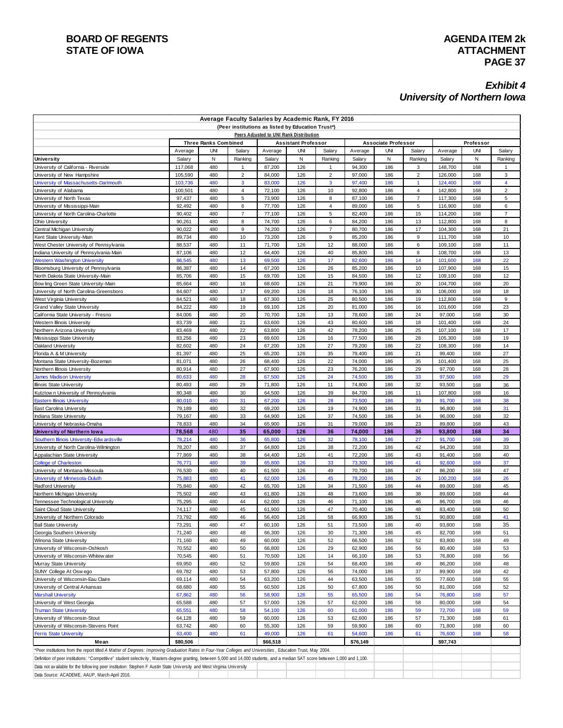#### **BOARD OF REGENTS**<br> **BOARD OF REGENTS**<br> **BOARD OF IOWA**<br> **ATTACHMENT STATE OF IOWA**

#### *Exhibit 4 University of Northern Iowa*

| Average Faculty Salaries by Academic Rank, FY 2016<br>(Peer institutions as listed by Education Trust*)                                                                         |                    |                             |                     |                    |                                                                       |                |                    |                            |                                  |                    |            |                  |
|---------------------------------------------------------------------------------------------------------------------------------------------------------------------------------|--------------------|-----------------------------|---------------------|--------------------|-----------------------------------------------------------------------|----------------|--------------------|----------------------------|----------------------------------|--------------------|------------|------------------|
|                                                                                                                                                                                 |                    |                             |                     |                    |                                                                       |                |                    |                            |                                  |                    |            |                  |
|                                                                                                                                                                                 |                    | <b>Three Ranks Combined</b> |                     |                    | Peers Adjusted to UNI Rank Distribution<br><b>Assistant Professor</b> |                |                    | <b>Associate Professor</b> |                                  |                    | Professor  |                  |
|                                                                                                                                                                                 | Average            | <b>UNI</b>                  | Salary              | Average            | <b>UNI</b>                                                            | Salary         | Average            | <b>UNI</b>                 | Salary                           | Average            | UNI        | Salary           |
| <b>University</b>                                                                                                                                                               | Salary             | N                           | Ranking             | Salary             | N                                                                     | Ranking        | Salary             | N                          | Ranking                          | Salary             | Ν          | Ranking          |
| University of California - Riverside                                                                                                                                            | 117,068            | 480                         | $\mathbf{1}$        | 87,200             | 126                                                                   | $\overline{1}$ | 94,300             | 186                        | 3                                | 148,700            | 168        | 1                |
| University of New Hampshire                                                                                                                                                     | 105,590            | 480                         | $\overline{2}$      | 84,000             | 126                                                                   | $\overline{2}$ | 97,000             | 186                        | $\overline{2}$                   | 126,000            | 168        | 3                |
| University of Massachusetts-Dartmouth                                                                                                                                           | 103,736            | 480                         | 3                   | 83,000             | 126                                                                   | 3              | 97,400             | 186                        | $\mathbf{1}$                     | 124,400            | 168        | 4                |
| University of Alabama                                                                                                                                                           | 100,501<br>97,437  | 480<br>480                  | $\overline{4}$<br>5 | 72,100<br>73,900   | 126<br>126                                                            | 10<br>8        | 92,800<br>87,100   | 186<br>186                 | $\overline{4}$<br>$\overline{7}$ | 142,800<br>117,300 | 168<br>168 | $\mathbf 2$<br>5 |
| University of North Texas<br>University of Mississippi-Main                                                                                                                     | 92,492             | 480                         | 6                   | 77,700             | 126                                                                   | $\overline{4}$ | 89,000             | 186                        | 5                                | 116,900            | 168        | 6                |
| University of North Carolina-Charlotte                                                                                                                                          | 90,402             | 480                         | $\overline{7}$      | 77,100             | 126                                                                   | 5              | 82,400             | 186                        | 15                               | 114,200            | 168        | $\overline{7}$   |
| <b>Ohio University</b>                                                                                                                                                          | 90,261             | 480                         | 8                   | 74,700             | 126                                                                   | 6              | 84,200             | 186                        | 13                               | 112,800            | 168        | 8                |
| Central Michigan University                                                                                                                                                     | 90,022             | 480                         | 9                   | 74,200             | 126                                                                   | $\overline{7}$ | 80,700             | 186                        | 17                               | 104,300            | 168        | 21               |
| Kent State University-Main                                                                                                                                                      | 89,734             | 480                         | 10                  | 73,200             | 126                                                                   | 9              | 85,200             | 186                        | 9                                | 111,700            | 168        | 10               |
| West Chester University of Pennsylvania                                                                                                                                         | 88,537             | 480                         | 11                  | 71,700             | 126                                                                   | 12             | 88,000             | 186                        | 6                                | 109,100            | 168        | 11               |
| Indiana University of Pennsylvania-Main                                                                                                                                         | 87,106             | 480                         | 12                  | 64,400             | 126                                                                   | 40             | 85,800             | 186                        | 8<br>14                          | 108,700            | 168        | 13               |
| <b>Western Washington University</b><br>Bloomsburg University of Pennsylvania                                                                                                   | 86,545<br>86,387   | 480<br>480                  | 13<br>14            | 69,500<br>67,200   | 126<br>126                                                            | 17<br>26       | 82,600<br>85,200   | 186<br>186                 | 10                               | 101,600<br>107,900 | 168<br>168 | 22<br>15         |
| North Dakota State University-Main                                                                                                                                              | 85,706             | 480                         | 15                  | 69,700             | 126                                                                   | 15             | 84,500             | 186                        | 12                               | 109,100            | 168        | 12               |
| Bow ling Green State University-Main                                                                                                                                            | 85,664             | 480                         | 16                  | 68,600             | 126                                                                   | 21             | 79,900             | 186                        | 20                               | 104,700            | 168        | 20               |
| University of North Carolina-Greensboro                                                                                                                                         | 84,607             | 480                         | 17                  | 69,200             | 126                                                                   | 18             | 76,100             | 186                        | 30                               | 106,000            | 168        | 18               |
| West Virginia University                                                                                                                                                        | 84,521             | 480                         | 18                  | 67,300             | 126                                                                   | 25             | 80,500             | 186                        | 19                               | 112,800            | 168        | 9                |
| <b>Grand Valley State University</b>                                                                                                                                            | 84,222             | 480                         | 19                  | 69,100             | 126                                                                   | 20             | 81,000             | 186                        | 16                               | 101,600            | 168        | 23               |
| California State University - Fresno                                                                                                                                            | 84,006             | 480                         | 20                  | 70,700             | 126                                                                   | 13             | 78,600             | 186                        | 24                               | 97,000             | 168        | 30               |
| Western Illinois University<br>Northern Arizona University                                                                                                                      | 83,739<br>83,469   | 480<br>480                  | 21<br>22            | 63,600<br>63,800   | 126<br>126                                                            | 43<br>42       | 80,600<br>78,200   | 186<br>186                 | 18<br>25                         | 101,400<br>107,100 | 168<br>168 | 24<br>17         |
| Mississippi State University                                                                                                                                                    | 83,256             | 480                         | 23                  | 69,600             | 126                                                                   | 16             | 77,500             | 186                        | 28                               | 105,300            | 168        | 19               |
| Oakland University                                                                                                                                                              | 82,602             | 480                         | 24                  | 67,200             | 126                                                                   | 27             | 79,200             | 186                        | 22                               | 108,300            | 168        | 14               |
| Florida A & M University                                                                                                                                                        | 81,397             | 480                         | 25                  | 65,200             | 126                                                                   | 35             | 79,400             | 186                        | 21                               | 99,400             | 168        | 27               |
| Montana State University-Bozeman                                                                                                                                                | 81,071             | 480                         | 26                  | 68,400             | 126                                                                   | 22             | 74,000             | 186                        | 35                               | 101,400            | 168        | 25               |
| Northern Illinois University                                                                                                                                                    | 80,914             | 480                         | 27                  | 67,900             | 126                                                                   | 23             | 76,200             | 186                        | 29                               | 97,700             | 168        | 28               |
| <b>James Madison University</b>                                                                                                                                                 | 80,633<br>80,493   | 480<br>480                  | 28<br>29            | 67,500             | 126<br>126                                                            | 24<br>11       | 74,500<br>74,800   | 186<br>186                 | 33<br>32                         | 97,500<br>93,500   | 168<br>168 | 29<br>36         |
| Illinois State University<br>Kutztown University of Pennsylvania                                                                                                                | 80,348             | 480                         | 30                  | 71,800<br>64,500   | 126                                                                   | 39             | 84,700             | 186                        | 11                               | 107,800            | 168        | 16               |
| <b>Eastern Illinois University</b>                                                                                                                                              | 80,010             | 480                         | 31                  | 67,200             | 126                                                                   | 28             | 73,500             | 186                        | 39                               | 91,700             | 168        | 38               |
| East Carolina University                                                                                                                                                        | 79,189             | 480                         | 32                  | 69,200             | 126                                                                   | 19             | 74,900             | 186                        | 31                               | 96,800             | 168        | 31               |
| <b>Indiana State University</b>                                                                                                                                                 | 79,167             | 480                         | 33                  | 64,900             | 126                                                                   | 37             | 74,500             | 186                        | 34                               | 96,000             | 168        | 32               |
| University of Nebraska-Omaha                                                                                                                                                    | 78,833             | 480                         | 34                  | 65,900             | 126                                                                   | 31             | 79,000             | 186                        | 23                               | 89,800             | 168        | 43               |
| University of Northern Iowa                                                                                                                                                     | 78,568             | 480                         | 35                  | 65,000             | 126                                                                   | 36             | 74,000             | 186                        | 36                               | 93,800             | 168        | 34               |
| Southern Illinois University-Edw ardsville<br>University of North Carolina-Wilmington                                                                                           | 78,214<br>78,207   | 480<br>480                  | 36<br>37            | 65,800<br>64,800   | 126<br>126                                                            | 32<br>38       | 78,100<br>72,200   | 186<br>186                 | 27<br>42                         | 91,700<br>94,200   | 168<br>168 | 39<br>33         |
| Appalachian State University                                                                                                                                                    | 77,869             | 480                         | 38                  | 64,400             | 126                                                                   | 41             | 72,200             | 186                        | 43                               | 91,400             | 168        | 40               |
| College of Charleston                                                                                                                                                           | 76,771             | 480                         | 39                  | 65,800             | 126                                                                   | 33             | 73,300             | 186                        | 41                               | 92,600             | 168        | 37               |
| University of Montana-Missoula                                                                                                                                                  | 76,530             | 480                         | 40                  | 61,500             | 126                                                                   | 49             | 70,700             | 186                        | 47                               | 86,200             | 168        | 47               |
| University of Minnesota-Duluth                                                                                                                                                  | 75,883             | 480                         | 41                  | 62,000             | 126                                                                   | 45             | 78,200             | 186                        | 26                               | 100,200            | 168        | 26               |
| Radford University                                                                                                                                                              | 75,840             | 480                         | 42                  | 65,700             | 126                                                                   | 34             | 71,500             | 186                        | 44                               | 89,000             | 168        | 45               |
| Northern Michigan University                                                                                                                                                    | 75,502             | 480                         | 43                  | 61,800             | 126                                                                   | 48             | 73,600             | 186                        | 38                               | 89,600             | 168        | 44               |
| Tennessee Technological University<br>Saint Cloud State University                                                                                                              | 75,295<br>74,117   | 480<br>480                  | 44<br>45            | 62,000<br>61,900   | 126<br>126                                                            | 46<br>47       | 71,100<br>70,400   | 186<br>186                 | 46<br>48                         | 86,700<br>83,400   | 168<br>168 | 46<br>50         |
| University of Northern Colorado                                                                                                                                                 | 73,792             | 480                         | 46                  | 56,400             | 126                                                                   | 58             | 66,900             | 186                        | 51                               | 90,800             | 168        | 41               |
| <b>Ball State University</b>                                                                                                                                                    | 73,291             | 480                         | 47                  | 60,100             | 126                                                                   | 51             | 73,500             | 186                        | 40                               | 93,800             | 168        | 35               |
| Georgia Southern University                                                                                                                                                     | 71,240             | 480                         | 48                  | 66,300             | 126                                                                   | 30             | 71,300             | 186                        | 45                               | 82,700             | 168        | 51               |
| Winona State University                                                                                                                                                         | 71,160             | 480                         | 49                  | 60,000             | 126                                                                   | 52             | 66,500             | 186                        | 52                               | 83,800             | 168        | 49               |
| University of Wisconsin-Oshkosh                                                                                                                                                 | 70,552             | 480                         | 50                  | 66,800             | 126                                                                   | 29             | 62,900             | 186                        | 56                               | 80,400             | 168        | 53               |
| University of Wisconsin-Whitew ater                                                                                                                                             | 70,545             | 480                         | 51                  | 70,500             | 126                                                                   | 14             | 66,100             | 186                        | 53                               | 76,800             | 168        | 56               |
| Murray State University<br>SUNY College At Oswego                                                                                                                               | 69,950<br>69,782   | 480<br>480                  | 52<br>53            | 59,800<br>57,800   | 126<br>126                                                            | 54<br>56       | 68,400<br>74,000   | 186<br>186                 | 49<br>37                         | 86,200<br>89,900   | 168<br>168 | 48<br>42         |
| University of Wisconsin-Eau Claire                                                                                                                                              | 69,114             | 480                         | 54                  | 63,200             | 126                                                                   | 44             | 63,500             | 186                        | 55                               | 77,600             | 168        | 55               |
| University of Central Arkansas                                                                                                                                                  | 68,680             | 480                         | 55                  | 60,500             | 126                                                                   | 50             | 67,800             | 186                        | 50                               | 81,000             | 168        | 52               |
| <b>Marshall University</b>                                                                                                                                                      | 67,862             | 480                         | 56                  | 58,900             | 126                                                                   | 55             | 65,500             | 186                        | 54                               | 76,800             | 168        | 57               |
| University of West Georgia                                                                                                                                                      | 65,588             | 480                         | 57                  | 57,000             | 126                                                                   | 57             | 62,000             | 186                        | 58                               | 80,000             | 168        | 54               |
| <b>Truman State University</b>                                                                                                                                                  | 65,551             | 480                         | 58                  | 54,100             | 126                                                                   | 60             | 61,000             | 186                        | 59                               | 72,700             | 168        | 59               |
| University of Wisconsin-Stout                                                                                                                                                   | 64,128             | 480                         | 59                  | 60,000             | 126                                                                   | 53             | 62,600             | 186                        | 57                               | 71,300             | 168        | 61               |
| University of Wisconsin-Stevens Point                                                                                                                                           | 63,742             | 480<br>480                  | 60                  | 55,300             | 126                                                                   | 59             | 59,900             | 186                        | 60                               | 71,800             | 168        | 60               |
| <b>Ferris State University</b><br>Mean                                                                                                                                          | 63,400<br>\$80,506 |                             | 61                  | 49,000<br>\$66,518 | 126                                                                   | 61             | 54,600<br>\$76,149 | 186                        | 61                               | 76,600<br>\$97,743 | 168        | 58               |
| *Peer institutions from the report titled A Matter of Degrees: Improving Graduation Rates in Four-Year Colleges and Universities, Education Trust, May 2004.                    |                    |                             |                     |                    |                                                                       |                |                    |                            |                                  |                    |            |                  |
| Definition of peer institutions: "Competitive" student selectivity, Masters-degree granting, between 5,000 and 14,000 students, and a median SAT score between 1,000 and 1,100. |                    |                             |                     |                    |                                                                       |                |                    |                            |                                  |                    |            |                  |
| Data not available for the following peer institution: Stephen F Austin State University and West Virginia University                                                           |                    |                             |                     |                    |                                                                       |                |                    |                            |                                  |                    |            |                  |
| Data Source: ACADEME, AAUP, March-April 2016.                                                                                                                                   |                    |                             |                     |                    |                                                                       |                |                    |                            |                                  |                    |            |                  |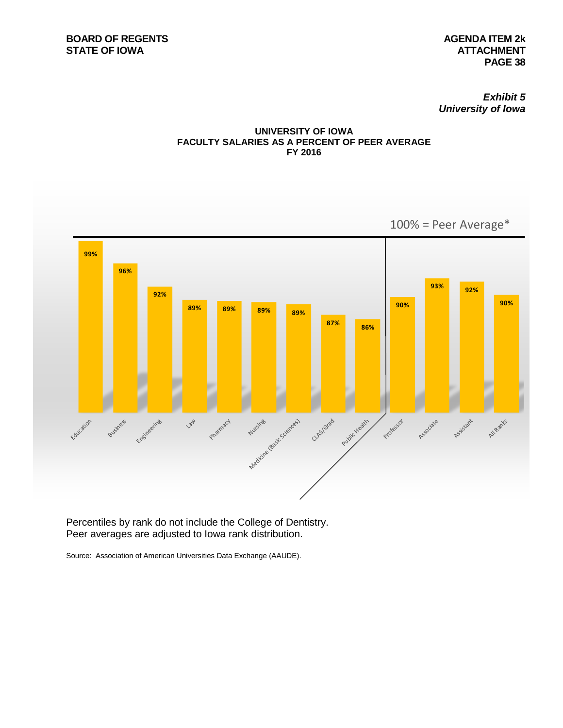*Exhibit 5 University of Iowa*





Percentiles by rank do not include the College of Dentistry. Peer averages are adjusted to Iowa rank distribution.

Source: Association of American Universities Data Exchange (AAUDE).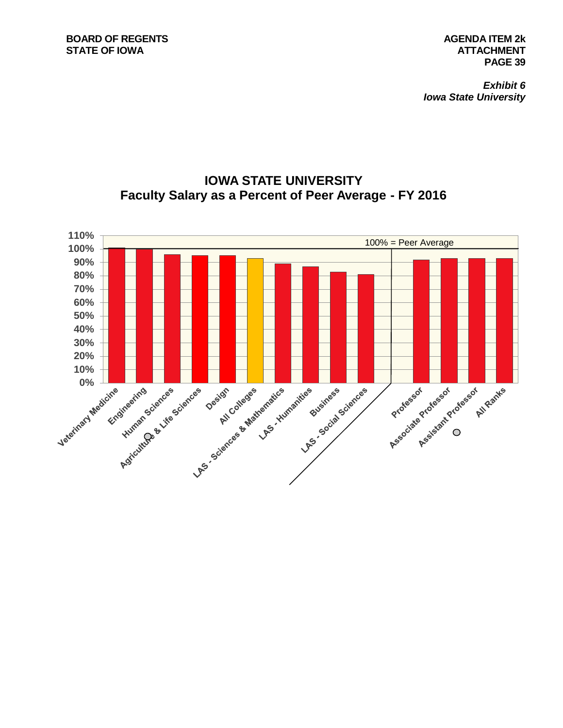*Exhibit 6 Iowa State University*



### **IOWA STATE UNIVERSITY Faculty Salary as a Percent of Peer Average - FY 2016**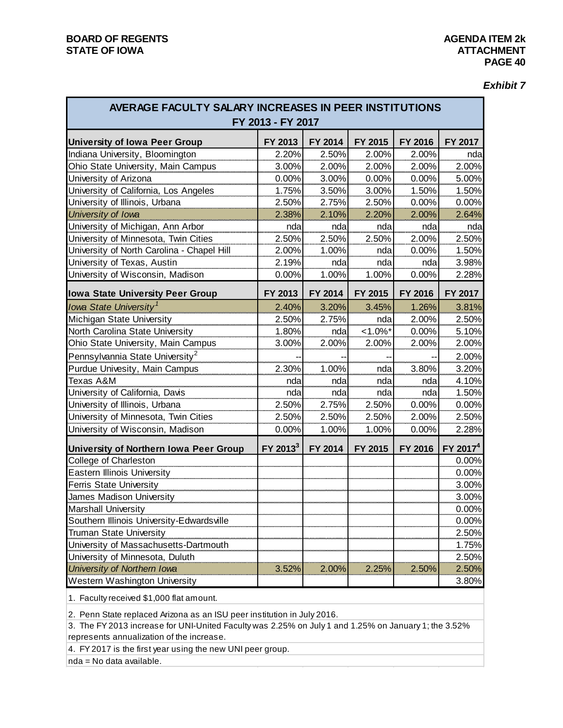*Exhibit 7*

| AVERAGE FACULTY SALARY INCREASES IN PEER INSTITUTIONS<br>FY 2013 - FY 2017 |                      |         |             |         |                      |  |  |  |  |  |
|----------------------------------------------------------------------------|----------------------|---------|-------------|---------|----------------------|--|--|--|--|--|
| <b>University of Iowa Peer Group</b>                                       | FY 2013              | FY 2014 | FY 2015     | FY 2016 | FY 2017              |  |  |  |  |  |
| Indiana University, Bloomington                                            | 2.20%                | 2.50%   | 2.00%       | 2.00%   | nda                  |  |  |  |  |  |
| Ohio State University, Main Campus                                         | 3.00%                | 2.00%   | 2.00%       | 2.00%   | 2.00%                |  |  |  |  |  |
| University of Arizona                                                      | 0.00%                | 3.00%   | 0.00%       | 0.00%   | 5.00%                |  |  |  |  |  |
| University of California, Los Angeles                                      | 1.75%                | 3.50%   | 3.00%       | 1.50%   | 1.50%                |  |  |  |  |  |
| University of Illinois, Urbana                                             | 2.50%                | 2.75%   | 2.50%       | 0.00%   | 0.00%                |  |  |  |  |  |
| University of Iowa                                                         | 2.38%                | 2.10%   | 2.20%       | 2.00%   | 2.64%                |  |  |  |  |  |
| University of Michigan, Ann Arbor                                          | nda                  | nda     | nda         | nda     | nda                  |  |  |  |  |  |
| University of Minnesota, Twin Cities                                       | 2.50%                | 2.50%   | 2.50%       | 2.00%   | 2.50%                |  |  |  |  |  |
| University of North Carolina - Chapel Hill                                 | 2.00%                | 1.00%   | nda         | 0.00%   | 1.50%                |  |  |  |  |  |
| University of Texas, Austin                                                | 2.19%                | nda     | nda         | nda     | 3.98%                |  |  |  |  |  |
| University of Wisconsin, Madison                                           | 0.00%                | 1.00%   | 1.00%       | 0.00%   | 2.28%                |  |  |  |  |  |
| <b>Iowa State University Peer Group</b>                                    | FY 2013              | FY 2014 | FY 2015     | FY 2016 | FY 2017              |  |  |  |  |  |
| Iowa State University <sup>1</sup>                                         | 2.40%                | 3.20%   | 3.45%       | 1.26%   | 3.81%                |  |  |  |  |  |
| Michigan State University                                                  | 2.50%                | 2.75%   | nda         | 2.00%   | 2.50%                |  |  |  |  |  |
| North Carolina State University                                            | 1.80%                | nda     | $< 1.0\%$ * | 0.00%   | 5.10%                |  |  |  |  |  |
| Ohio State University, Main Campus                                         | 3.00%                | 2.00%   | 2.00%       | 2.00%   | 2.00%                |  |  |  |  |  |
| Pennsylvannia State University <sup>2</sup>                                |                      |         |             |         | 2.00%                |  |  |  |  |  |
| Purdue Univesity, Main Campus                                              | 2.30%                | 1.00%   | nda         | 3.80%   | 3.20%                |  |  |  |  |  |
| Texas A&M                                                                  | nda                  | nda     | nda         | nda     | 4.10%                |  |  |  |  |  |
| University of California, Davis                                            | nda                  | nda     | nda         | nda     | 1.50%                |  |  |  |  |  |
| University of Illinois, Urbana                                             | 2.50%                | 2.75%   | 2.50%       | 0.00%   | 0.00%                |  |  |  |  |  |
| University of Minnesota, Twin Cities                                       | 2.50%                | 2.50%   | 2.50%       | 2.00%   | 2.50%                |  |  |  |  |  |
| University of Wisconsin, Madison                                           | 0.00%                | 1.00%   | 1.00%       | 0.00%   | 2.28%                |  |  |  |  |  |
| University of Northern Iowa Peer Group                                     | FY 2013 <sup>3</sup> | FY 2014 | FY 2015     | FY 2016 | FY 2017 <sup>4</sup> |  |  |  |  |  |
| College of Charleston                                                      |                      |         |             |         | 0.00%                |  |  |  |  |  |
| <b>Eastern Illinois University</b>                                         |                      |         |             |         | 0.00%                |  |  |  |  |  |
| <b>Ferris State University</b>                                             |                      |         |             |         | 3.00%                |  |  |  |  |  |
| James Madison University                                                   |                      |         |             |         | 3.00%                |  |  |  |  |  |
| <b>Marshall University</b>                                                 |                      |         |             |         | 0.00%                |  |  |  |  |  |
| Southern Illinois University-Edwardsville                                  |                      |         |             |         | 0.00%                |  |  |  |  |  |
| <b>Truman State University</b>                                             |                      |         |             |         | 2.50%                |  |  |  |  |  |
| University of Massachusetts-Dartmouth                                      |                      |         |             |         | 1.75%                |  |  |  |  |  |
| University of Minnesota, Duluth                                            |                      |         |             |         | 2.50%                |  |  |  |  |  |
| University of Northern Iowa                                                | 3.52%                | 2.00%   | 2.25%       | 2.50%   | 2.50%                |  |  |  |  |  |
| Western Washington University                                              |                      |         |             |         | 3.80%                |  |  |  |  |  |

1. Faculty received \$1,000 flat amount.

2. Penn State replaced Arizona as an ISU peer institution in July 2016.

3. The FY 2013 increase for UNI-United Faculty was 2.25% on July 1 and 1.25% on January 1; the 3.52% represents annualization of the increase.

4. FY 2017 is the first year using the new UNI peer group.

nda = No data available.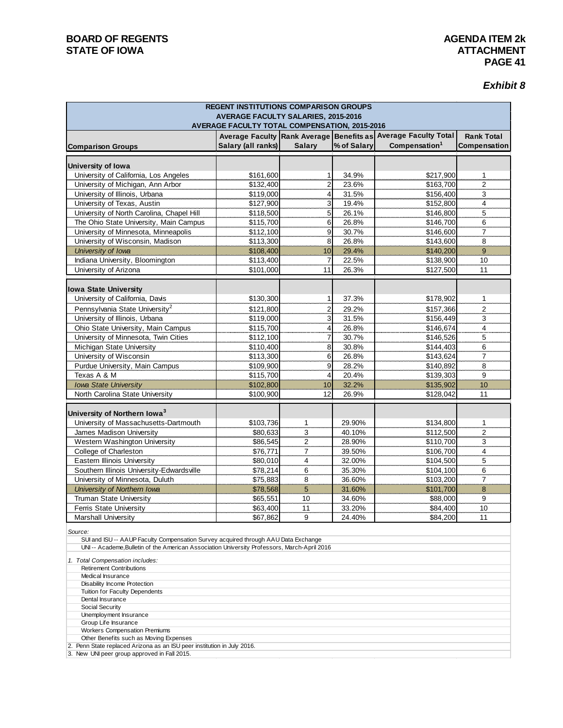#### **BOARD OF REGENTS**<br> **BOARD OF REGENTS**<br> **BOARD OF IOWA**<br> **ATTACHMENT STATE OF IOWA**

#### *Exhibit 8*

| <b>REGENT INSTITUTIONS COMPARISON GROUPS</b><br><b>AVERAGE FACULTY SALARIES, 2015-2016</b><br>AVERAGE FACULTY TOTAL COMPENSATION, 2015-2016                                        |                        |                         |                |                                                                |                       |  |  |  |  |
|------------------------------------------------------------------------------------------------------------------------------------------------------------------------------------|------------------------|-------------------------|----------------|----------------------------------------------------------------|-----------------------|--|--|--|--|
|                                                                                                                                                                                    |                        |                         |                | Average Faculty Rank Average Benefits as Average Faculty Total | <b>Rank Total</b>     |  |  |  |  |
| <b>Comparison Groups</b>                                                                                                                                                           | Salary (all ranks)     | <b>Salary</b>           | % of Salary    | Compensation <sup>1</sup>                                      | Compensation          |  |  |  |  |
|                                                                                                                                                                                    |                        |                         |                |                                                                |                       |  |  |  |  |
| University of Iowa                                                                                                                                                                 |                        |                         |                |                                                                |                       |  |  |  |  |
| University of California, Los Angeles                                                                                                                                              | \$161,600              | 1                       | 34.9%          | \$217,900                                                      | 1                     |  |  |  |  |
| University of Michigan, Ann Arbor                                                                                                                                                  | \$132,400              | $\overline{2}$          | 23.6%          | \$163,700                                                      | $\overline{2}$        |  |  |  |  |
| University of Illinois, Urbana                                                                                                                                                     | \$119,000              | 4                       | 31.5%          | \$156,400                                                      | 3                     |  |  |  |  |
| University of Texas, Austin                                                                                                                                                        | \$127,900              | 3                       | 19.4%          | \$152,800                                                      | $\overline{4}$        |  |  |  |  |
| University of North Carolina, Chapel Hill                                                                                                                                          | \$118,500              | 5                       | 26.1%          | \$146,800                                                      | 5                     |  |  |  |  |
| The Ohio State University, Main Campus                                                                                                                                             | \$115,700              | 6<br>9                  | 26.8%          | \$146,700                                                      | 6                     |  |  |  |  |
| University of Minnesota, Minneapolis                                                                                                                                               | \$112,100              |                         | 30.7%          | \$146,600                                                      | $\overline{7}$        |  |  |  |  |
| University of Wisconsin, Madison<br>University of Iowa                                                                                                                             | \$113,300              | 8<br>10                 | 26.8%          | \$143,600                                                      | 8<br>$\boldsymbol{9}$ |  |  |  |  |
|                                                                                                                                                                                    | \$108,400              |                         | 29.4%          | \$140,200                                                      |                       |  |  |  |  |
| Indiana University, Bloomington                                                                                                                                                    | \$113,400<br>\$101,000 | 7<br>11                 | 22.5%<br>26.3% | \$138,900<br>\$127,500                                         | 10<br>11              |  |  |  |  |
| University of Arizona                                                                                                                                                              |                        |                         |                |                                                                |                       |  |  |  |  |
| <b>Iowa State University</b>                                                                                                                                                       |                        |                         |                |                                                                |                       |  |  |  |  |
| University of California, Davis                                                                                                                                                    | \$130,300              | 1                       | 37.3%          | \$178,902                                                      | 1                     |  |  |  |  |
| Pennsylvania State University <sup>2</sup>                                                                                                                                         | \$121,800              | $\overline{\mathbf{c}}$ | 29.2%          | \$157,366                                                      | $\overline{c}$        |  |  |  |  |
| University of Illinois, Urbana                                                                                                                                                     | \$119,000              | 3                       | 31.5%          | \$156,449                                                      | 3                     |  |  |  |  |
| Ohio State University, Main Campus                                                                                                                                                 | \$115,700              | 4                       | 26.8%          | \$146,674                                                      | $\overline{4}$        |  |  |  |  |
| University of Minnesota, Twin Cities                                                                                                                                               | \$112,100              | 7                       | 30.7%          | \$146,526                                                      | 5                     |  |  |  |  |
| Michigan State University                                                                                                                                                          | \$110,400              | 8                       | 30.8%          | \$144,403                                                      | 6                     |  |  |  |  |
| University of Wisconsin                                                                                                                                                            | \$113,300              | 6                       | 26.8%          | \$143,624                                                      | $\overline{7}$        |  |  |  |  |
| Purdue University, Main Campus                                                                                                                                                     | \$109,900              | 9                       | 28.2%          | \$140,892                                                      | 8                     |  |  |  |  |
| Texas A & M                                                                                                                                                                        | \$115,700              | 4                       | 20.4%          | \$139,303                                                      | 9                     |  |  |  |  |
| <b>Iowa State University</b>                                                                                                                                                       | \$102,800              | 10                      | 32.2%          | \$135,902                                                      | 10                    |  |  |  |  |
| North Carolina State University                                                                                                                                                    | \$100,900              | 12                      | 26.9%          | \$128,042                                                      | 11                    |  |  |  |  |
|                                                                                                                                                                                    |                        |                         |                |                                                                |                       |  |  |  |  |
| University of Northern Iowa <sup>3</sup>                                                                                                                                           |                        |                         |                |                                                                |                       |  |  |  |  |
| University of Massachusetts-Dartmouth                                                                                                                                              | \$103,736              | 1                       | 29.90%         | \$134,800                                                      | 1                     |  |  |  |  |
| James Madison University                                                                                                                                                           | \$80,633               | 3                       | 40.10%         | \$112,500                                                      | $\overline{2}$        |  |  |  |  |
| Western Washington University                                                                                                                                                      | \$86,545               | 2                       | 28.90%         | \$110,700                                                      | 3                     |  |  |  |  |
| College of Charleston                                                                                                                                                              | \$76,771               | $\overline{7}$          | 39.50%         | \$106,700                                                      | $\overline{4}$        |  |  |  |  |
| Eastern Illinois University                                                                                                                                                        | \$80,010               | 4                       | 32.00%         | \$104,500                                                      | 5                     |  |  |  |  |
| Southern Illinois University-Edwardsville                                                                                                                                          | \$78,214               | 6                       | 35.30%         | \$104,100                                                      | 6                     |  |  |  |  |
| University of Minnesota, Duluth                                                                                                                                                    | \$75,883               | 8                       | 36.60%         | \$103,200                                                      | 7                     |  |  |  |  |
| University of Northern Iowa                                                                                                                                                        | \$78,568               | $5\phantom{.}$          | 31.60%         | \$101,700                                                      | $\bf 8$               |  |  |  |  |
| Truman State University                                                                                                                                                            | \$65,551               | 10                      | 34.60%         | \$88,000                                                       | 9                     |  |  |  |  |
| <b>Ferris State University</b>                                                                                                                                                     | \$63,400               | 11                      | 33.20%         | \$84,400                                                       | 10                    |  |  |  |  |
| Marshall University                                                                                                                                                                | \$67,862               | 9                       | 24.40%         | \$84,200                                                       | 11                    |  |  |  |  |
| Source:                                                                                                                                                                            |                        |                         |                |                                                                |                       |  |  |  |  |
| SUI and ISU -- AAUP Faculty Compensation Survey acquired through AAU Data Exchange<br>UNI -- Academe, Bulletin of the American Association University Professors, March-April 2016 |                        |                         |                |                                                                |                       |  |  |  |  |
|                                                                                                                                                                                    |                        |                         |                |                                                                |                       |  |  |  |  |
| 1. Total Compensation includes:                                                                                                                                                    |                        |                         |                |                                                                |                       |  |  |  |  |
| <b>Retirement Contributions</b><br>Medical Insurance                                                                                                                               |                        |                         |                |                                                                |                       |  |  |  |  |
| Disability Income Protection                                                                                                                                                       |                        |                         |                |                                                                |                       |  |  |  |  |
| Tuition for Faculty Dependents                                                                                                                                                     |                        |                         |                |                                                                |                       |  |  |  |  |
| Dental Insurance                                                                                                                                                                   |                        |                         |                |                                                                |                       |  |  |  |  |
| Social Security<br>Unemployment Insurance                                                                                                                                          |                        |                         |                |                                                                |                       |  |  |  |  |
| Group Life Insurance                                                                                                                                                               |                        |                         |                |                                                                |                       |  |  |  |  |
| Workers Compensation Premiums                                                                                                                                                      |                        |                         |                |                                                                |                       |  |  |  |  |
| Other Benefits such as Moving Expenses                                                                                                                                             |                        |                         |                |                                                                |                       |  |  |  |  |
| 2. Penn State replaced Arizona as an ISU peer institution in July 2016.<br>3. New UNI peer group approved in Fall 2015.                                                            |                        |                         |                |                                                                |                       |  |  |  |  |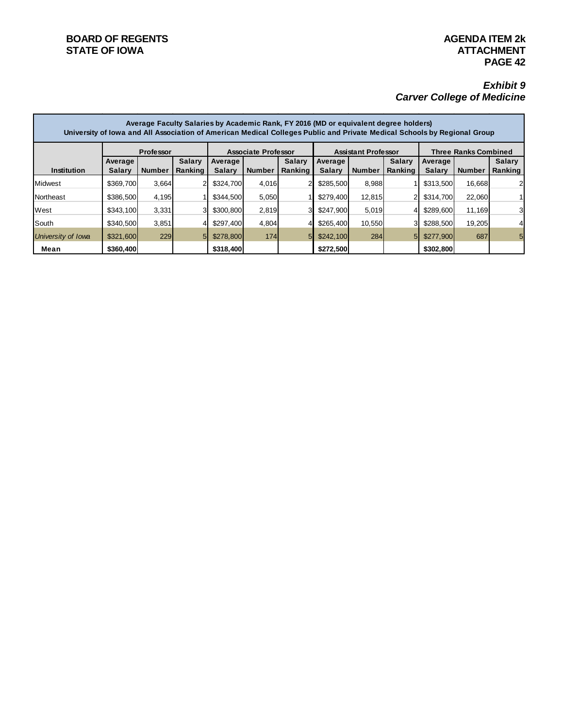#### **BOARD OF REGENTS**<br> **BOARD OF REGENTS**<br> **BOARD OF IOWA**<br> **ATTACHMENT STATE OF IOWA**

#### *Exhibit 9 Carver College of Medicine*

|                    | Average Faculty Salaries by Academic Rank, FY 2016 (MD or equivalent degree holders)<br>University of Iowa and All Association of American Medical Colleges Public and Private Medical Schools by Regional Group |               |                |                            |               |               |                            |               |                |                             |               |               |
|--------------------|------------------------------------------------------------------------------------------------------------------------------------------------------------------------------------------------------------------|---------------|----------------|----------------------------|---------------|---------------|----------------------------|---------------|----------------|-----------------------------|---------------|---------------|
|                    | <b>Professor</b>                                                                                                                                                                                                 |               |                | <b>Associate Professor</b> |               |               | <b>Assistant Professor</b> |               |                | <b>Three Ranks Combined</b> |               |               |
|                    | Average                                                                                                                                                                                                          |               | <b>Salary</b>  | Average                    |               | <b>Salary</b> | Average                    |               | <b>Salary</b>  | Average                     |               | <b>Salary</b> |
| Institution        | <b>Salary</b>                                                                                                                                                                                                    | <b>Number</b> | Ranking        | Salary                     | <b>Number</b> | Ranking       | <b>Salary</b>              | <b>Number</b> | Ranking        | <b>Salary</b>               | <b>Number</b> | Ranking       |
| <b>Midwest</b>     | \$369,700                                                                                                                                                                                                        | 3,664         |                | \$324,700                  | 4,016         |               | \$285,500                  | 8,988         |                | \$313,500                   | 16,668        | 2             |
| Northeast          | \$386,500                                                                                                                                                                                                        | 4,195         |                | \$344.500                  | 5,050         |               | \$279,400                  | 12,815        |                | \$314,700                   | 22,060        |               |
| West               | \$343,100                                                                                                                                                                                                        | 3,331         |                | \$300,800                  | 2,819         | з.            | \$247.900                  | 5.019         |                | \$289,600                   | 11,169        | 3             |
| South              | \$340,500                                                                                                                                                                                                        | 3,851         |                | \$297,400                  | 4,804         |               | \$265,400                  | 10,550        | 31             | \$288,500                   | 19,205        | 4             |
| University of Iowa | \$321,600                                                                                                                                                                                                        | 229           | 5 <sub>l</sub> | \$278,800                  | 174           | 51            | \$242,100                  | 284           | 5 <sub>l</sub> | \$277,900                   | 687           | 5             |
| Mean               | \$360,400                                                                                                                                                                                                        |               |                | \$318,400                  |               |               | \$272,500                  |               |                | \$302,800                   |               |               |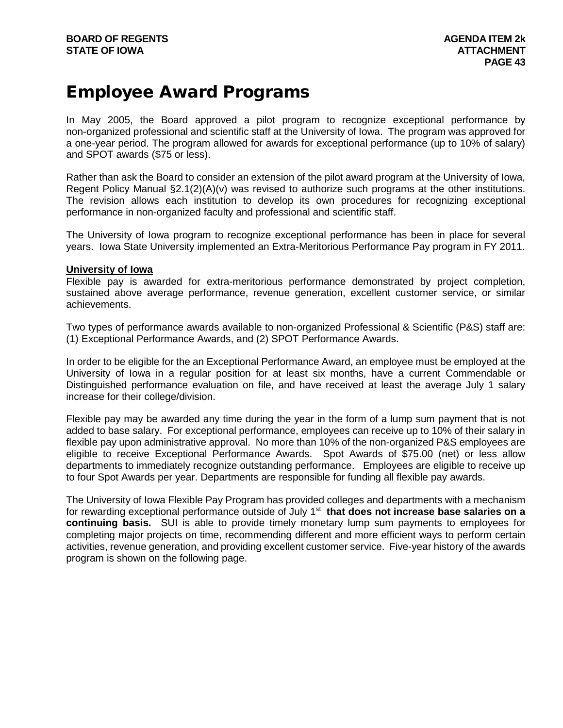### Employee Award Programs

In May 2005, the Board approved a pilot program to recognize exceptional performance by non-organized professional and scientific staff at the University of Iowa. The program was approved for a one-year period. The program allowed for awards for exceptional performance (up to 10% of salary) and SPOT awards (\$75 or less).

Rather than ask the Board to consider an extension of the pilot award program at the University of Iowa, Regent Policy Manual §2.1(2)(A)(v) was revised to authorize such programs at the other institutions. The revision allows each institution to develop its own procedures for recognizing exceptional performance in non-organized faculty and professional and scientific staff.

The University of Iowa program to recognize exceptional performance has been in place for several years. Iowa State University implemented an Extra-Meritorious Performance Pay program in FY 2011.

#### **University of Iowa**

Flexible pay is awarded for extra-meritorious performance demonstrated by project completion, sustained above average performance, revenue generation, excellent customer service, or similar achievements.

Two types of performance awards available to non-organized Professional & Scientific (P&S) staff are: (1) Exceptional Performance Awards, and (2) SPOT Performance Awards.

In order to be eligible for the an Exceptional Performance Award, an employee must be employed at the University of Iowa in a regular position for at least six months, have a current Commendable or Distinguished performance evaluation on file, and have received at least the average July 1 salary increase for their college/division.

Flexible pay may be awarded any time during the year in the form of a lump sum payment that is not added to base salary. For exceptional performance, employees can receive up to 10% of their salary in flexible pay upon administrative approval. No more than 10% of the non-organized P&S employees are eligible to receive Exceptional Performance Awards. Spot Awards of \$75.00 (net) or less allow departments to immediately recognize outstanding performance. Employees are eligible to receive up to four Spot Awards per year. Departments are responsible for funding all flexible pay awards.

The University of Iowa Flexible Pay Program has provided colleges and departments with a mechanism for rewarding exceptional performance outside of July 1<sup>st</sup> that does not increase base salaries on a **continuing basis.** SUI is able to provide timely monetary lump sum payments to employees for completing major projects on time, recommending different and more efficient ways to perform certain activities, revenue generation, and providing excellent customer service. Five-year history of the awards program is shown on the following page.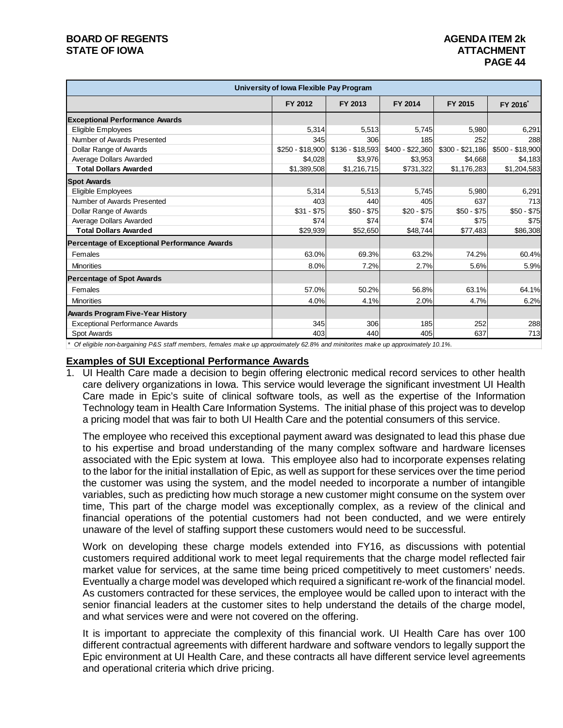#### **BOARD OF REGENTS AGENDA ITEM 2k STATE OF IOWA**

|                                                     | University of Iowa Flexible Pay Program                                       |                  |                  |                                                         |                  |
|-----------------------------------------------------|-------------------------------------------------------------------------------|------------------|------------------|---------------------------------------------------------|------------------|
|                                                     | FY 2012                                                                       | FY 2013          | FY 2014          | FY 2015                                                 | FY 2016          |
| <b>Exceptional Performance Awards</b>               |                                                                               |                  |                  |                                                         |                  |
| Eligible Employees                                  | 5,314                                                                         | 5,513            | 5,745            | 5,980                                                   | 6,291            |
| Number of Awards Presented                          | 345                                                                           | 306              | 185              | 252                                                     | 288              |
| Dollar Range of Awards                              | $$250 - $18,900$                                                              | $$136 - $18,593$ | \$400 - \$22,360 | $$300 - $21,186$                                        | \$500 - \$18,900 |
| Average Dollars Awarded                             | \$4,028                                                                       | \$3,976          | \$3,953          | \$4,668                                                 | \$4,183          |
| <b>Total Dollars Awarded</b>                        | \$1,389,508                                                                   | \$1,216,715      | \$731,322        | \$1,176,283                                             | \$1,204,583      |
| <b>Spot Awards</b>                                  |                                                                               |                  |                  |                                                         |                  |
| Eligible Employees                                  | 5,314                                                                         | 5,513            | 5.745            | 5,980                                                   | 6,291            |
| Number of Awards Presented                          | 403                                                                           | 440              | 405              | 637                                                     | 713              |
| Dollar Range of Awards                              | $$31 - $75$                                                                   | $$50 - $75$      | $$20 - $75$      | $$50 - $75$                                             | $$50 - $75$      |
| Average Dollars Awarded                             | \$74                                                                          | \$74             | \$74             | \$75                                                    | \$75             |
| <b>Total Dollars Awarded</b>                        | \$29,939                                                                      | \$52,650         | \$48,744         | \$77,483                                                | \$86,308         |
| <b>Percentage of Exceptional Performance Awards</b> |                                                                               |                  |                  |                                                         |                  |
| Females                                             | 63.0%                                                                         | 69.3%            | 63.2%            | 74.2%                                                   | 60.4%            |
| <b>Minorities</b>                                   | 8.0%                                                                          | 7.2%             | 2.7%             | 5.6%                                                    | 5.9%             |
| <b>Percentage of Spot Awards</b>                    |                                                                               |                  |                  |                                                         |                  |
| Females                                             | 57.0%                                                                         | 50.2%            | 56.8%            | 63.1%                                                   | 64.1%            |
| <b>Minorities</b>                                   | 4.0%                                                                          | 4.1%             | 2.0%             | 4.7%                                                    | 6.2%             |
| <b>Awards Program Five-Year History</b>             |                                                                               |                  |                  |                                                         |                  |
| <b>Exceptional Performance Awards</b>               | 345                                                                           | 306              | 185              | 252                                                     | 288              |
| Spot Awards                                         | 403                                                                           | 440              | 405              | 637                                                     | 713              |
| $\cdots$ man $\cdots$                               | $\mathbf{r}$ $\mathbf{r}$ $\mathbf{r}$ $\mathbf{r}$ $\mathbf{r}$ $\mathbf{r}$ |                  |                  | $\cdot$ $\cdot$ $\cdot$ $\cdot$ $\cdot$ $\cdot$ $\cdot$ |                  |

*\* Of eligible non-bargaining P&S staff members, females make up approximately 62.8% and minitorites make up approximately 10.1%.*

#### **Examples of SUI Exceptional Performance Awards**

1. UI Health Care made a decision to begin offering electronic medical record services to other health care delivery organizations in Iowa. This service would leverage the significant investment UI Health Care made in Epic's suite of clinical software tools, as well as the expertise of the Information Technology team in Health Care Information Systems. The initial phase of this project was to develop a pricing model that was fair to both UI Health Care and the potential consumers of this service.

The employee who received this exceptional payment award was designated to lead this phase due to his expertise and broad understanding of the many complex software and hardware licenses associated with the Epic system at Iowa. This employee also had to incorporate expenses relating to the labor for the initial installation of Epic, as well as support for these services over the time period the customer was using the system, and the model needed to incorporate a number of intangible variables, such as predicting how much storage a new customer might consume on the system over time, This part of the charge model was exceptionally complex, as a review of the clinical and financial operations of the potential customers had not been conducted, and we were entirely unaware of the level of staffing support these customers would need to be successful.

Work on developing these charge models extended into FY16, as discussions with potential customers required additional work to meet legal requirements that the charge model reflected fair market value for services, at the same time being priced competitively to meet customers' needs. Eventually a charge model was developed which required a significant re-work of the financial model. As customers contracted for these services, the employee would be called upon to interact with the senior financial leaders at the customer sites to help understand the details of the charge model, and what services were and were not covered on the offering.

It is important to appreciate the complexity of this financial work. UI Health Care has over 100 different contractual agreements with different hardware and software vendors to legally support the Epic environment at UI Health Care, and these contracts all have different service level agreements and operational criteria which drive pricing.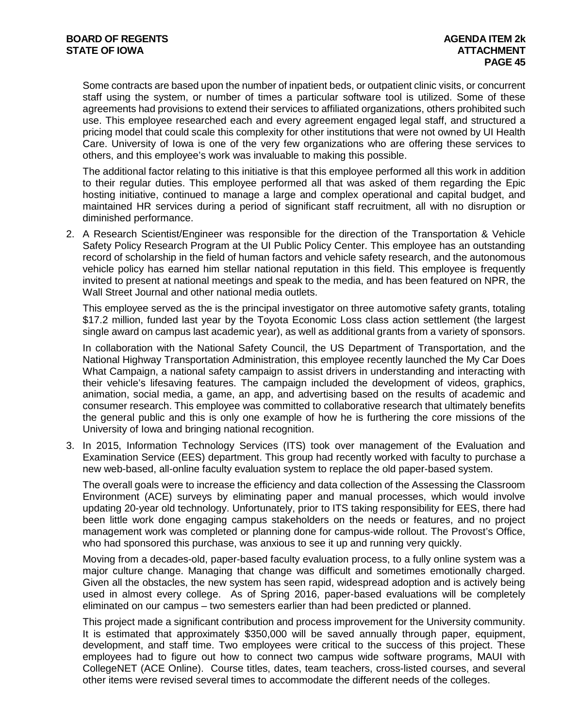Some contracts are based upon the number of inpatient beds, or outpatient clinic visits, or concurrent staff using the system, or number of times a particular software tool is utilized. Some of these agreements had provisions to extend their services to affiliated organizations, others prohibited such use. This employee researched each and every agreement engaged legal staff, and structured a pricing model that could scale this complexity for other institutions that were not owned by UI Health Care. University of Iowa is one of the very few organizations who are offering these services to others, and this employee's work was invaluable to making this possible.

The additional factor relating to this initiative is that this employee performed all this work in addition to their regular duties. This employee performed all that was asked of them regarding the Epic hosting initiative, continued to manage a large and complex operational and capital budget, and maintained HR services during a period of significant staff recruitment, all with no disruption or diminished performance.

2. A Research Scientist/Engineer was responsible for the direction of the Transportation & Vehicle Safety Policy Research Program at the UI Public Policy Center. This employee has an outstanding record of scholarship in the field of human factors and vehicle safety research, and the autonomous vehicle policy has earned him stellar national reputation in this field. This employee is frequently invited to present at national meetings and speak to the media, and has been featured on NPR, the Wall Street Journal and other national media outlets.

This employee served as the is the principal investigator on three automotive safety grants, totaling \$17.2 million, funded last year by the Toyota Economic Loss class action settlement (the largest single award on campus last academic year), as well as additional grants from a variety of sponsors.

In collaboration with the National Safety Council, the US Department of Transportation, and the National Highway Transportation Administration, this employee recently launched the My Car Does What Campaign, a national safety campaign to assist drivers in understanding and interacting with their vehicle's lifesaving features. The campaign included the development of videos, graphics, animation, social media, a game, an app, and advertising based on the results of academic and consumer research. This employee was committed to collaborative research that ultimately benefits the general public and this is only one example of how he is furthering the core missions of the University of Iowa and bringing national recognition.

3. In 2015, Information Technology Services (ITS) took over management of the Evaluation and Examination Service (EES) department. This group had recently worked with faculty to purchase a new web-based, all-online faculty evaluation system to replace the old paper-based system.

The overall goals were to increase the efficiency and data collection of the Assessing the Classroom Environment (ACE) surveys by eliminating paper and manual processes, which would involve updating 20-year old technology. Unfortunately, prior to ITS taking responsibility for EES, there had been little work done engaging campus stakeholders on the needs or features, and no project management work was completed or planning done for campus-wide rollout. The Provost's Office, who had sponsored this purchase, was anxious to see it up and running very quickly.

Moving from a decades-old, paper-based faculty evaluation process, to a fully online system was a major culture change. Managing that change was difficult and sometimes emotionally charged. Given all the obstacles, the new system has seen rapid, widespread adoption and is actively being used in almost every college. As of Spring 2016, paper-based evaluations will be completely eliminated on our campus – two semesters earlier than had been predicted or planned.

This project made a significant contribution and process improvement for the University community. It is estimated that approximately \$350,000 will be saved annually through paper, equipment, development, and staff time. Two employees were critical to the success of this project. These employees had to figure out how to connect two campus wide software programs, MAUI with CollegeNET (ACE Online). Course titles, dates, team teachers, cross-listed courses, and several other items were revised several times to accommodate the different needs of the colleges.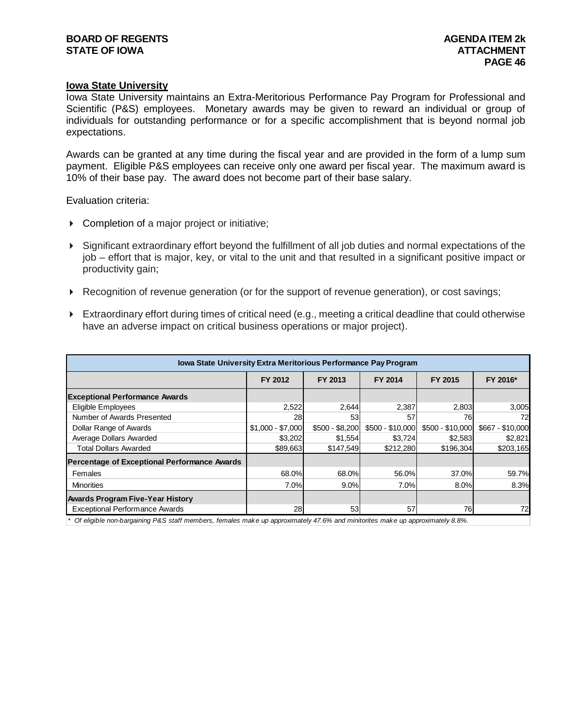#### **Iowa State University**

Iowa State University maintains an Extra-Meritorious Performance Pay Program for Professional and Scientific (P&S) employees. Monetary awards may be given to reward an individual or group of individuals for outstanding performance or for a specific accomplishment that is beyond normal job expectations.

Awards can be granted at any time during the fiscal year and are provided in the form of a lump sum payment. Eligible P&S employees can receive only one award per fiscal year. The maximum award is 10% of their base pay. The award does not become part of their base salary.

Evaluation criteria:

- ▶ Completion of a major project or initiative;
- Significant extraordinary effort beyond the fulfillment of all job duties and normal expectations of the job – effort that is major, key, or vital to the unit and that resulted in a significant positive impact or productivity gain;
- Recognition of revenue generation (or for the support of revenue generation), or cost savings;
- Extraordinary effort during times of critical need (e.g., meeting a critical deadline that could otherwise have an adverse impact on critical business operations or major project).

| Iowa State University Extra Meritorious Performance Pay Program |                   |                 |                  |                  |                  |
|-----------------------------------------------------------------|-------------------|-----------------|------------------|------------------|------------------|
|                                                                 | FY 2012           | FY 2013         |                  | FY 2015          | FY 2016*         |
| <b>Exceptional Performance Awards</b>                           |                   |                 |                  |                  |                  |
| Eligible Employees                                              | 2,522             | 2,644           | 2,387            | 2,803            | 3,005            |
| Number of Awards Presented                                      | 28                | 53              | 57               | 76               | 72               |
| Dollar Range of Awards                                          | $$1,000 - $7,000$ | \$500 - \$8,200 | $$500 - $10,000$ | \$500 - \$10,000 | \$667 - \$10,000 |
| Average Dollars Awarded                                         | \$3,202           | \$1,554         | \$3,724          | \$2,583          | \$2,821          |
| <b>Total Dollars Awarded</b>                                    | \$89,663          | \$147,549       | \$212,280        | \$196,304        | \$203,165        |
| Percentage of Exceptional Performance Awards                    |                   |                 |                  |                  |                  |
| Females                                                         | 68.0%             | 68.0%           | 56.0%            | 37.0%            | 59.7%            |
| <b>Minorities</b>                                               | 7.0%              | 9.0%            | 7.0%             | 8.0%             | 8.3%             |
| <b>Awards Program Five-Year History</b>                         |                   |                 |                  |                  |                  |
| <b>Exceptional Performance Awards</b>                           | 28                | 53              | 57               | 76               | 72               |

*\* Of eligible non-bargaining P&S staff members, females make up approximately 47.6% and minitorites make up approximately 8.8%.*